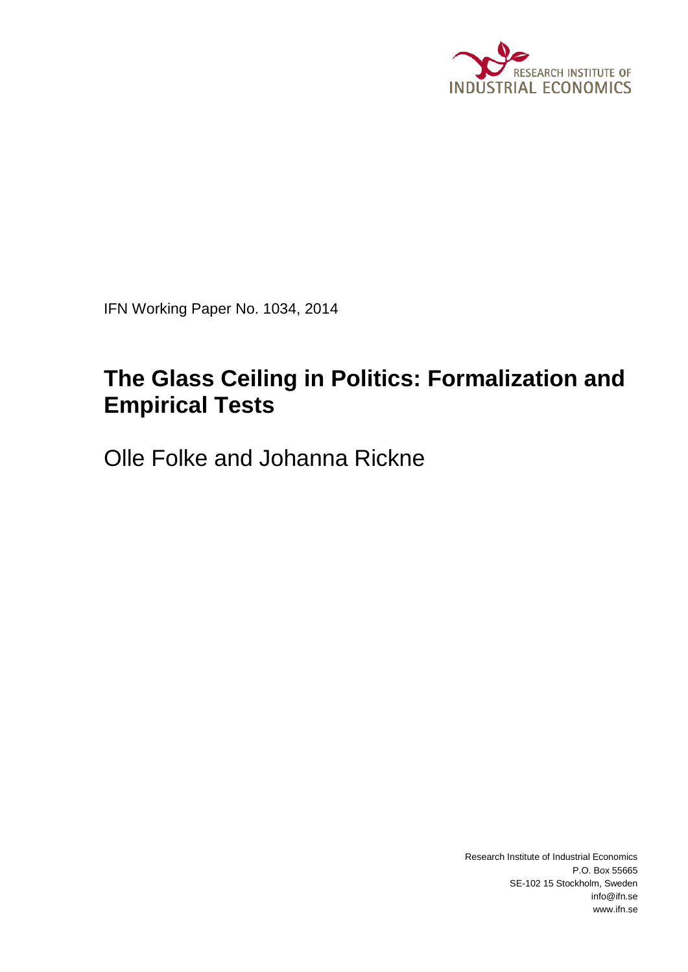

IFN Working Paper No. 1034, 2014

# **The Glass Ceiling in Politics: Formalization and Empirical Tests**

Olle Folke and Johanna Rickne

Research Institute of Industrial Economics P.O. Box 55665 SE-102 15 Stockholm, Sweden info@ifn.se www.ifn.se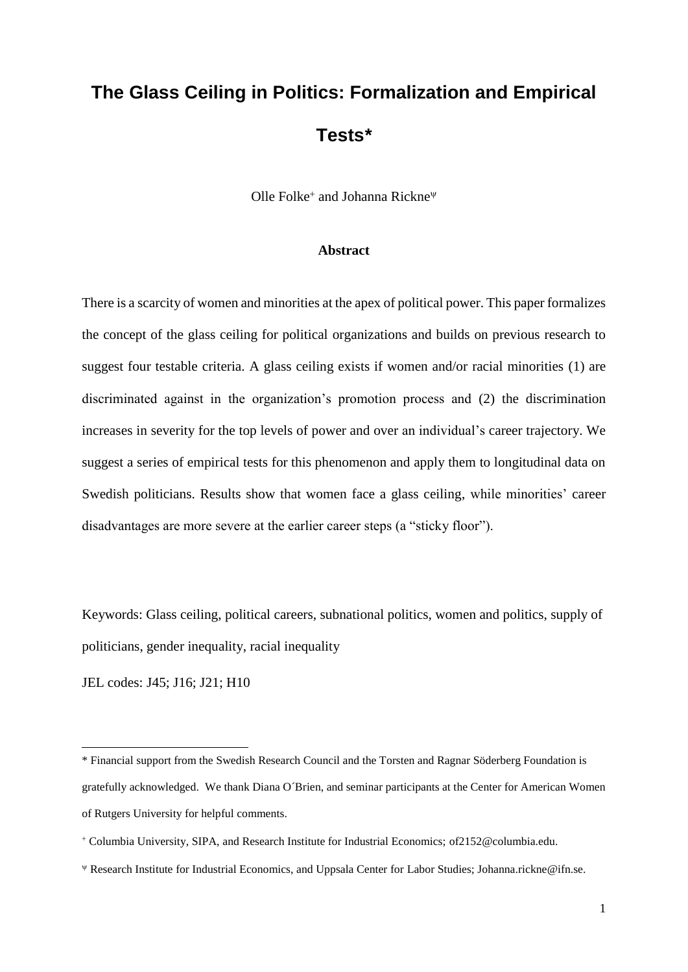# **The Glass Ceiling in Politics: Formalization and Empirical Tests***\**

Olle Folke<sup>+</sup> and Johanna Rickne<sup> $\psi$ </sup>

#### **Abstract**

There is a scarcity of women and minorities at the apex of political power. This paper formalizes the concept of the glass ceiling for political organizations and builds on previous research to suggest four testable criteria. A glass ceiling exists if women and/or racial minorities (1) are discriminated against in the organization's promotion process and (2) the discrimination increases in severity for the top levels of power and over an individual's career trajectory. We suggest a series of empirical tests for this phenomenon and apply them to longitudinal data on Swedish politicians. Results show that women face a glass ceiling, while minorities' career disadvantages are more severe at the earlier career steps (a "sticky floor").

Keywords: Glass ceiling, political careers, subnational politics, women and politics, supply of politicians, gender inequality, racial inequality

JEL codes: J45; J16; J21; H10

l

<sup>\*</sup> Financial support from the Swedish Research Council and the Torsten and Ragnar Söderberg Foundation is gratefully acknowledged. We thank Diana O´Brien, and seminar participants at the Center for American Women of Rutgers University for helpful comments.

Columbia University, SIPA, and Research Institute for Industrial Economics; [of2152@columbia.edu.](mailto:of2152@columbia.edu)

Research Institute for Industrial Economics, and Uppsala Center for Labor Studies; Johanna.rickne@ifn.se.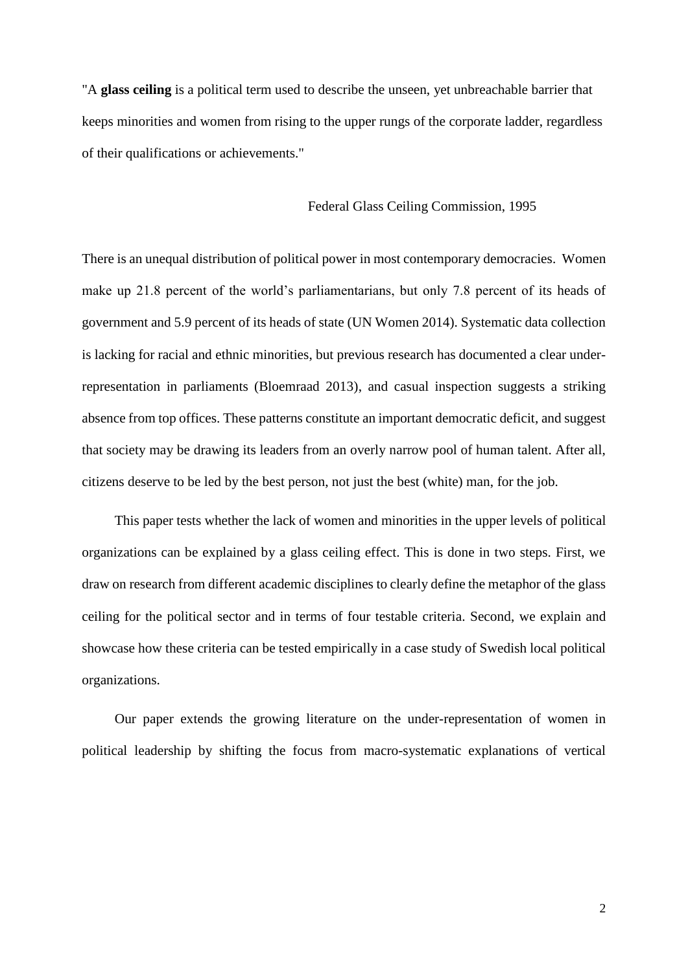"A **glass ceiling** is a political term used to describe the unseen, yet unbreachable barrier that keeps minorities and women from rising to the upper rungs of the corporate ladder, regardless of their qualifications or achievements."

#### Federal Glass Ceiling Commission, 1995

There is an unequal distribution of political power in most contemporary democracies. Women make up 21.8 percent of the world's parliamentarians, but only 7.8 percent of its heads of government and 5.9 percent of its heads of state (UN Women 2014). Systematic data collection is lacking for racial and ethnic minorities, but previous research has documented a clear underrepresentation in parliaments (Bloemraad 2013), and casual inspection suggests a striking absence from top offices. These patterns constitute an important democratic deficit, and suggest that society may be drawing its leaders from an overly narrow pool of human talent. After all, citizens deserve to be led by the best person, not just the best (white) man, for the job.

This paper tests whether the lack of women and minorities in the upper levels of political organizations can be explained by a glass ceiling effect. This is done in two steps. First, we draw on research from different academic disciplines to clearly define the metaphor of the glass ceiling for the political sector and in terms of four testable criteria. Second, we explain and showcase how these criteria can be tested empirically in a case study of Swedish local political organizations.

Our paper extends the growing literature on the under-representation of women in political leadership by shifting the focus from macro-systematic explanations of vertical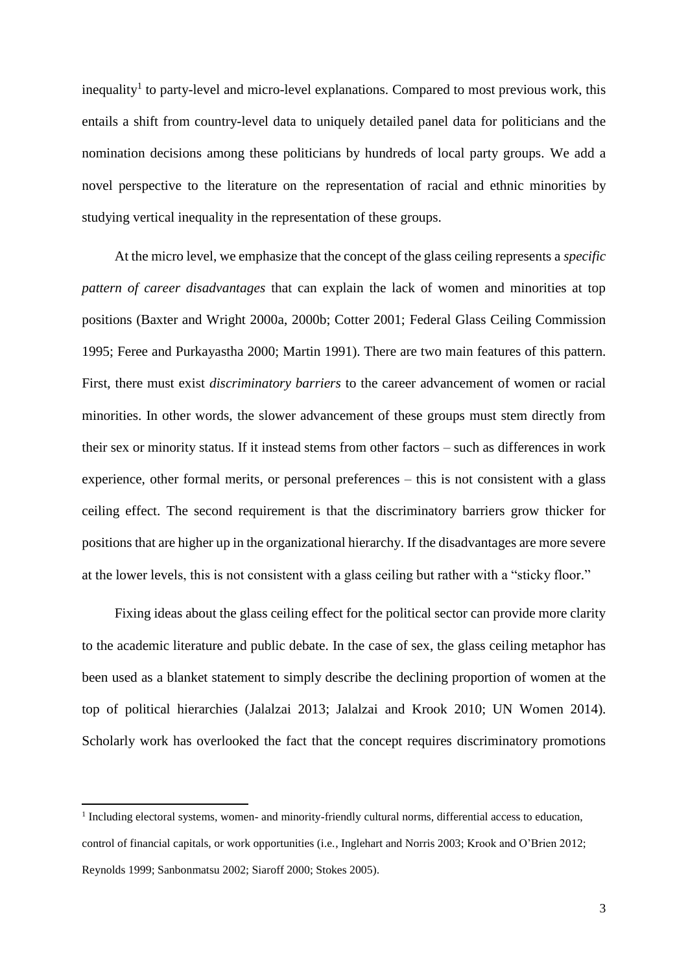inequality<sup>1</sup> to party-level and micro-level explanations. Compared to most previous work, this entails a shift from country-level data to uniquely detailed panel data for politicians and the nomination decisions among these politicians by hundreds of local party groups. We add a novel perspective to the literature on the representation of racial and ethnic minorities by studying vertical inequality in the representation of these groups.

At the micro level, we emphasize that the concept of the glass ceiling represents a *specific pattern of career disadvantages* that can explain the lack of women and minorities at top positions (Baxter and Wright 2000a, 2000b; Cotter 2001; Federal Glass Ceiling Commission 1995; Feree and Purkayastha 2000; Martin 1991). There are two main features of this pattern. First, there must exist *discriminatory barriers* to the career advancement of women or racial minorities. In other words, the slower advancement of these groups must stem directly from their sex or minority status. If it instead stems from other factors – such as differences in work experience, other formal merits, or personal preferences – this is not consistent with a glass ceiling effect. The second requirement is that the discriminatory barriers grow thicker for positions that are higher up in the organizational hierarchy. If the disadvantages are more severe at the lower levels, this is not consistent with a glass ceiling but rather with a "sticky floor."

Fixing ideas about the glass ceiling effect for the political sector can provide more clarity to the academic literature and public debate. In the case of sex, the glass ceiling metaphor has been used as a blanket statement to simply describe the declining proportion of women at the top of political hierarchies (Jalalzai 2013; Jalalzai and Krook 2010; UN Women 2014). Scholarly work has overlooked the fact that the concept requires discriminatory promotions

 $\overline{a}$ 

<sup>&</sup>lt;sup>1</sup> Including electoral systems, women- and minority-friendly cultural norms, differential access to education, control of financial capitals, or work opportunities (i.e., Inglehart and Norris 2003; Krook and O'Brien 2012; Reynolds 1999; Sanbonmatsu 2002; Siaroff 2000; Stokes 2005).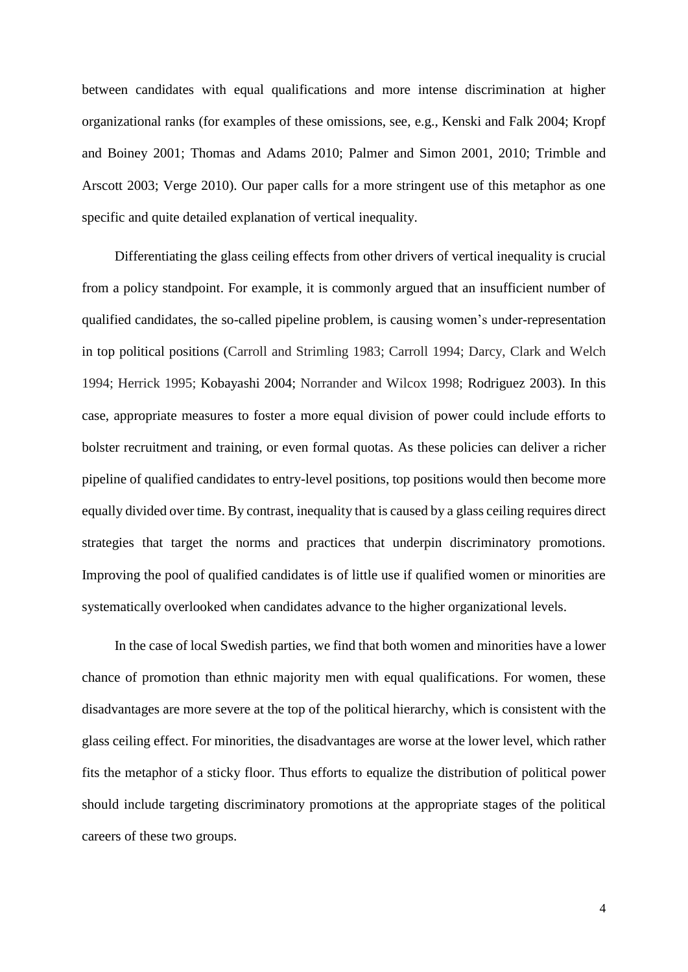between candidates with equal qualifications and more intense discrimination at higher organizational ranks (for examples of these omissions, see, e.g., Kenski and Falk 2004; Kropf and Boiney 2001; Thomas and Adams 2010; Palmer and Simon 2001, 2010; Trimble and Arscott 2003; Verge 2010). Our paper calls for a more stringent use of this metaphor as one specific and quite detailed explanation of vertical inequality.

Differentiating the glass ceiling effects from other drivers of vertical inequality is crucial from a policy standpoint. For example, it is commonly argued that an insufficient number of qualified candidates, the so-called pipeline problem, is causing women's under-representation in top political positions (Carroll and Strimling 1983; Carroll 1994; Darcy, Clark and Welch 1994; Herrick 1995; Kobayashi 2004; Norrander and Wilcox 1998; Rodriguez 2003). In this case, appropriate measures to foster a more equal division of power could include efforts to bolster recruitment and training, or even formal quotas. As these policies can deliver a richer pipeline of qualified candidates to entry-level positions, top positions would then become more equally divided over time. By contrast, inequality that is caused by a glass ceiling requires direct strategies that target the norms and practices that underpin discriminatory promotions. Improving the pool of qualified candidates is of little use if qualified women or minorities are systematically overlooked when candidates advance to the higher organizational levels.

In the case of local Swedish parties, we find that both women and minorities have a lower chance of promotion than ethnic majority men with equal qualifications. For women, these disadvantages are more severe at the top of the political hierarchy, which is consistent with the glass ceiling effect. For minorities, the disadvantages are worse at the lower level, which rather fits the metaphor of a sticky floor. Thus efforts to equalize the distribution of political power should include targeting discriminatory promotions at the appropriate stages of the political careers of these two groups.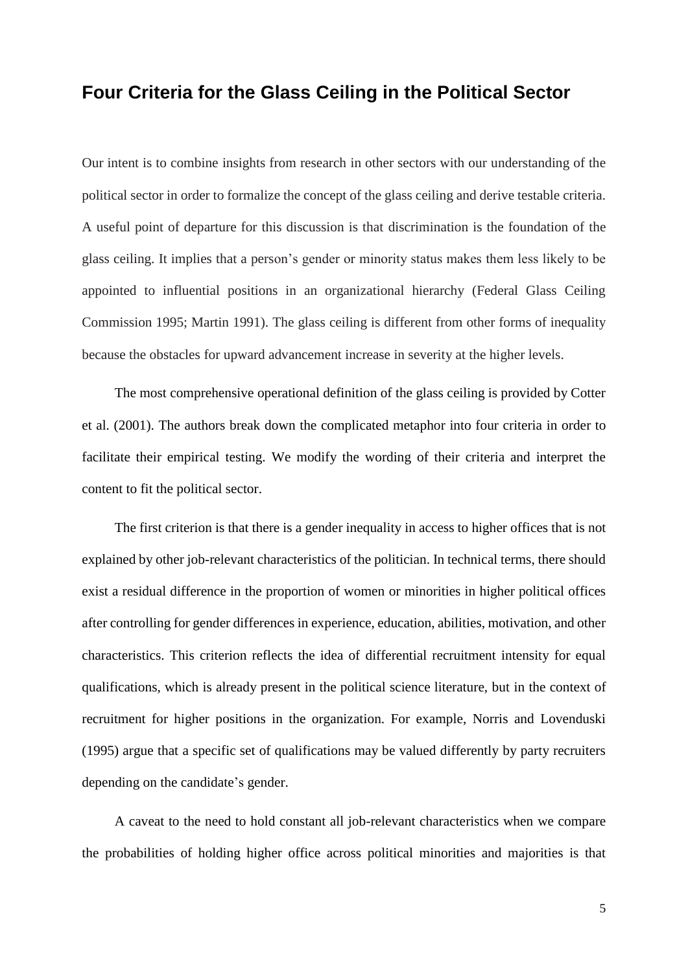### **Four Criteria for the Glass Ceiling in the Political Sector**

Our intent is to combine insights from research in other sectors with our understanding of the political sector in order to formalize the concept of the glass ceiling and derive testable criteria. A useful point of departure for this discussion is that discrimination is the foundation of the glass ceiling. It implies that a person's gender or minority status makes them less likely to be appointed to influential positions in an organizational hierarchy (Federal Glass Ceiling Commission 1995; Martin 1991). The glass ceiling is different from other forms of inequality because the obstacles for upward advancement increase in severity at the higher levels.

The most comprehensive operational definition of the glass ceiling is provided by Cotter et al. (2001). The authors break down the complicated metaphor into four criteria in order to facilitate their empirical testing. We modify the wording of their criteria and interpret the content to fit the political sector.

The first criterion is that there is a gender inequality in access to higher offices that is not explained by other job-relevant characteristics of the politician. In technical terms, there should exist a residual difference in the proportion of women or minorities in higher political offices after controlling for gender differences in experience, education, abilities, motivation, and other characteristics. This criterion reflects the idea of differential recruitment intensity for equal qualifications, which is already present in the political science literature, but in the context of recruitment for higher positions in the organization. For example, Norris and Lovenduski (1995) argue that a specific set of qualifications may be valued differently by party recruiters depending on the candidate's gender.

A caveat to the need to hold constant all job-relevant characteristics when we compare the probabilities of holding higher office across political minorities and majorities is that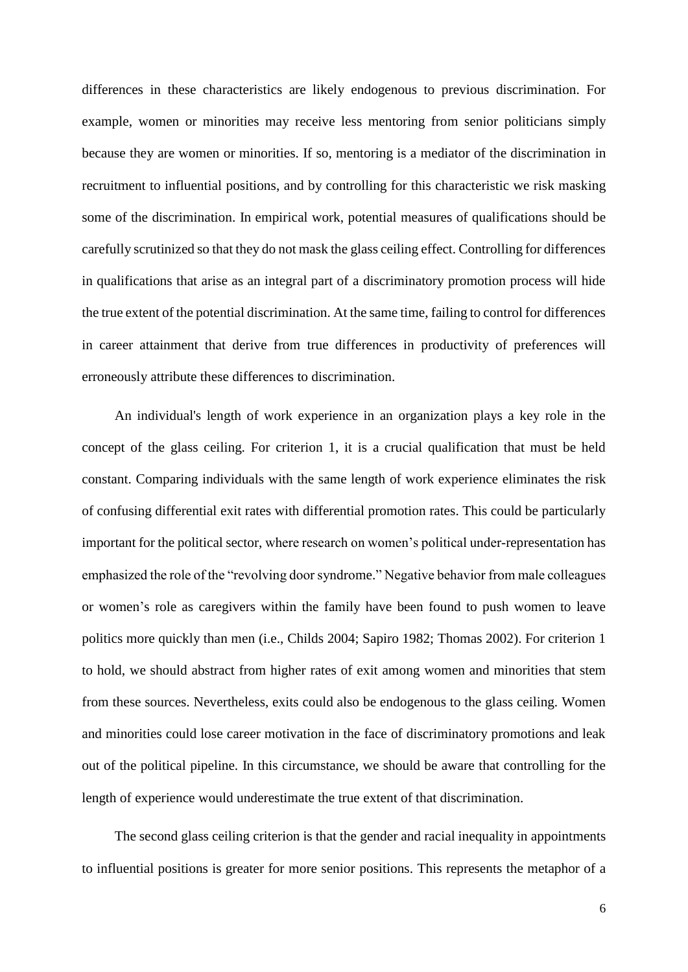differences in these characteristics are likely endogenous to previous discrimination. For example, women or minorities may receive less mentoring from senior politicians simply because they are women or minorities. If so, mentoring is a mediator of the discrimination in recruitment to influential positions, and by controlling for this characteristic we risk masking some of the discrimination. In empirical work, potential measures of qualifications should be carefully scrutinized so that they do not mask the glass ceiling effect. Controlling for differences in qualifications that arise as an integral part of a discriminatory promotion process will hide the true extent of the potential discrimination. At the same time, failing to control for differences in career attainment that derive from true differences in productivity of preferences will erroneously attribute these differences to discrimination.

An individual's length of work experience in an organization plays a key role in the concept of the glass ceiling. For criterion 1, it is a crucial qualification that must be held constant. Comparing individuals with the same length of work experience eliminates the risk of confusing differential exit rates with differential promotion rates. This could be particularly important for the political sector, where research on women's political under-representation has emphasized the role of the "revolving door syndrome." Negative behavior from male colleagues or women's role as caregivers within the family have been found to push women to leave politics more quickly than men (i.e., Childs 2004; Sapiro 1982; Thomas 2002). For criterion 1 to hold, we should abstract from higher rates of exit among women and minorities that stem from these sources. Nevertheless, exits could also be endogenous to the glass ceiling. Women and minorities could lose career motivation in the face of discriminatory promotions and leak out of the political pipeline. In this circumstance, we should be aware that controlling for the length of experience would underestimate the true extent of that discrimination.

The second glass ceiling criterion is that the gender and racial inequality in appointments to influential positions is greater for more senior positions. This represents the metaphor of a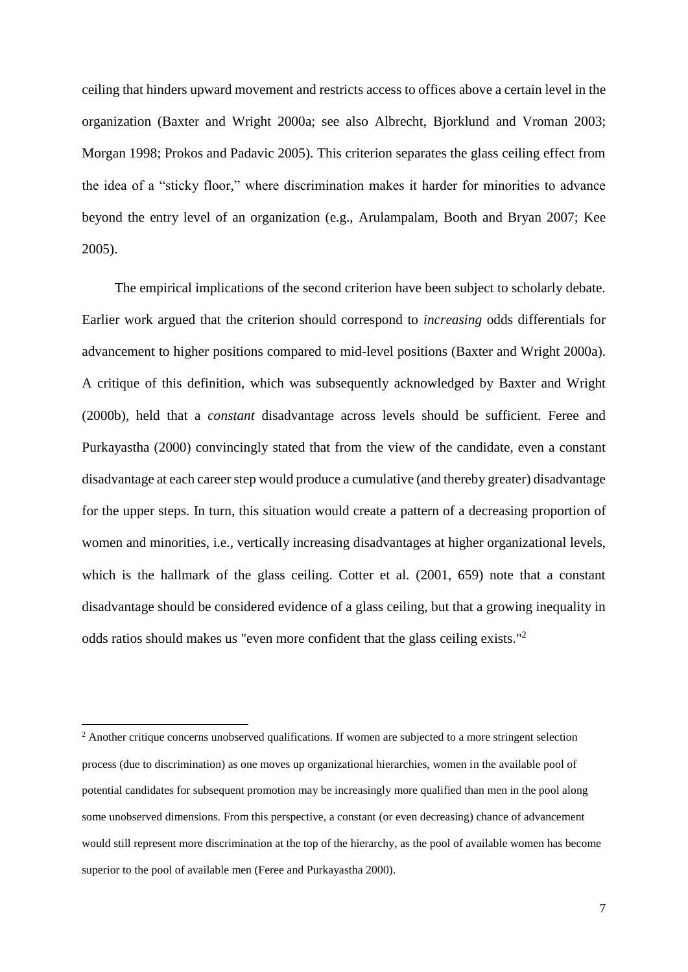ceiling that hinders upward movement and restricts access to offices above a certain level in the organization (Baxter and Wright 2000a; see also Albrecht, Bjorklund and Vroman 2003; Morgan 1998; Prokos and Padavic 2005). This criterion separates the glass ceiling effect from the idea of a "sticky floor," where discrimination makes it harder for minorities to advance beyond the entry level of an organization (e.g., Arulampalam, Booth and Bryan 2007; Kee 2005).

The empirical implications of the second criterion have been subject to scholarly debate. Earlier work argued that the criterion should correspond to *increasing* odds differentials for advancement to higher positions compared to mid-level positions (Baxter and Wright 2000a). A critique of this definition, which was subsequently acknowledged by Baxter and Wright (2000b), held that a *constant* disadvantage across levels should be sufficient. Feree and Purkayastha (2000) convincingly stated that from the view of the candidate, even a constant disadvantage at each career step would produce a cumulative (and thereby greater) disadvantage for the upper steps. In turn, this situation would create a pattern of a decreasing proportion of women and minorities, i.e., vertically increasing disadvantages at higher organizational levels, which is the hallmark of the glass ceiling. Cotter et al. (2001, 659) note that a constant disadvantage should be considered evidence of a glass ceiling, but that a growing inequality in odds ratios should makes us "even more confident that the glass ceiling exists."<sup>2</sup>

 $\overline{\phantom{a}}$ 

<sup>&</sup>lt;sup>2</sup> Another critique concerns unobserved qualifications. If women are subjected to a more stringent selection process (due to discrimination) as one moves up organizational hierarchies, women in the available pool of potential candidates for subsequent promotion may be increasingly more qualified than men in the pool along some unobserved dimensions. From this perspective, a constant (or even decreasing) chance of advancement would still represent more discrimination at the top of the hierarchy, as the pool of available women has become superior to the pool of available men (Feree and Purkayastha 2000).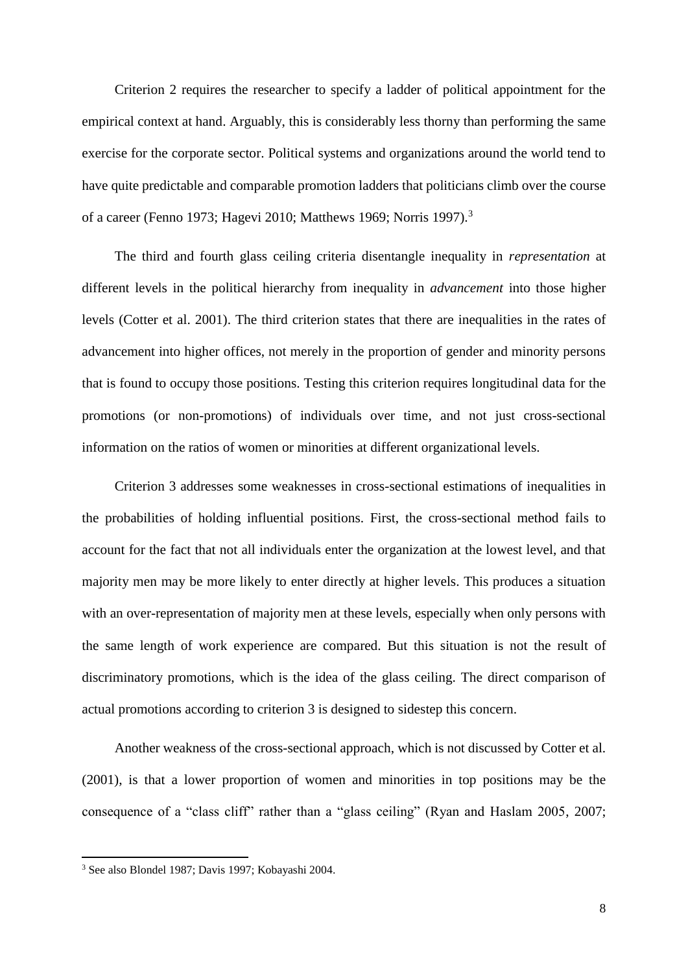Criterion 2 requires the researcher to specify a ladder of political appointment for the empirical context at hand. Arguably, this is considerably less thorny than performing the same exercise for the corporate sector. Political systems and organizations around the world tend to have quite predictable and comparable promotion ladders that politicians climb over the course of a career (Fenno 1973; Hagevi 2010; Matthews 1969; Norris 1997).<sup>3</sup>

The third and fourth glass ceiling criteria disentangle inequality in *representation* at different levels in the political hierarchy from inequality in *advancement* into those higher levels (Cotter et al. 2001). The third criterion states that there are inequalities in the rates of advancement into higher offices, not merely in the proportion of gender and minority persons that is found to occupy those positions. Testing this criterion requires longitudinal data for the promotions (or non-promotions) of individuals over time, and not just cross-sectional information on the ratios of women or minorities at different organizational levels.

Criterion 3 addresses some weaknesses in cross-sectional estimations of inequalities in the probabilities of holding influential positions. First, the cross-sectional method fails to account for the fact that not all individuals enter the organization at the lowest level, and that majority men may be more likely to enter directly at higher levels. This produces a situation with an over-representation of majority men at these levels, especially when only persons with the same length of work experience are compared. But this situation is not the result of discriminatory promotions, which is the idea of the glass ceiling. The direct comparison of actual promotions according to criterion 3 is designed to sidestep this concern.

Another weakness of the cross-sectional approach, which is not discussed by Cotter et al. (2001), is that a lower proportion of women and minorities in top positions may be the consequence of a "class cliff" rather than a "glass ceiling" (Ryan and Haslam 2005, 2007;

 $\overline{\phantom{a}}$ 

<sup>3</sup> See also Blondel 1987; Davis 1997; Kobayashi 2004.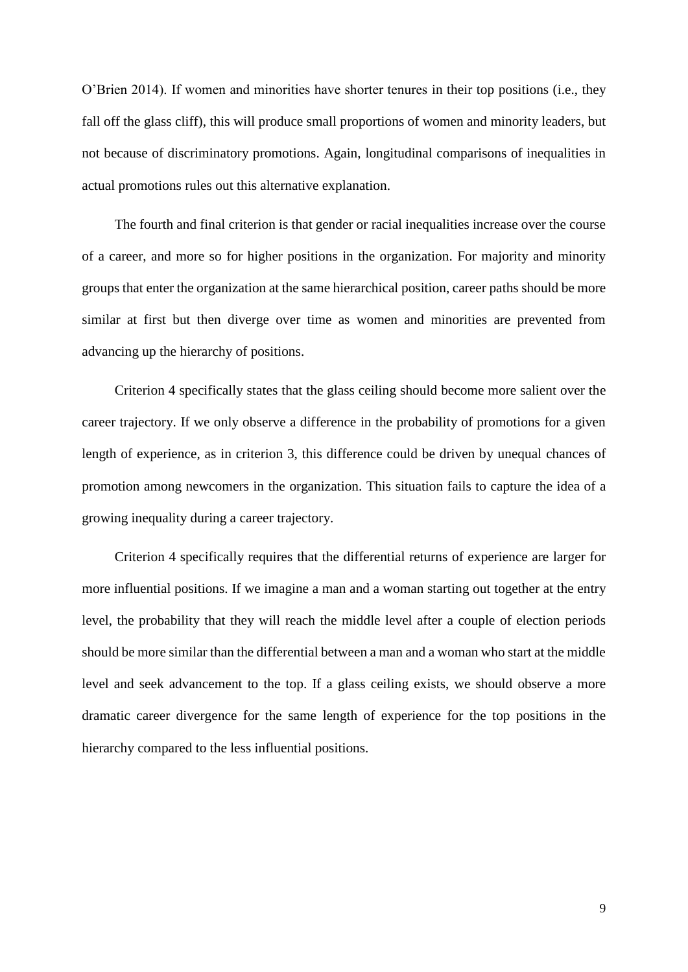O'Brien 2014). If women and minorities have shorter tenures in their top positions (i.e., they fall off the glass cliff), this will produce small proportions of women and minority leaders, but not because of discriminatory promotions. Again, longitudinal comparisons of inequalities in actual promotions rules out this alternative explanation.

The fourth and final criterion is that gender or racial inequalities increase over the course of a career, and more so for higher positions in the organization. For majority and minority groups that enter the organization at the same hierarchical position, career paths should be more similar at first but then diverge over time as women and minorities are prevented from advancing up the hierarchy of positions.

Criterion 4 specifically states that the glass ceiling should become more salient over the career trajectory. If we only observe a difference in the probability of promotions for a given length of experience, as in criterion 3, this difference could be driven by unequal chances of promotion among newcomers in the organization. This situation fails to capture the idea of a growing inequality during a career trajectory.

Criterion 4 specifically requires that the differential returns of experience are larger for more influential positions. If we imagine a man and a woman starting out together at the entry level, the probability that they will reach the middle level after a couple of election periods should be more similar than the differential between a man and a woman who start at the middle level and seek advancement to the top. If a glass ceiling exists, we should observe a more dramatic career divergence for the same length of experience for the top positions in the hierarchy compared to the less influential positions.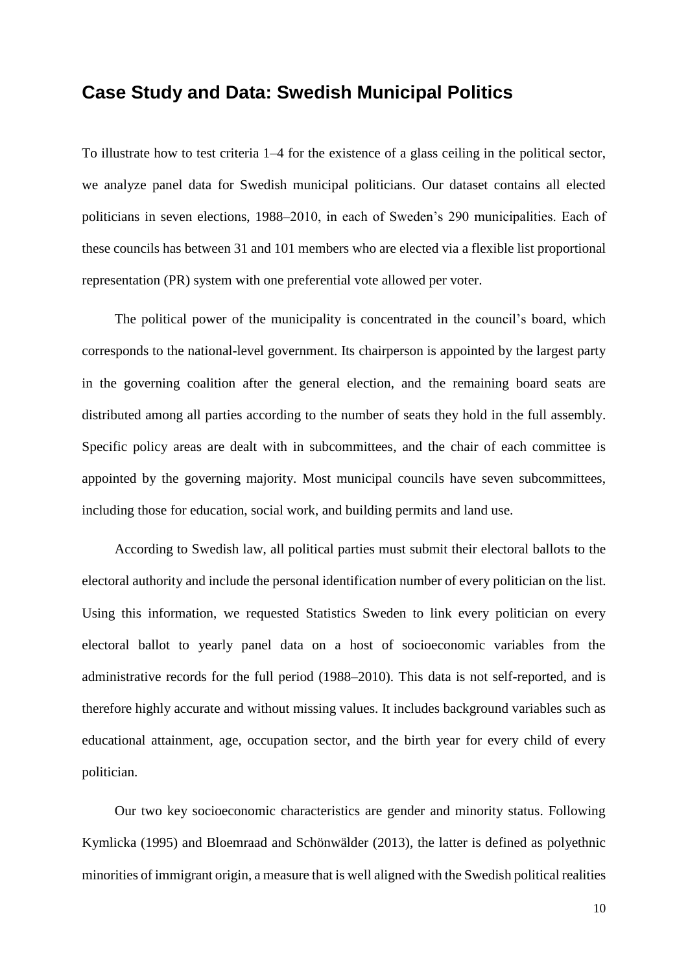## **Case Study and Data: Swedish Municipal Politics**

To illustrate how to test criteria 1–4 for the existence of a glass ceiling in the political sector, we analyze panel data for Swedish municipal politicians. Our dataset contains all elected politicians in seven elections, 1988–2010, in each of Sweden's 290 municipalities. Each of these councils has between 31 and 101 members who are elected via a flexible list proportional representation (PR) system with one preferential vote allowed per voter.

The political power of the municipality is concentrated in the council's board, which corresponds to the national-level government. Its chairperson is appointed by the largest party in the governing coalition after the general election, and the remaining board seats are distributed among all parties according to the number of seats they hold in the full assembly. Specific policy areas are dealt with in subcommittees, and the chair of each committee is appointed by the governing majority. Most municipal councils have seven subcommittees, including those for education, social work, and building permits and land use.

According to Swedish law, all political parties must submit their electoral ballots to the electoral authority and include the personal identification number of every politician on the list. Using this information, we requested Statistics Sweden to link every politician on every electoral ballot to yearly panel data on a host of socioeconomic variables from the administrative records for the full period (1988–2010). This data is not self-reported, and is therefore highly accurate and without missing values. It includes background variables such as educational attainment, age, occupation sector, and the birth year for every child of every politician.

Our two key socioeconomic characteristics are gender and minority status. Following Kymlicka (1995) and Bloemraad and Schönwälder (2013), the latter is defined as polyethnic minorities of immigrant origin, a measure that is well aligned with the Swedish political realities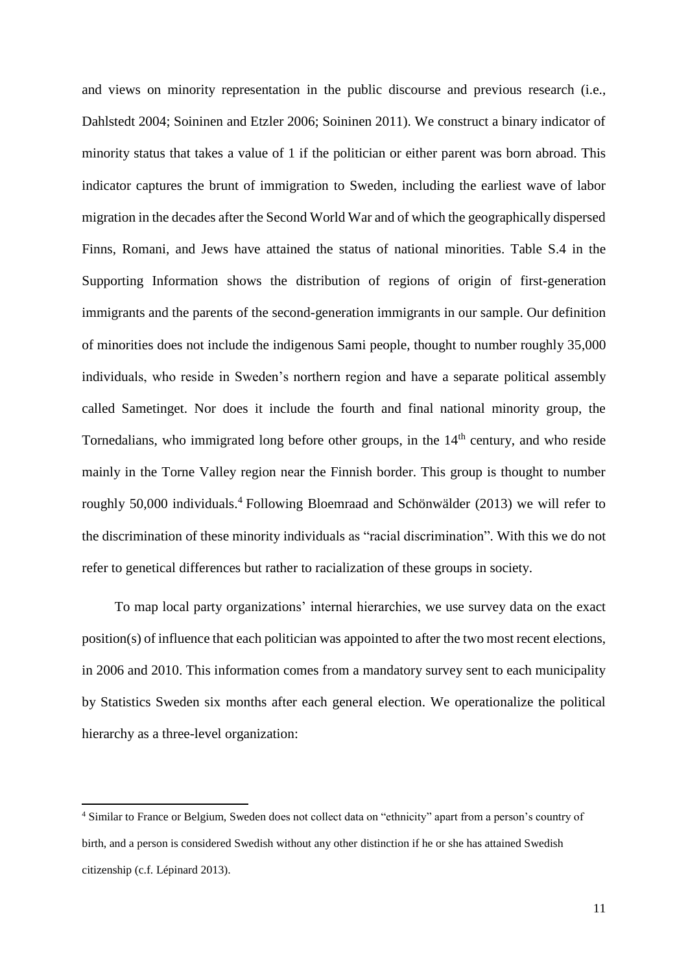and views on minority representation in the public discourse and previous research (i.e., Dahlstedt 2004; Soininen and Etzler 2006; Soininen 2011). We construct a binary indicator of minority status that takes a value of 1 if the politician or either parent was born abroad. This indicator captures the brunt of immigration to Sweden, including the earliest wave of labor migration in the decades after the Second World War and of which the geographically dispersed Finns, Romani, and Jews have attained the status of national minorities. Table S.4 in the Supporting Information shows the distribution of regions of origin of first-generation immigrants and the parents of the second-generation immigrants in our sample. Our definition of minorities does not include the indigenous Sami people, thought to number roughly 35,000 individuals, who reside in Sweden's northern region and have a separate political assembly called Sametinget. Nor does it include the fourth and final national minority group, the Tornedalians, who immigrated long before other groups, in the 14<sup>th</sup> century, and who reside mainly in the Torne Valley region near the Finnish border. This group is thought to number roughly 50,000 individuals.<sup>4</sup> Following Bloemraad and Schönwälder (2013) we will refer to the discrimination of these minority individuals as "racial discrimination". With this we do not refer to genetical differences but rather to racialization of these groups in society.

To map local party organizations' internal hierarchies, we use survey data on the exact position(s) of influence that each politician was appointed to after the two most recent elections, in 2006 and 2010. This information comes from a mandatory survey sent to each municipality by Statistics Sweden six months after each general election. We operationalize the political hierarchy as a three-level organization:

 $\overline{a}$ 

<sup>4</sup> Similar to France or Belgium, Sweden does not collect data on "ethnicity" apart from a person's country of birth, and a person is considered Swedish without any other distinction if he or she has attained Swedish citizenship (c.f. Lépinard 2013).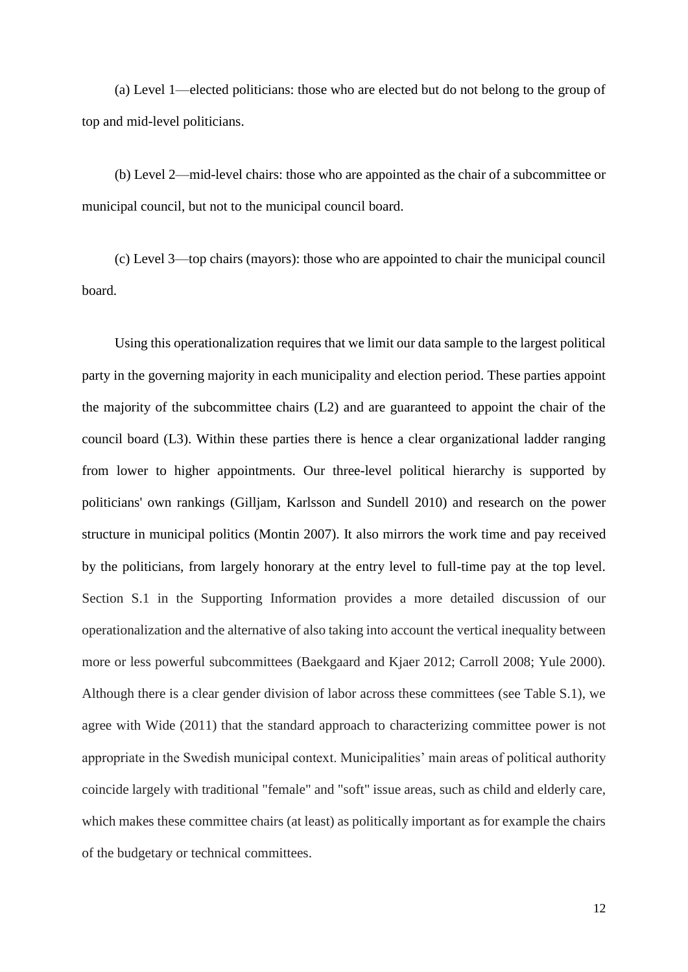(a) Level 1—elected politicians: those who are elected but do not belong to the group of top and mid-level politicians.

(b) Level 2—mid-level chairs: those who are appointed as the chair of a subcommittee or municipal council, but not to the municipal council board.

(c) Level 3—top chairs (mayors): those who are appointed to chair the municipal council board.

Using this operationalization requires that we limit our data sample to the largest political party in the governing majority in each municipality and election period. These parties appoint the majority of the subcommittee chairs (L2) and are guaranteed to appoint the chair of the council board (L3). Within these parties there is hence a clear organizational ladder ranging from lower to higher appointments. Our three-level political hierarchy is supported by politicians' own rankings (Gilljam, Karlsson and Sundell 2010) and research on the power structure in municipal politics (Montin 2007). It also mirrors the work time and pay received by the politicians, from largely honorary at the entry level to full-time pay at the top level. Section S.1 in the Supporting Information provides a more detailed discussion of our operationalization and the alternative of also taking into account the vertical inequality between more or less powerful subcommittees (Baekgaard and Kjaer 2012; Carroll 2008; Yule 2000). Although there is a clear gender division of labor across these committees (see Table S.1), we agree with Wide (2011) that the standard approach to characterizing committee power is not appropriate in the Swedish municipal context. Municipalities' main areas of political authority coincide largely with traditional "female" and "soft" issue areas, such as child and elderly care, which makes these committee chairs (at least) as politically important as for example the chairs of the budgetary or technical committees.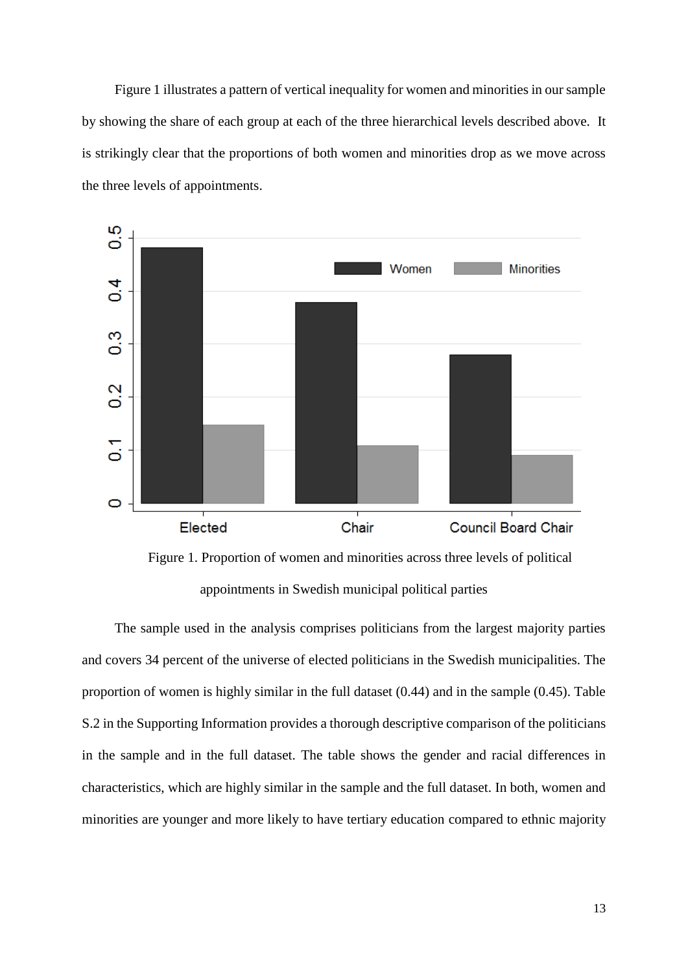Figure 1 illustrates a pattern of vertical inequality for women and minorities in our sample by showing the share of each group at each of the three hierarchical levels described above. It is strikingly clear that the proportions of both women and minorities drop as we move across the three levels of appointments.





The sample used in the analysis comprises politicians from the largest majority parties and covers 34 percent of the universe of elected politicians in the Swedish municipalities. The proportion of women is highly similar in the full dataset (0.44) and in the sample (0.45). Table S.2 in the Supporting Information provides a thorough descriptive comparison of the politicians in the sample and in the full dataset. The table shows the gender and racial differences in characteristics, which are highly similar in the sample and the full dataset. In both, women and minorities are younger and more likely to have tertiary education compared to ethnic majority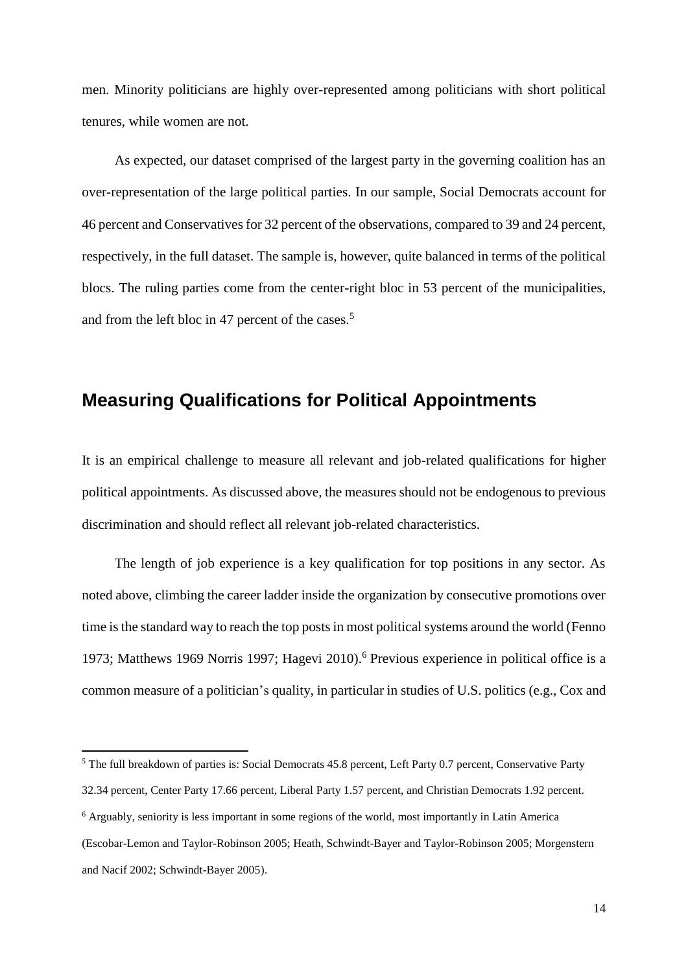men. Minority politicians are highly over-represented among politicians with short political tenures, while women are not.

As expected, our dataset comprised of the largest party in the governing coalition has an over-representation of the large political parties. In our sample, Social Democrats account for 46 percent and Conservatives for 32 percent of the observations, compared to 39 and 24 percent, respectively, in the full dataset. The sample is, however, quite balanced in terms of the political blocs. The ruling parties come from the center-right bloc in 53 percent of the municipalities, and from the left bloc in 47 percent of the cases.<sup>5</sup>

## **Measuring Qualifications for Political Appointments**

It is an empirical challenge to measure all relevant and job-related qualifications for higher political appointments. As discussed above, the measures should not be endogenous to previous discrimination and should reflect all relevant job-related characteristics.

The length of job experience is a key qualification for top positions in any sector. As noted above, climbing the career ladder inside the organization by consecutive promotions over time is the standard way to reach the top posts in most political systems around the world (Fenno 1973; Matthews 1969 Norris 1997; Hagevi 2010).<sup>6</sup> Previous experience in political office is a common measure of a politician's quality, in particular in studies of U.S. politics (e.g., Cox and

l

<sup>5</sup> The full breakdown of parties is: Social Democrats 45.8 percent, Left Party 0.7 percent, Conservative Party

<sup>32.34</sup> percent, Center Party 17.66 percent, Liberal Party 1.57 percent, and Christian Democrats 1.92 percent.

<sup>6</sup> Arguably, seniority is less important in some regions of the world, most importantly in Latin America

<sup>(</sup>Escobar-Lemon and Taylor-Robinson 2005; Heath, Schwindt-Bayer and Taylor-Robinson 2005; Morgenstern and Nacif 2002; Schwindt-Bayer 2005).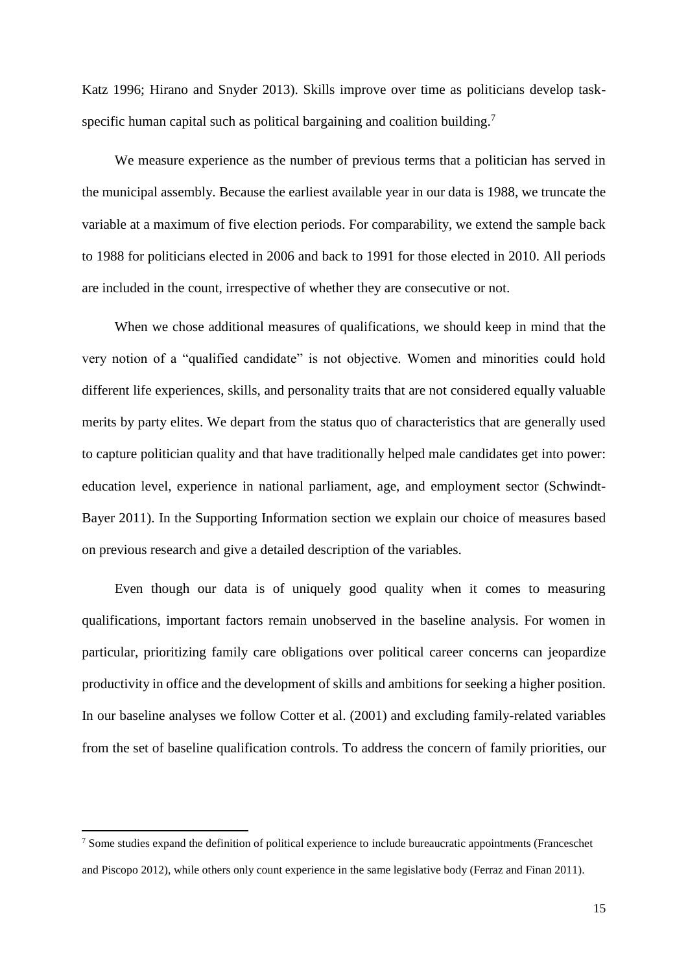Katz 1996; Hirano and Snyder 2013). Skills improve over time as politicians develop taskspecific human capital such as political bargaining and coalition building.<sup>7</sup>

We measure experience as the number of previous terms that a politician has served in the municipal assembly. Because the earliest available year in our data is 1988, we truncate the variable at a maximum of five election periods. For comparability, we extend the sample back to 1988 for politicians elected in 2006 and back to 1991 for those elected in 2010. All periods are included in the count, irrespective of whether they are consecutive or not.

When we chose additional measures of qualifications, we should keep in mind that the very notion of a "qualified candidate" is not objective. Women and minorities could hold different life experiences, skills, and personality traits that are not considered equally valuable merits by party elites. We depart from the status quo of characteristics that are generally used to capture politician quality and that have traditionally helped male candidates get into power: education level, experience in national parliament, age, and employment sector (Schwindt-Bayer 2011). In the Supporting Information section we explain our choice of measures based on previous research and give a detailed description of the variables.

Even though our data is of uniquely good quality when it comes to measuring qualifications, important factors remain unobserved in the baseline analysis. For women in particular, prioritizing family care obligations over political career concerns can jeopardize productivity in office and the development of skills and ambitions for seeking a higher position. In our baseline analyses we follow Cotter et al. (2001) and excluding family-related variables from the set of baseline qualification controls. To address the concern of family priorities, our

 $\overline{\phantom{a}}$ 

<sup>7</sup> Some studies expand the definition of political experience to include bureaucratic appointments (Franceschet and Piscopo 2012), while others only count experience in the same legislative body (Ferraz and Finan 2011).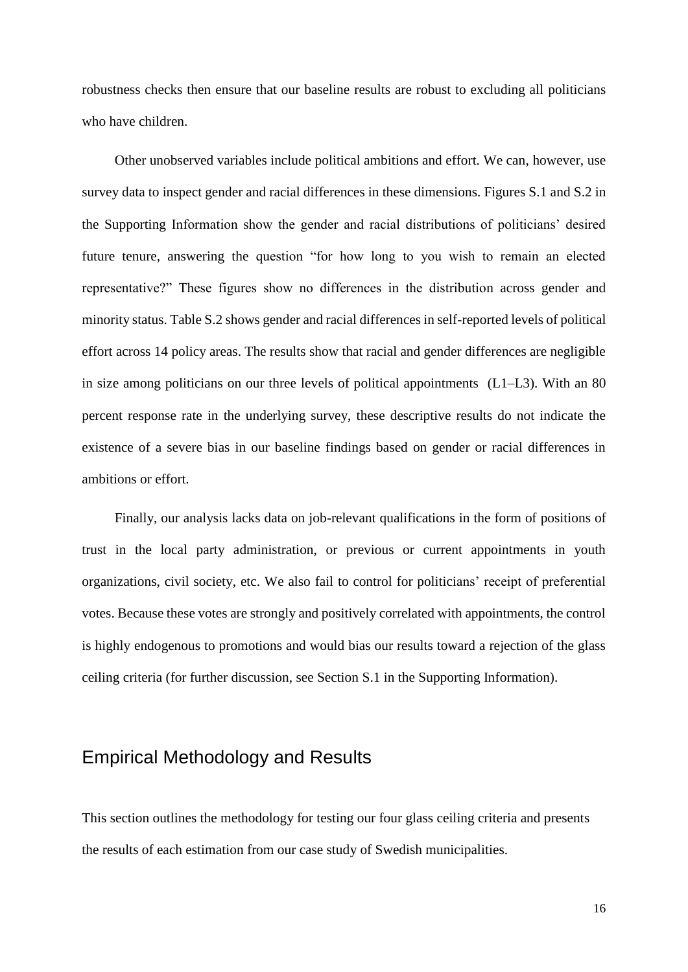robustness checks then ensure that our baseline results are robust to excluding all politicians who have children.

Other unobserved variables include political ambitions and effort. We can, however, use survey data to inspect gender and racial differences in these dimensions. Figures S.1 and S.2 in the Supporting Information show the gender and racial distributions of politicians' desired future tenure, answering the question "for how long to you wish to remain an elected representative?" These figures show no differences in the distribution across gender and minority status. Table S.2 shows gender and racial differences in self-reported levels of political effort across 14 policy areas. The results show that racial and gender differences are negligible in size among politicians on our three levels of political appointments (L1–L3). With an 80 percent response rate in the underlying survey, these descriptive results do not indicate the existence of a severe bias in our baseline findings based on gender or racial differences in ambitions or effort.

Finally, our analysis lacks data on job-relevant qualifications in the form of positions of trust in the local party administration, or previous or current appointments in youth organizations, civil society, etc. We also fail to control for politicians' receipt of preferential votes. Because these votes are strongly and positively correlated with appointments, the control is highly endogenous to promotions and would bias our results toward a rejection of the glass ceiling criteria (for further discussion, see Section S.1 in the Supporting Information).

## Empirical Methodology and Results

This section outlines the methodology for testing our four glass ceiling criteria and presents the results of each estimation from our case study of Swedish municipalities.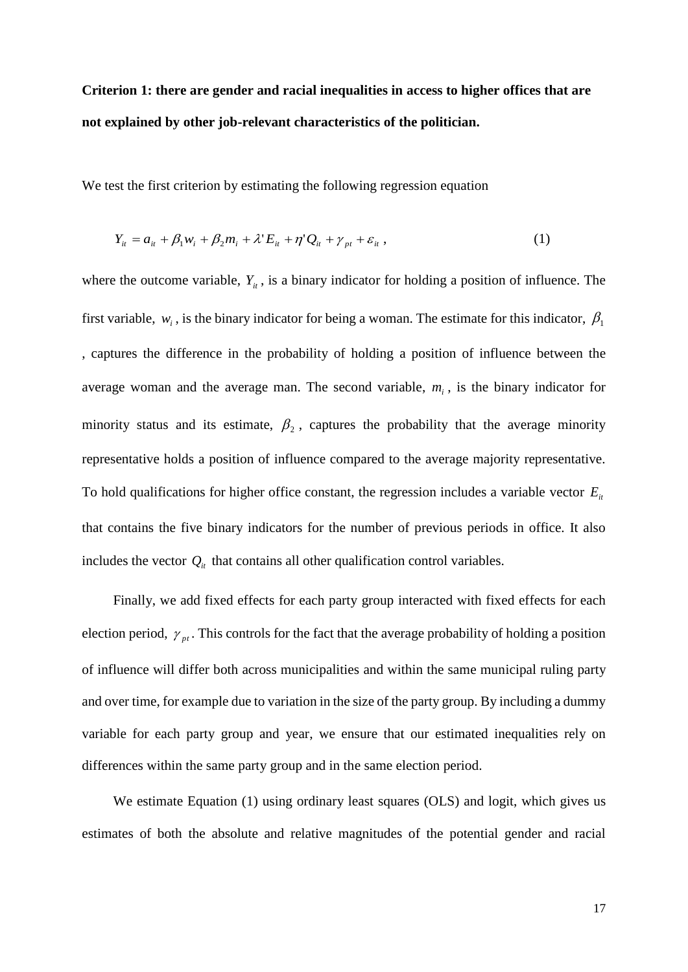**Criterion 1: there are gender and racial inequalities in access to higher offices that are not explained by other job-relevant characteristics of the politician.**

We test the first criterion by estimating the following regression equation

$$
Y_{it} = a_{it} + \beta_1 w_i + \beta_2 m_i + \lambda' E_{it} + \eta' Q_{it} + \gamma_{pt} + \varepsilon_{it} , \qquad (1)
$$

where the outcome variable,  $Y_{it}$ , is a binary indicator for holding a position of influence. The first variable,  $w_i$ , is the binary indicator for being a woman. The estimate for this indicator,  $\beta_1$ , captures the difference in the probability of holding a position of influence between the average woman and the average man. The second variable,  $m<sub>i</sub>$ , is the binary indicator for minority status and its estimate,  $\beta_2$ , captures the probability that the average minority representative holds a position of influence compared to the average majority representative. To hold qualifications for higher office constant, the regression includes a variable vector  $E<sub>i</sub>$ that contains the five binary indicators for the number of previous periods in office. It also includes the vector  $Q_i$  that contains all other qualification control variables.

Finally, we add fixed effects for each party group interacted with fixed effects for each election period,  $\gamma_{pt}$ . This controls for the fact that the average probability of holding a position of influence will differ both across municipalities and within the same municipal ruling party and over time, for example due to variation in the size of the party group. By including a dummy variable for each party group and year, we ensure that our estimated inequalities rely on differences within the same party group and in the same election period.

We estimate Equation (1) using ordinary least squares (OLS) and logit, which gives us estimates of both the absolute and relative magnitudes of the potential gender and racial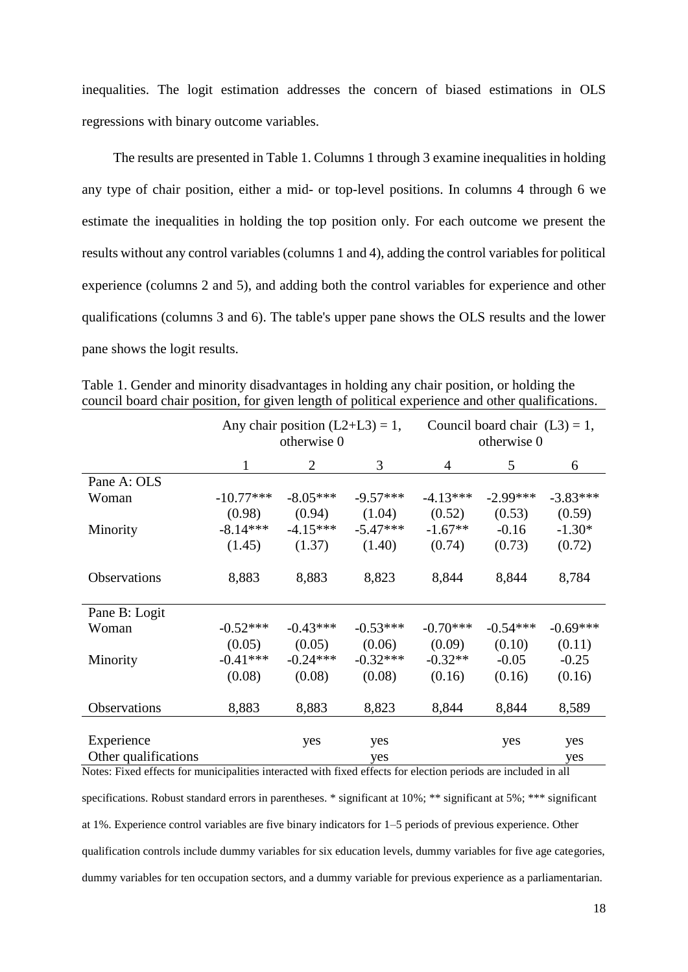inequalities. The logit estimation addresses the concern of biased estimations in OLS regressions with binary outcome variables.

The results are presented in Table 1. Columns 1 through 3 examine inequalities in holding any type of chair position, either a mid- or top-level positions. In columns 4 through 6 we estimate the inequalities in holding the top position only. For each outcome we present the results without any control variables (columns 1 and 4), adding the control variables for political experience (columns 2 and 5), and adding both the control variables for experience and other qualifications (columns 3 and 6). The table's upper pane shows the OLS results and the lower pane shows the logit results.

|                      |             | Any chair position $(L2+L3) = 1$ ,<br>otherwise 0 |            | Council board chair $(L3) = 1$ ,<br>otherwise 0 |            |            |  |
|----------------------|-------------|---------------------------------------------------|------------|-------------------------------------------------|------------|------------|--|
|                      | 1           | 2                                                 | 3          | 4                                               | 5          | 6          |  |
| Pane A: OLS          |             |                                                   |            |                                                 |            |            |  |
| Woman                | $-10.77***$ | $-8.05***$                                        | $-9.57***$ | $-4.13***$                                      | $-2.99***$ | $-3.83***$ |  |
|                      | (0.98)      | (0.94)                                            | (1.04)     | (0.52)                                          | (0.53)     | (0.59)     |  |
| Minority             | $-8.14***$  | $-4.15***$                                        | $-5.47***$ | $-1.67**$                                       | $-0.16$    | $-1.30*$   |  |
|                      | (1.45)      | (1.37)                                            | (1.40)     | (0.74)                                          | (0.73)     | (0.72)     |  |
| Observations         | 8,883       | 8,883                                             | 8,823      | 8,844                                           | 8,844      | 8,784      |  |
| Pane B: Logit        |             |                                                   |            |                                                 |            |            |  |
| Woman                | $-0.52***$  | $-0.43***$                                        | $-0.53***$ | $-0.70***$                                      | $-0.54***$ | $-0.69***$ |  |
|                      | (0.05)      | (0.05)                                            | (0.06)     | (0.09)                                          | (0.10)     | (0.11)     |  |
| Minority             | $-0.41***$  | $-0.24***$                                        | $-0.32***$ | $-0.32**$                                       | $-0.05$    | $-0.25$    |  |
|                      | (0.08)      | (0.08)                                            | (0.08)     | (0.16)                                          | (0.16)     | (0.16)     |  |
| Observations         | 8,883       | 8,883                                             | 8,823      | 8,844                                           | 8,844      | 8,589      |  |
|                      |             |                                                   |            |                                                 |            |            |  |
| Experience           |             | yes                                               | yes        |                                                 | yes        | yes        |  |
| Other qualifications |             |                                                   | yes        |                                                 |            | yes        |  |

Table 1. Gender and minority disadvantages in holding any chair position, or holding the council board chair position, for given length of political experience and other qualifications.

Notes: Fixed effects for municipalities interacted with fixed effects for election periods are included in all specifications. Robust standard errors in parentheses. \* significant at 10%; \*\* significant at 5%; \*\*\* significant at 1%. Experience control variables are five binary indicators for 1–5 periods of previous experience. Other qualification controls include dummy variables for six education levels, dummy variables for five age categories, dummy variables for ten occupation sectors, and a dummy variable for previous experience as a parliamentarian.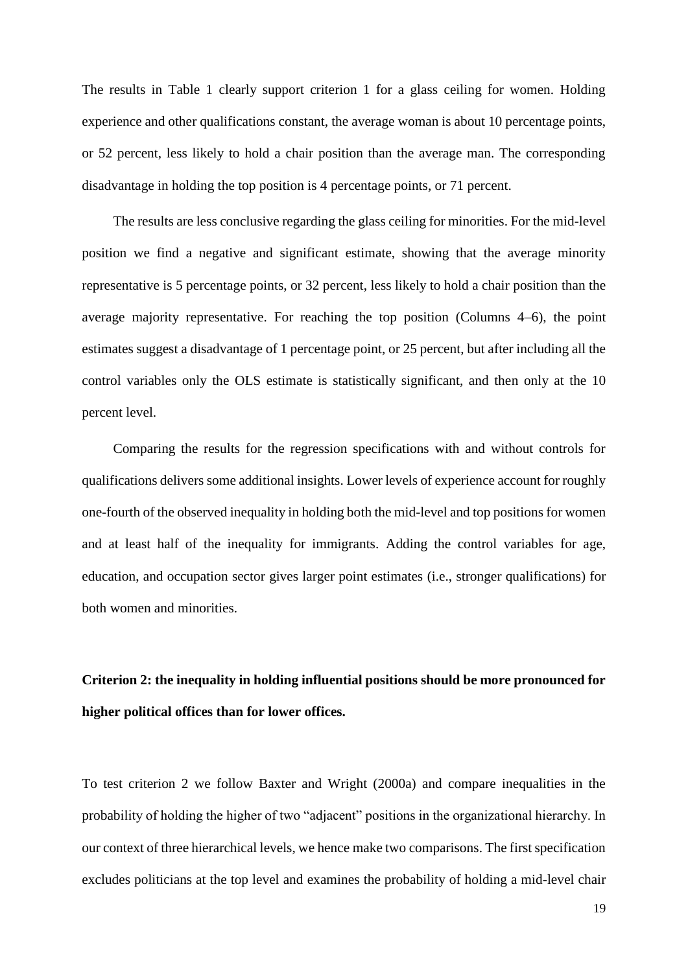The results in Table 1 clearly support criterion 1 for a glass ceiling for women. Holding experience and other qualifications constant, the average woman is about 10 percentage points, or 52 percent, less likely to hold a chair position than the average man. The corresponding disadvantage in holding the top position is 4 percentage points, or 71 percent.

The results are less conclusive regarding the glass ceiling for minorities. For the mid-level position we find a negative and significant estimate, showing that the average minority representative is 5 percentage points, or 32 percent, less likely to hold a chair position than the average majority representative. For reaching the top position (Columns 4–6), the point estimates suggest a disadvantage of 1 percentage point, or 25 percent, but after including all the control variables only the OLS estimate is statistically significant, and then only at the 10 percent level.

Comparing the results for the regression specifications with and without controls for qualifications delivers some additional insights. Lower levels of experience account for roughly one-fourth of the observed inequality in holding both the mid-level and top positions for women and at least half of the inequality for immigrants. Adding the control variables for age, education, and occupation sector gives larger point estimates (i.e., stronger qualifications) for both women and minorities.

## **Criterion 2: the inequality in holding influential positions should be more pronounced for higher political offices than for lower offices.**

To test criterion 2 we follow Baxter and Wright (2000a) and compare inequalities in the probability of holding the higher of two "adjacent" positions in the organizational hierarchy. In our context of three hierarchical levels, we hence make two comparisons. The first specification excludes politicians at the top level and examines the probability of holding a mid-level chair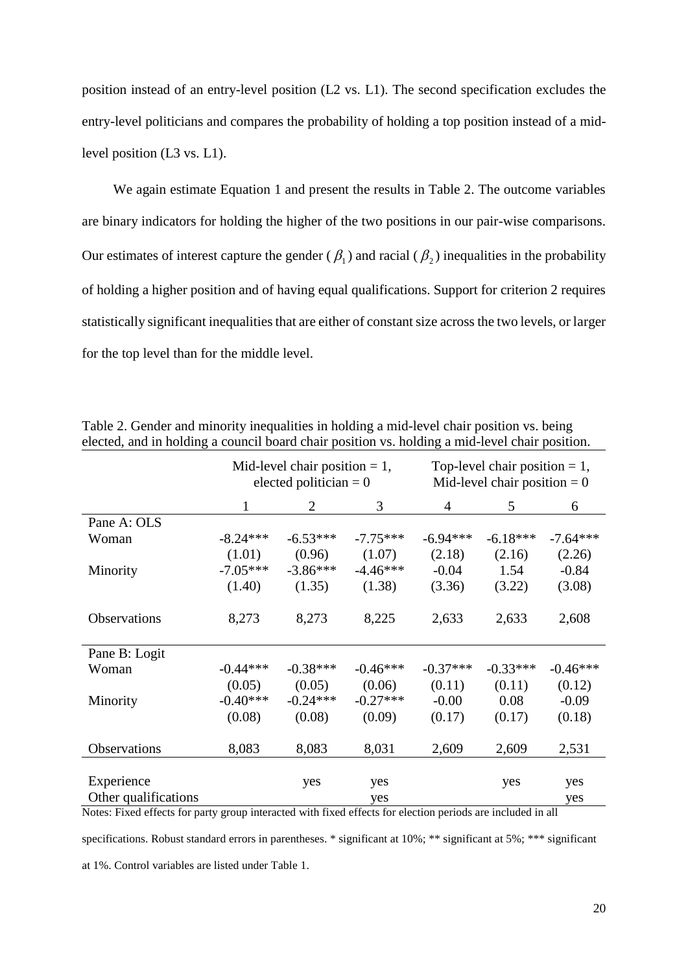position instead of an entry-level position (L2 vs. L1). The second specification excludes the entry-level politicians and compares the probability of holding a top position instead of a midlevel position (L3 vs. L1).

We again estimate Equation 1 and present the results in Table 2. The outcome variables are binary indicators for holding the higher of the two positions in our pair-wise comparisons. Our estimates of interest capture the gender ( $\beta_1$ ) and racial ( $\beta_2$ ) inequalities in the probability of holding a higher position and of having equal qualifications. Support for criterion 2 requires statistically significant inequalities that are either of constant size across the two levels, or larger for the top level than for the middle level.

|                      |              | Mid-level chair position $= 1$ ,<br>elected politician $= 0$ |            | Top-level chair position $= 1$ ,<br>Mid-level chair position $= 0$ |            |            |  |
|----------------------|--------------|--------------------------------------------------------------|------------|--------------------------------------------------------------------|------------|------------|--|
|                      | $\mathbf{1}$ | 2                                                            | 3          | 4                                                                  | 5          | 6          |  |
| Pane A: OLS          |              |                                                              |            |                                                                    |            |            |  |
| Woman                | $-8.24***$   | $-6.53***$                                                   | $-7.75***$ | $-6.94***$                                                         | $-6.18***$ | $-7.64***$ |  |
|                      | (1.01)       | (0.96)                                                       | (1.07)     | (2.18)                                                             | (2.16)     | (2.26)     |  |
| Minority             | $-7.05***$   | $-3.86***$                                                   | $-4.46***$ | $-0.04$                                                            | 1.54       | $-0.84$    |  |
|                      | (1.40)       | (1.35)                                                       | (1.38)     | (3.36)                                                             | (3.22)     | (3.08)     |  |
| Observations         | 8,273        | 8,273                                                        | 8,225      | 2,633                                                              | 2,633      | 2,608      |  |
| Pane B: Logit        |              |                                                              |            |                                                                    |            |            |  |
| Woman                | $-0.44***$   | $-0.38***$                                                   | $-0.46***$ | $-0.37***$                                                         | $-0.33***$ | $-0.46***$ |  |
|                      | (0.05)       | (0.05)                                                       | (0.06)     | (0.11)                                                             | (0.11)     | (0.12)     |  |
| Minority             | $-0.40***$   | $-0.24***$                                                   | $-0.27***$ | $-0.00$                                                            | 0.08       | $-0.09$    |  |
|                      | (0.08)       | (0.08)                                                       | (0.09)     | (0.17)                                                             | (0.17)     | (0.18)     |  |
| Observations         | 8,083        | 8,083                                                        | 8,031      | 2,609                                                              | 2,609      | 2,531      |  |
|                      |              |                                                              |            |                                                                    |            |            |  |
| Experience           |              | yes                                                          | yes        |                                                                    | yes        | yes        |  |
| Other qualifications |              |                                                              | yes        |                                                                    |            | yes        |  |

Table 2. Gender and minority inequalities in holding a mid-level chair position vs. being elected, and in holding a council board chair position vs. holding a mid-level chair position.

Notes: Fixed effects for party group interacted with fixed effects for election periods are included in all

specifications. Robust standard errors in parentheses. \* significant at 10%; \*\* significant at 5%; \*\*\* significant at 1%. Control variables are listed under Table 1.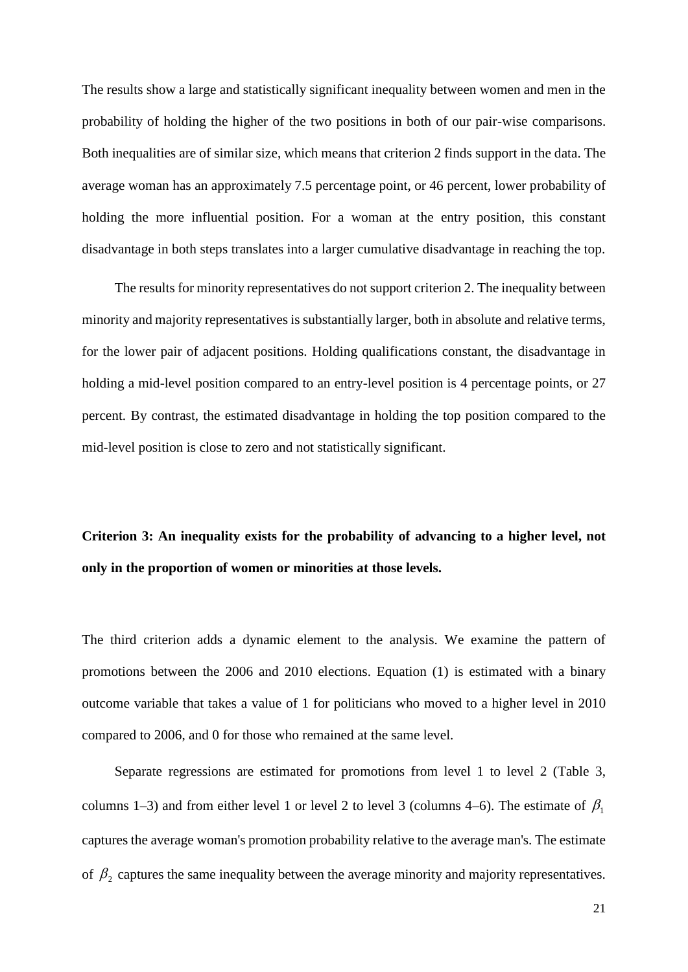The results show a large and statistically significant inequality between women and men in the probability of holding the higher of the two positions in both of our pair-wise comparisons. Both inequalities are of similar size, which means that criterion 2 finds support in the data. The average woman has an approximately 7.5 percentage point, or 46 percent, lower probability of holding the more influential position. For a woman at the entry position, this constant disadvantage in both steps translates into a larger cumulative disadvantage in reaching the top.

The results for minority representatives do not support criterion 2. The inequality between minority and majority representatives is substantially larger, both in absolute and relative terms, for the lower pair of adjacent positions. Holding qualifications constant, the disadvantage in holding a mid-level position compared to an entry-level position is 4 percentage points, or 27 percent. By contrast, the estimated disadvantage in holding the top position compared to the mid-level position is close to zero and not statistically significant.

## **Criterion 3: An inequality exists for the probability of advancing to a higher level, not only in the proportion of women or minorities at those levels.**

The third criterion adds a dynamic element to the analysis. We examine the pattern of promotions between the 2006 and 2010 elections. Equation (1) is estimated with a binary outcome variable that takes a value of 1 for politicians who moved to a higher level in 2010 compared to 2006, and 0 for those who remained at the same level.

Separate regressions are estimated for promotions from level 1 to level 2 (Table 3, columns 1–3) and from either level 1 or level 2 to level 3 (columns 4–6). The estimate of  $\beta_1$ captures the average woman's promotion probability relative to the average man's. The estimate of  $\beta_2$  captures the same inequality between the average minority and majority representatives.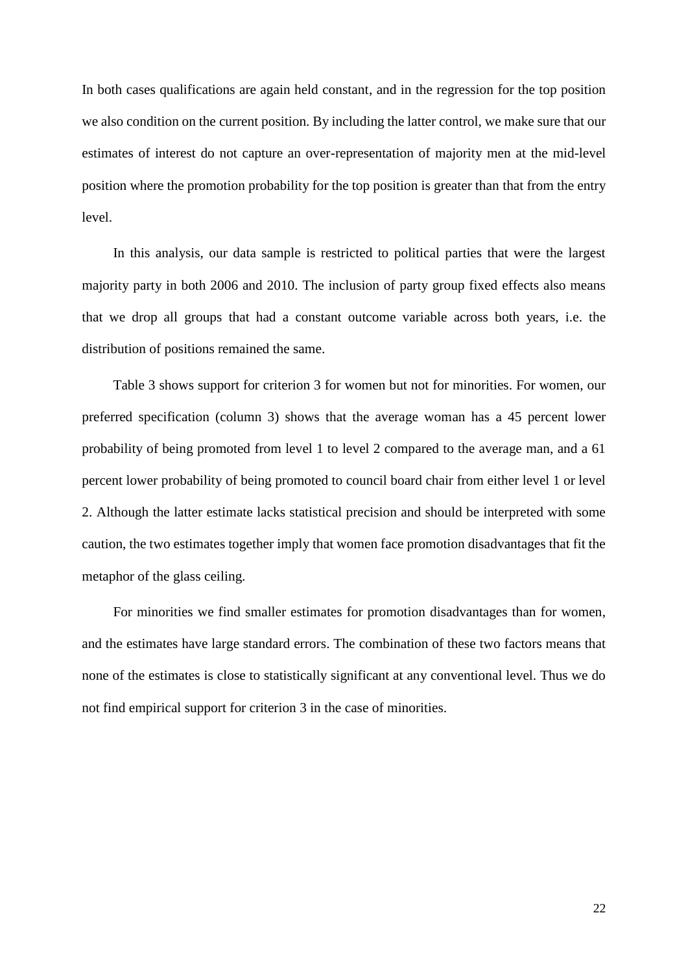In both cases qualifications are again held constant, and in the regression for the top position we also condition on the current position. By including the latter control, we make sure that our estimates of interest do not capture an over-representation of majority men at the mid-level position where the promotion probability for the top position is greater than that from the entry level.

In this analysis, our data sample is restricted to political parties that were the largest majority party in both 2006 and 2010. The inclusion of party group fixed effects also means that we drop all groups that had a constant outcome variable across both years, i.e. the distribution of positions remained the same.

Table 3 shows support for criterion 3 for women but not for minorities. For women, our preferred specification (column 3) shows that the average woman has a 45 percent lower probability of being promoted from level 1 to level 2 compared to the average man, and a 61 percent lower probability of being promoted to council board chair from either level 1 or level 2. Although the latter estimate lacks statistical precision and should be interpreted with some caution, the two estimates together imply that women face promotion disadvantages that fit the metaphor of the glass ceiling.

For minorities we find smaller estimates for promotion disadvantages than for women, and the estimates have large standard errors. The combination of these two factors means that none of the estimates is close to statistically significant at any conventional level. Thus we do not find empirical support for criterion 3 in the case of minorities.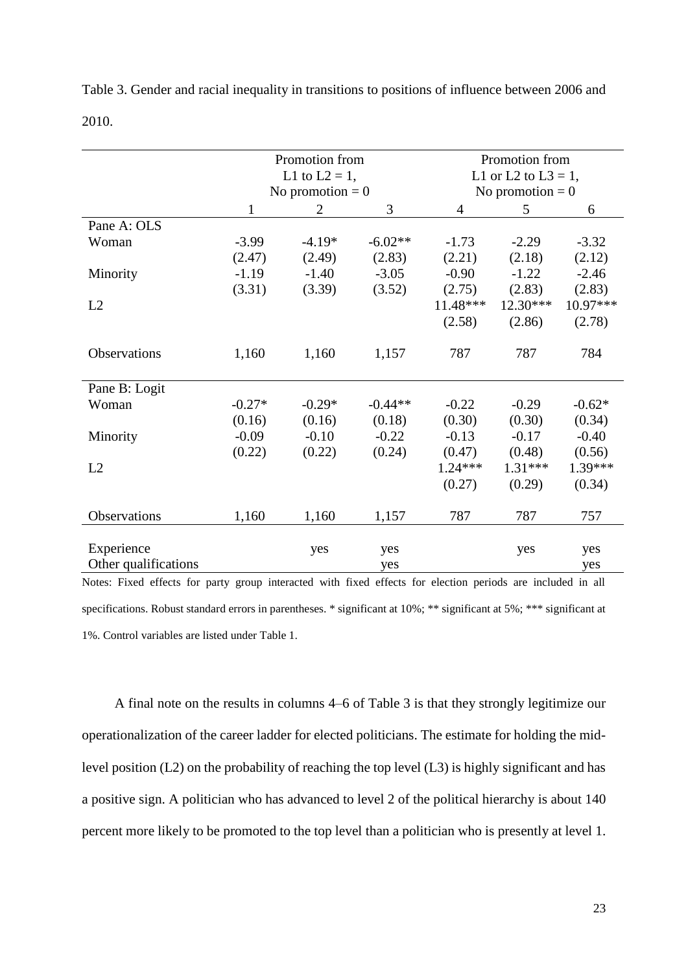|                      |              | Promotion from     |           | Promotion from         |                    |          |  |
|----------------------|--------------|--------------------|-----------|------------------------|--------------------|----------|--|
|                      |              | L1 to $L2 = 1$ ,   |           | L1 or L2 to $L3 = 1$ , |                    |          |  |
|                      |              | No promotion $= 0$ |           |                        | No promotion $= 0$ |          |  |
|                      | $\mathbf{1}$ | $\overline{2}$     | 3         | $\overline{4}$         | 5                  | 6        |  |
| Pane A: OLS          |              |                    |           |                        |                    |          |  |
| Woman                | $-3.99$      | $-4.19*$           | $-6.02**$ | $-1.73$                | $-2.29$            | $-3.32$  |  |
|                      | (2.47)       | (2.49)             | (2.83)    | (2.21)                 | (2.18)             | (2.12)   |  |
| Minority             | $-1.19$      | $-1.40$            | $-3.05$   | $-0.90$                | $-1.22$            | $-2.46$  |  |
|                      | (3.31)       | (3.39)             | (3.52)    | (2.75)                 | (2.83)             | (2.83)   |  |
| L2                   |              |                    |           | 11.48***               | 12.30***           | 10.97*** |  |
|                      |              |                    |           | (2.58)                 | (2.86)             | (2.78)   |  |
|                      |              |                    |           |                        |                    |          |  |
| Observations         | 1,160        | 1,160              | 1,157     | 787                    | 787                | 784      |  |
|                      |              |                    |           |                        |                    |          |  |
| Pane B: Logit        |              |                    |           |                        |                    |          |  |
| Woman                | $-0.27*$     | $-0.29*$           | $-0.44**$ | $-0.22$                | $-0.29$            | $-0.62*$ |  |
|                      | (0.16)       | (0.16)             | (0.18)    | (0.30)                 | (0.30)             | (0.34)   |  |
| Minority             | $-0.09$      | $-0.10$            | $-0.22$   | $-0.13$                | $-0.17$            | $-0.40$  |  |
|                      | (0.22)       | (0.22)             | (0.24)    | (0.47)                 | (0.48)             | (0.56)   |  |
| L2                   |              |                    |           | $1.24***$              | $1.31***$          | 1.39***  |  |
|                      |              |                    |           | (0.27)                 | (0.29)             | (0.34)   |  |
|                      |              |                    |           |                        |                    |          |  |
| Observations         | 1,160        | 1,160              | 1,157     | 787                    | 787                | 757      |  |
|                      |              |                    |           |                        |                    |          |  |
| Experience           |              | yes                | yes       |                        | yes                | yes      |  |
| Other qualifications |              |                    | yes       |                        |                    | yes      |  |

Table 3. Gender and racial inequality in transitions to positions of influence between 2006 and 2010.

Notes: Fixed effects for party group interacted with fixed effects for election periods are included in all specifications. Robust standard errors in parentheses. \* significant at 10%; \*\* significant at 5%; \*\*\* significant at 1%. Control variables are listed under Table 1.

A final note on the results in columns 4–6 of Table 3 is that they strongly legitimize our operationalization of the career ladder for elected politicians. The estimate for holding the midlevel position (L2) on the probability of reaching the top level (L3) is highly significant and has a positive sign. A politician who has advanced to level 2 of the political hierarchy is about 140 percent more likely to be promoted to the top level than a politician who is presently at level 1.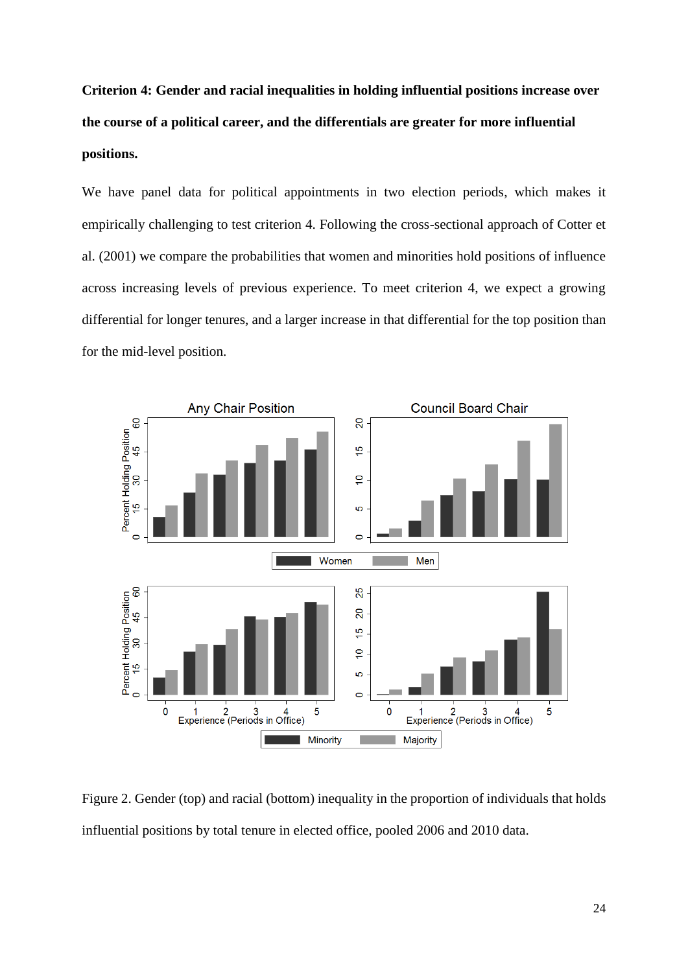**Criterion 4: Gender and racial inequalities in holding influential positions increase over the course of a political career, and the differentials are greater for more influential positions.** 

We have panel data for political appointments in two election periods, which makes it empirically challenging to test criterion 4. Following the cross-sectional approach of Cotter et al. (2001) we compare the probabilities that women and minorities hold positions of influence across increasing levels of previous experience. To meet criterion 4, we expect a growing differential for longer tenures, and a larger increase in that differential for the top position than for the mid-level position.



Figure 2. Gender (top) and racial (bottom) inequality in the proportion of individuals that holds influential positions by total tenure in elected office, pooled 2006 and 2010 data.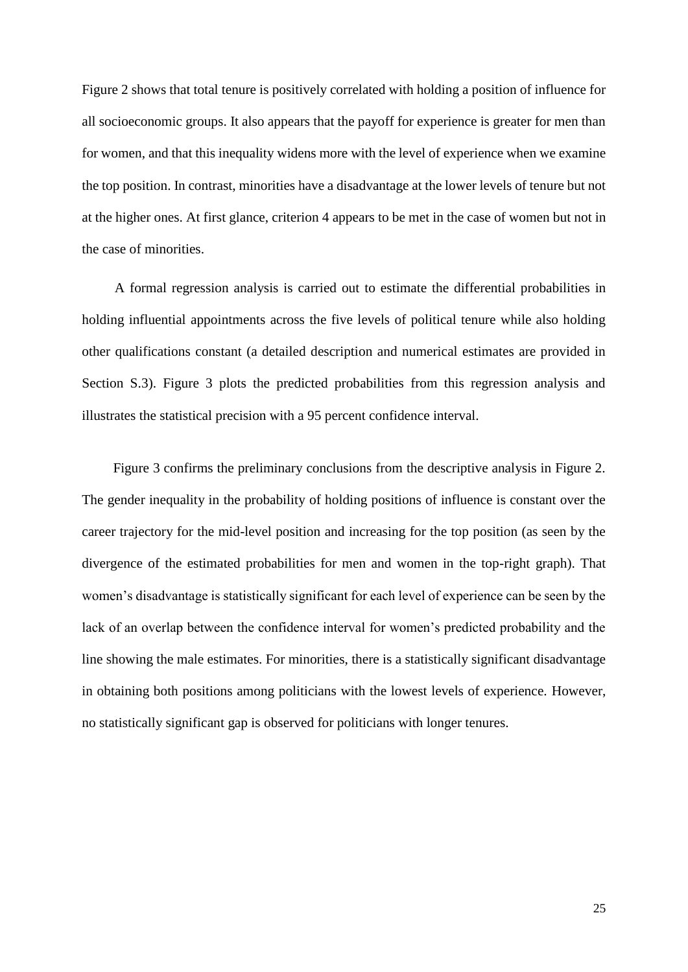Figure 2 shows that total tenure is positively correlated with holding a position of influence for all socioeconomic groups. It also appears that the payoff for experience is greater for men than for women, and that this inequality widens more with the level of experience when we examine the top position. In contrast, minorities have a disadvantage at the lower levels of tenure but not at the higher ones. At first glance, criterion 4 appears to be met in the case of women but not in the case of minorities.

A formal regression analysis is carried out to estimate the differential probabilities in holding influential appointments across the five levels of political tenure while also holding other qualifications constant (a detailed description and numerical estimates are provided in Section S.3). Figure 3 plots the predicted probabilities from this regression analysis and illustrates the statistical precision with a 95 percent confidence interval.

Figure 3 confirms the preliminary conclusions from the descriptive analysis in Figure 2. The gender inequality in the probability of holding positions of influence is constant over the career trajectory for the mid-level position and increasing for the top position (as seen by the divergence of the estimated probabilities for men and women in the top-right graph). That women's disadvantage is statistically significant for each level of experience can be seen by the lack of an overlap between the confidence interval for women's predicted probability and the line showing the male estimates. For minorities, there is a statistically significant disadvantage in obtaining both positions among politicians with the lowest levels of experience. However, no statistically significant gap is observed for politicians with longer tenures.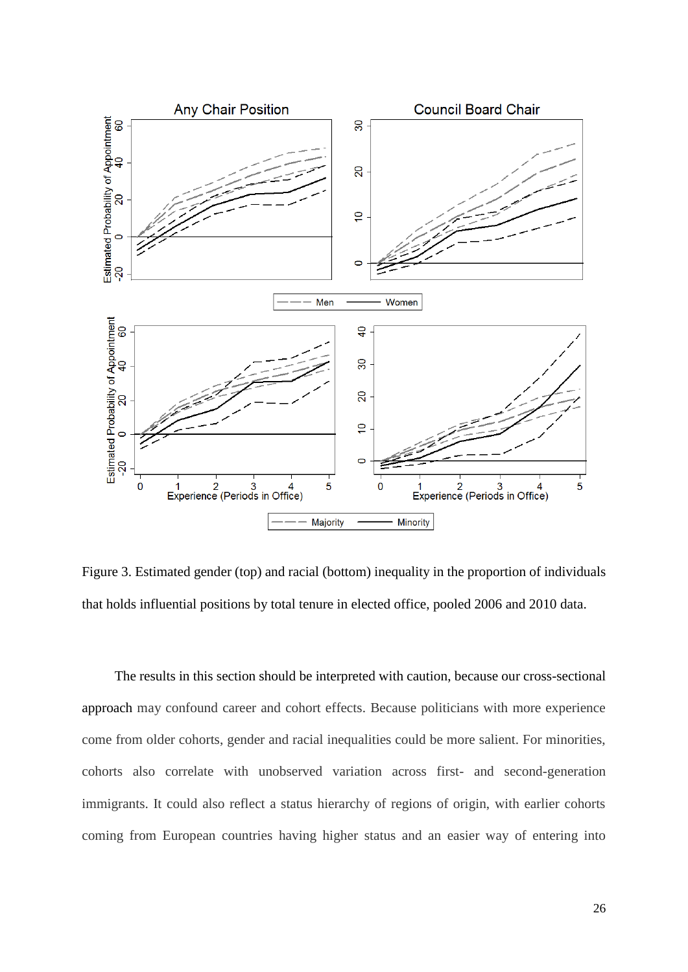

Figure 3. Estimated gender (top) and racial (bottom) inequality in the proportion of individuals that holds influential positions by total tenure in elected office, pooled 2006 and 2010 data.

The results in this section should be interpreted with caution, because our cross-sectional approach may confound career and cohort effects. Because politicians with more experience come from older cohorts, gender and racial inequalities could be more salient. For minorities, cohorts also correlate with unobserved variation across first- and second-generation immigrants. It could also reflect a status hierarchy of regions of origin, with earlier cohorts coming from European countries having higher status and an easier way of entering into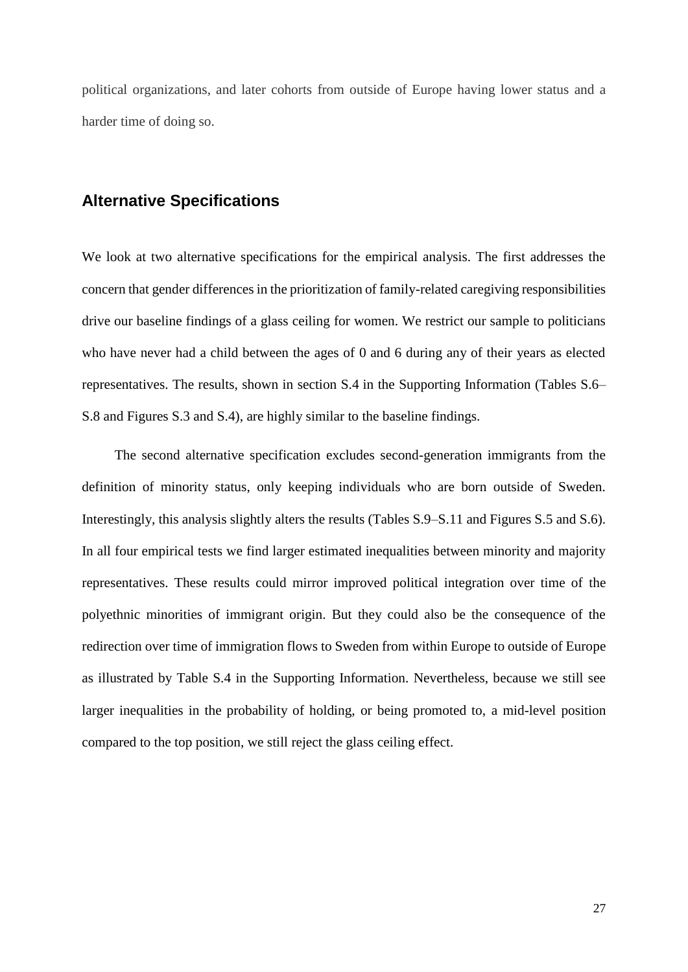political organizations, and later cohorts from outside of Europe having lower status and a harder time of doing so.

#### **Alternative Specifications**

We look at two alternative specifications for the empirical analysis. The first addresses the concern that gender differences in the prioritization of family-related caregiving responsibilities drive our baseline findings of a glass ceiling for women. We restrict our sample to politicians who have never had a child between the ages of 0 and 6 during any of their years as elected representatives. The results, shown in section S.4 in the Supporting Information (Tables S.6– S.8 and Figures S.3 and S.4), are highly similar to the baseline findings.

The second alternative specification excludes second-generation immigrants from the definition of minority status, only keeping individuals who are born outside of Sweden. Interestingly, this analysis slightly alters the results (Tables S.9–S.11 and Figures S.5 and S.6). In all four empirical tests we find larger estimated inequalities between minority and majority representatives. These results could mirror improved political integration over time of the polyethnic minorities of immigrant origin. But they could also be the consequence of the redirection over time of immigration flows to Sweden from within Europe to outside of Europe as illustrated by Table S.4 in the Supporting Information. Nevertheless, because we still see larger inequalities in the probability of holding, or being promoted to, a mid-level position compared to the top position, we still reject the glass ceiling effect.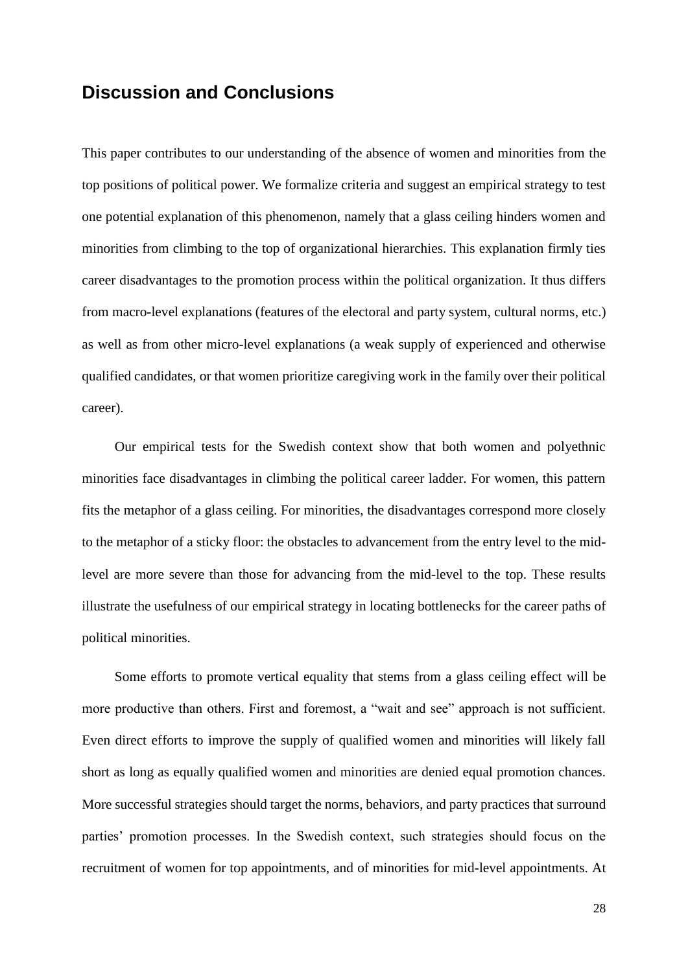### **Discussion and Conclusions**

This paper contributes to our understanding of the absence of women and minorities from the top positions of political power. We formalize criteria and suggest an empirical strategy to test one potential explanation of this phenomenon, namely that a glass ceiling hinders women and minorities from climbing to the top of organizational hierarchies. This explanation firmly ties career disadvantages to the promotion process within the political organization. It thus differs from macro-level explanations (features of the electoral and party system, cultural norms, etc.) as well as from other micro-level explanations (a weak supply of experienced and otherwise qualified candidates, or that women prioritize caregiving work in the family over their political career).

Our empirical tests for the Swedish context show that both women and polyethnic minorities face disadvantages in climbing the political career ladder. For women, this pattern fits the metaphor of a glass ceiling. For minorities, the disadvantages correspond more closely to the metaphor of a sticky floor: the obstacles to advancement from the entry level to the midlevel are more severe than those for advancing from the mid-level to the top. These results illustrate the usefulness of our empirical strategy in locating bottlenecks for the career paths of political minorities.

Some efforts to promote vertical equality that stems from a glass ceiling effect will be more productive than others. First and foremost, a "wait and see" approach is not sufficient. Even direct efforts to improve the supply of qualified women and minorities will likely fall short as long as equally qualified women and minorities are denied equal promotion chances. More successful strategies should target the norms, behaviors, and party practices that surround parties' promotion processes. In the Swedish context, such strategies should focus on the recruitment of women for top appointments, and of minorities for mid-level appointments. At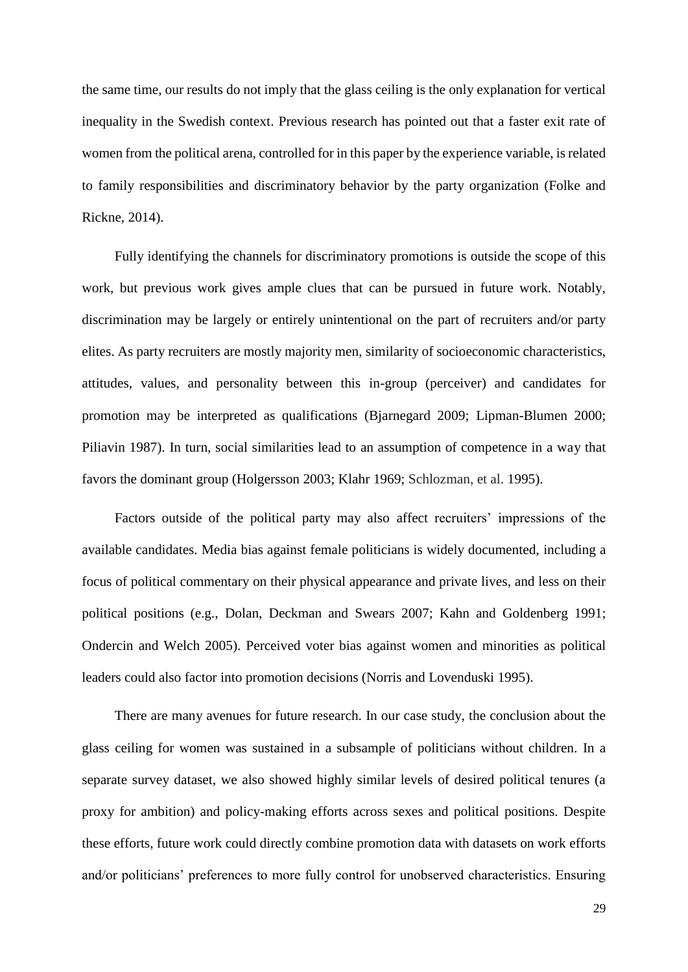the same time, our results do not imply that the glass ceiling is the only explanation for vertical inequality in the Swedish context. Previous research has pointed out that a faster exit rate of women from the political arena, controlled for in this paper by the experience variable, is related to family responsibilities and discriminatory behavior by the party organization (Folke and Rickne, 2014).

Fully identifying the channels for discriminatory promotions is outside the scope of this work, but previous work gives ample clues that can be pursued in future work. Notably, discrimination may be largely or entirely unintentional on the part of recruiters and/or party elites. As party recruiters are mostly majority men, similarity of socioeconomic characteristics, attitudes, values, and personality between this in-group (perceiver) and candidates for promotion may be interpreted as qualifications (Bjarnegard 2009; Lipman-Blumen 2000; Piliavin 1987). In turn, social similarities lead to an assumption of competence in a way that favors the dominant group (Holgersson 2003; Klahr 1969; Schlozman, et al. 1995).

Factors outside of the political party may also affect recruiters' impressions of the available candidates. Media bias against female politicians is widely documented, including a focus of political commentary on their physical appearance and private lives, and less on their political positions (e.g., Dolan, Deckman and Swears 2007; Kahn and Goldenberg 1991; Ondercin and Welch 2005). Perceived voter bias against women and minorities as political leaders could also factor into promotion decisions (Norris and Lovenduski 1995).

There are many avenues for future research. In our case study, the conclusion about the glass ceiling for women was sustained in a subsample of politicians without children. In a separate survey dataset, we also showed highly similar levels of desired political tenures (a proxy for ambition) and policy-making efforts across sexes and political positions. Despite these efforts, future work could directly combine promotion data with datasets on work efforts and/or politicians' preferences to more fully control for unobserved characteristics. Ensuring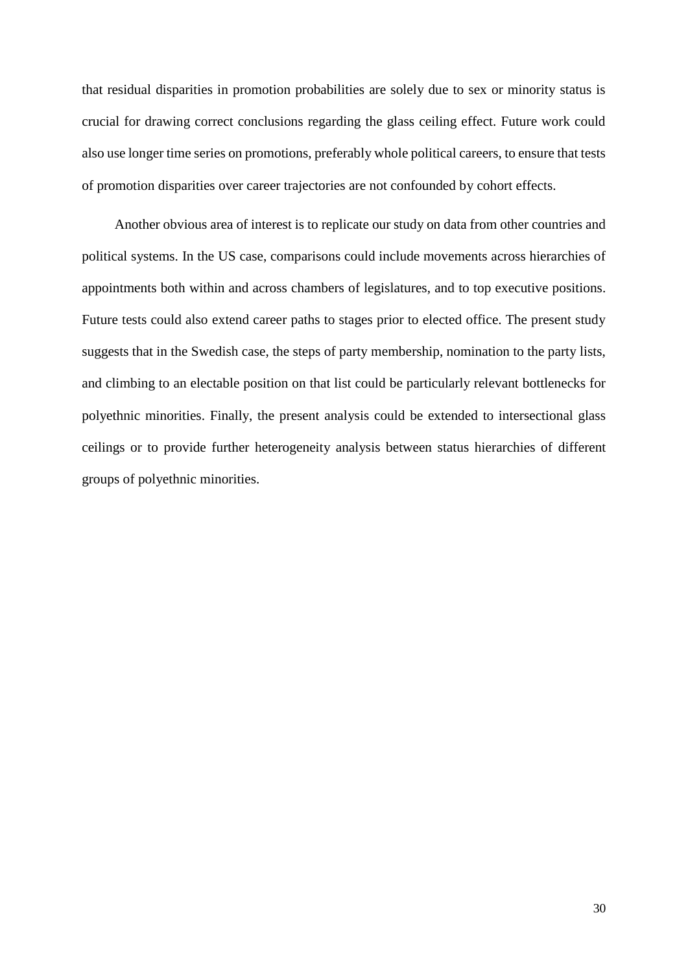that residual disparities in promotion probabilities are solely due to sex or minority status is crucial for drawing correct conclusions regarding the glass ceiling effect. Future work could also use longer time series on promotions, preferably whole political careers, to ensure that tests of promotion disparities over career trajectories are not confounded by cohort effects.

Another obvious area of interest is to replicate our study on data from other countries and political systems. In the US case, comparisons could include movements across hierarchies of appointments both within and across chambers of legislatures, and to top executive positions. Future tests could also extend career paths to stages prior to elected office. The present study suggests that in the Swedish case, the steps of party membership, nomination to the party lists, and climbing to an electable position on that list could be particularly relevant bottlenecks for polyethnic minorities. Finally, the present analysis could be extended to intersectional glass ceilings or to provide further heterogeneity analysis between status hierarchies of different groups of polyethnic minorities.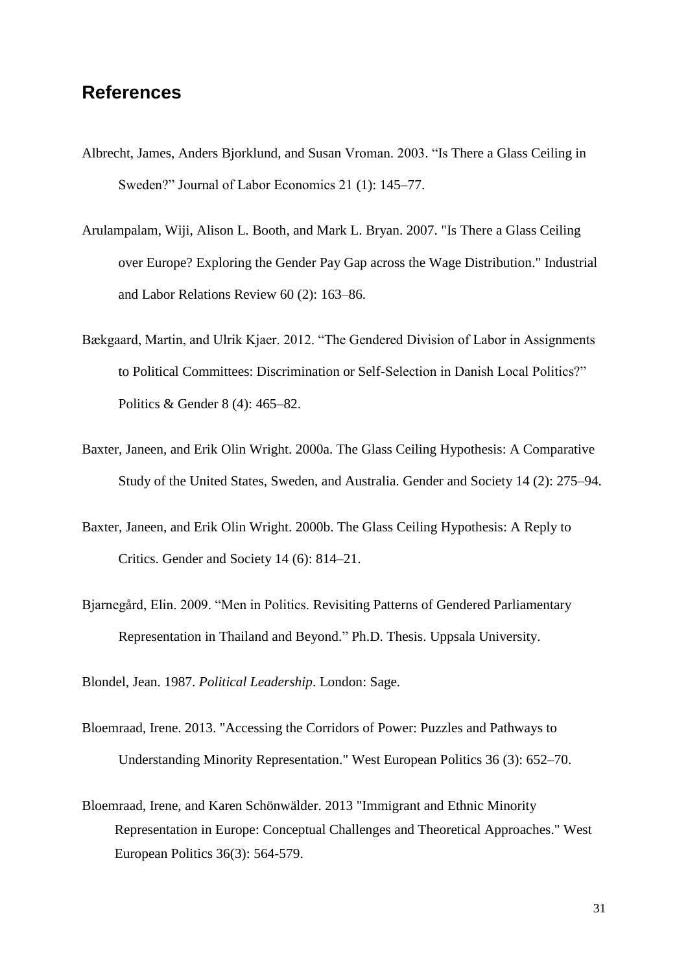### **References**

- Albrecht, James, Anders Bjorklund, and Susan Vroman. 2003. "Is There a Glass Ceiling in Sweden?" Journal of Labor Economics 21 (1): 145–77.
- Arulampalam, Wiji, Alison L. Booth, and Mark L. Bryan. 2007. "Is There a Glass Ceiling over Europe? Exploring the Gender Pay Gap across the Wage Distribution." Industrial and Labor Relations Review 60 (2): 163–86.
- Bækgaard, Martin, and Ulrik Kjaer. 2012. "The Gendered Division of Labor in Assignments to Political Committees: Discrimination or Self-Selection in Danish Local Politics?" Politics & Gender 8 (4): 465–82.
- Baxter, Janeen, and Erik Olin Wright. 2000a. The Glass Ceiling Hypothesis: A Comparative Study of the United States, Sweden, and Australia. Gender and Society 14 (2): 275–94.
- Baxter, Janeen, and Erik Olin Wright. 2000b. The Glass Ceiling Hypothesis: A Reply to Critics. Gender and Society 14 (6): 814–21.
- Bjarnegård, Elin. 2009. "Men in Politics. Revisiting Patterns of Gendered Parliamentary Representation in Thailand and Beyond." Ph.D. Thesis. Uppsala University.

Blondel, Jean. 1987. *Political Leadership*. London: Sage.

- Bloemraad, Irene. 2013. "Accessing the Corridors of Power: Puzzles and Pathways to Understanding Minority Representation." West European Politics 36 (3): 652–70.
- Bloemraad, Irene, and Karen Schönwälder. 2013 "Immigrant and Ethnic Minority Representation in Europe: Conceptual Challenges and Theoretical Approaches." West European Politics 36(3): 564-579.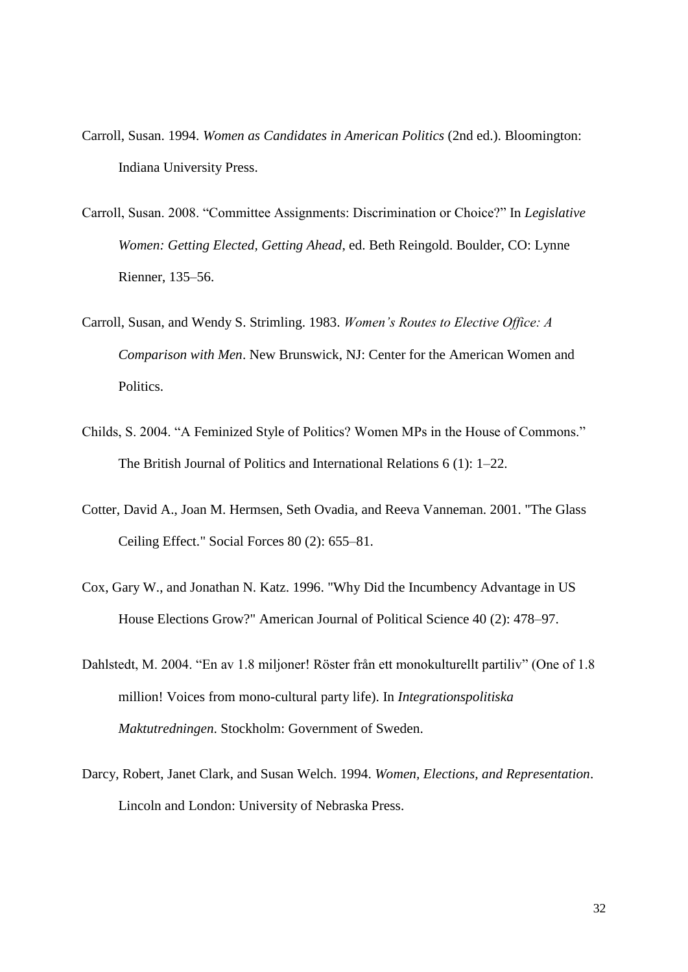- Carroll, Susan. 1994. *Women as Candidates in American Politics* (2nd ed.). Bloomington: Indiana University Press.
- Carroll, Susan. 2008. "Committee Assignments: Discrimination or Choice?" In *Legislative Women: Getting Elected, Getting Ahead*, ed. Beth Reingold. Boulder, CO: Lynne Rienner, 135–56.
- Carroll, Susan, and Wendy S. Strimling. 1983. *Women's Routes to Elective Office: A Comparison with Men*. New Brunswick, NJ: Center for the American Women and Politics.
- Childs, S. 2004. "A Feminized Style of Politics? Women MPs in the House of Commons." The British Journal of Politics and International Relations 6 (1): 1–22.
- Cotter, David A., Joan M. Hermsen, Seth Ovadia, and Reeva Vanneman. 2001. "The Glass Ceiling Effect." Social Forces 80 (2): 655–81.
- Cox, Gary W., and Jonathan N. Katz. 1996. "Why Did the Incumbency Advantage in US House Elections Grow?" American Journal of Political Science 40 (2): 478–97.
- Dahlstedt, M. 2004. "En av 1.8 miljoner! Röster från ett monokulturellt partiliv" (One of 1.8 million! Voices from mono-cultural party life). In *Integrationspolitiska Maktutredningen*. Stockholm: Government of Sweden.
- Darcy, Robert, Janet Clark, and Susan Welch. 1994. *Women, Elections, and Representation*. Lincoln and London: University of Nebraska Press.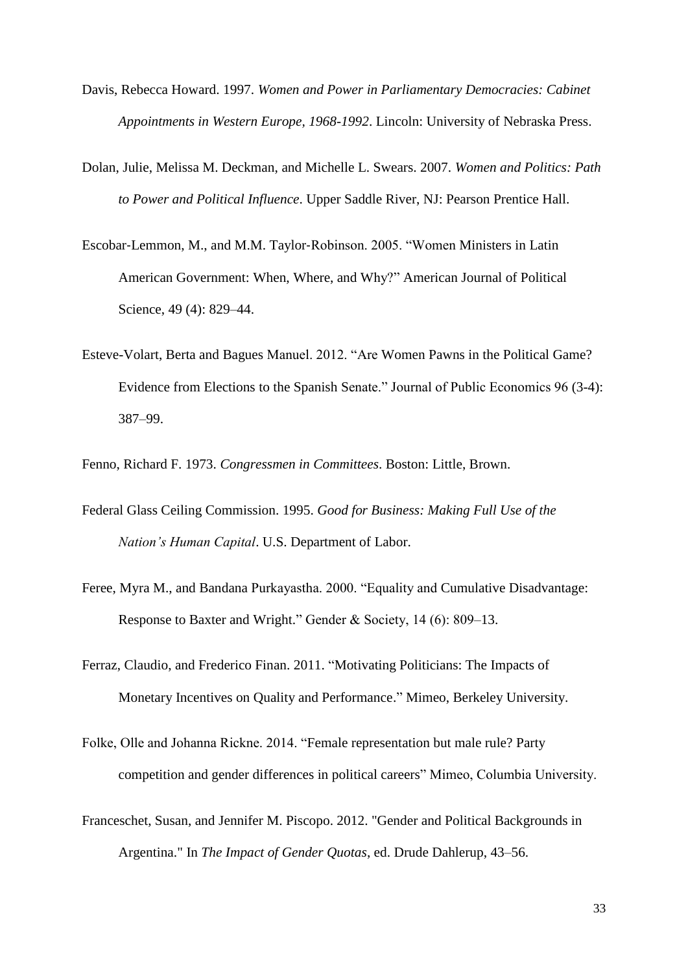- Davis, Rebecca Howard. 1997. *Women and Power in Parliamentary Democracies: Cabinet Appointments in Western Europe, 1968-1992*. Lincoln: University of Nebraska Press.
- Dolan, Julie, Melissa M. Deckman, and Michelle L. Swears. 2007. *Women and Politics: Path to Power and Political Influence*. Upper Saddle River, NJ: Pearson Prentice Hall.
- Escobar‐Lemmon, M., and M.M. Taylor‐Robinson. 2005. "Women Ministers in Latin American Government: When, Where, and Why?" American Journal of Political Science, 49 (4): 829–44.
- Esteve-Volart, Berta and Bagues Manuel. 2012. "Are Women Pawns in the Political Game? Evidence from Elections to the Spanish Senate." Journal of Public Economics 96 (3-4): 387–99.

Fenno, Richard F. 1973. *Congressmen in Committees*. Boston: Little, Brown.

- Federal Glass Ceiling Commission. 1995. *Good for Business: Making Full Use of the Nation's Human Capital*. U.S. Department of Labor.
- Feree, Myra M., and Bandana Purkayastha. 2000. "Equality and Cumulative Disadvantage: Response to Baxter and Wright." Gender & Society, 14 (6): 809–13.
- Ferraz, Claudio, and Frederico Finan. 2011. "Motivating Politicians: The Impacts of Monetary Incentives on Quality and Performance." Mimeo, Berkeley University.
- Folke, Olle and Johanna Rickne. 2014. "Female representation but male rule? Party competition and gender differences in political careers" Mimeo, Columbia University.
- Franceschet, Susan, and Jennifer M. Piscopo. 2012. "Gender and Political Backgrounds in Argentina." In *The Impact of Gender Quotas*, ed. Drude Dahlerup, 43–56.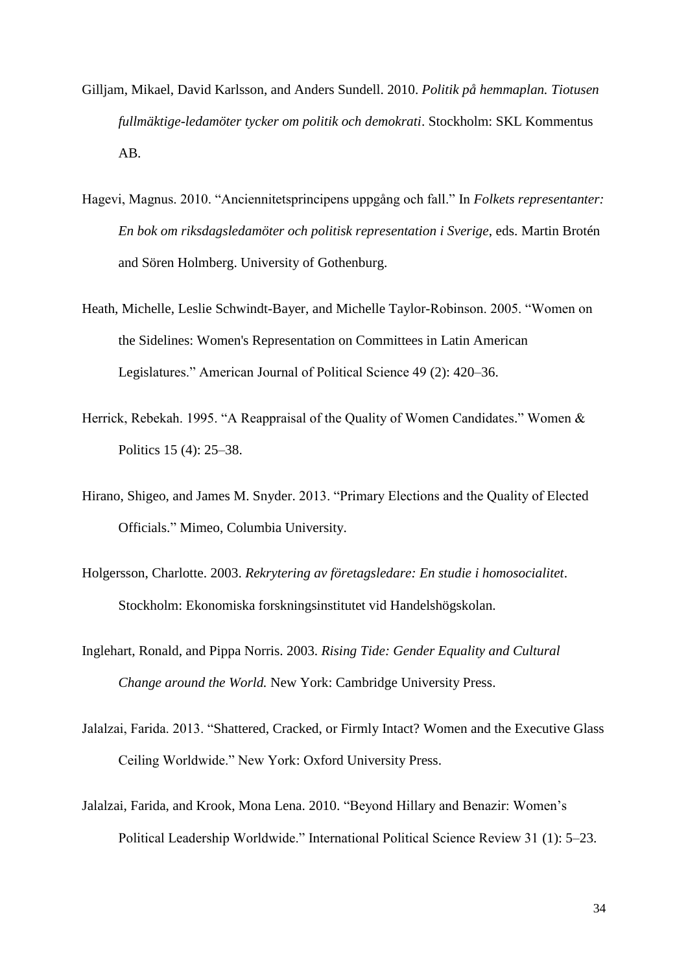- Gilljam, Mikael, David Karlsson, and Anders Sundell. 2010. *Politik på hemmaplan. Tiotusen fullmäktige-ledamöter tycker om politik och demokrati*. Stockholm: SKL Kommentus AB.
- Hagevi, Magnus. 2010. "Anciennitetsprincipens uppgång och fall." In *Folkets representanter: En bok om riksdagsledamöter och politisk representation i Sverige*, eds. Martin Brotén and Sören Holmberg. University of Gothenburg.
- Heath, Michelle, Leslie Schwindt-Bayer, and Michelle Taylor-Robinson. 2005. "Women on the Sidelines: Women's Representation on Committees in Latin American Legislatures." American Journal of Political Science 49 (2): 420–36.
- Herrick, Rebekah. 1995. "A Reappraisal of the Quality of Women Candidates." Women & Politics 15 (4): 25–38.
- Hirano, Shigeo, and James M. Snyder. 2013. "Primary Elections and the Quality of Elected Officials." Mimeo, Columbia University.
- Holgersson, Charlotte. 2003. *Rekrytering av företagsledare: En studie i homosocialitet*. Stockholm: Ekonomiska forskningsinstitutet vid Handelshögskolan.
- Inglehart, Ronald, and Pippa Norris. 2003. *Rising Tide: Gender Equality and Cultural Change around the World.* New York: Cambridge University Press.
- Jalalzai, Farida. 2013. "Shattered, Cracked, or Firmly Intact? Women and the Executive Glass Ceiling Worldwide." New York: Oxford University Press.
- Jalalzai, Farida, and Krook, Mona Lena. 2010. "Beyond Hillary and Benazir: Women's Political Leadership Worldwide." International Political Science Review 31 (1): 5–23.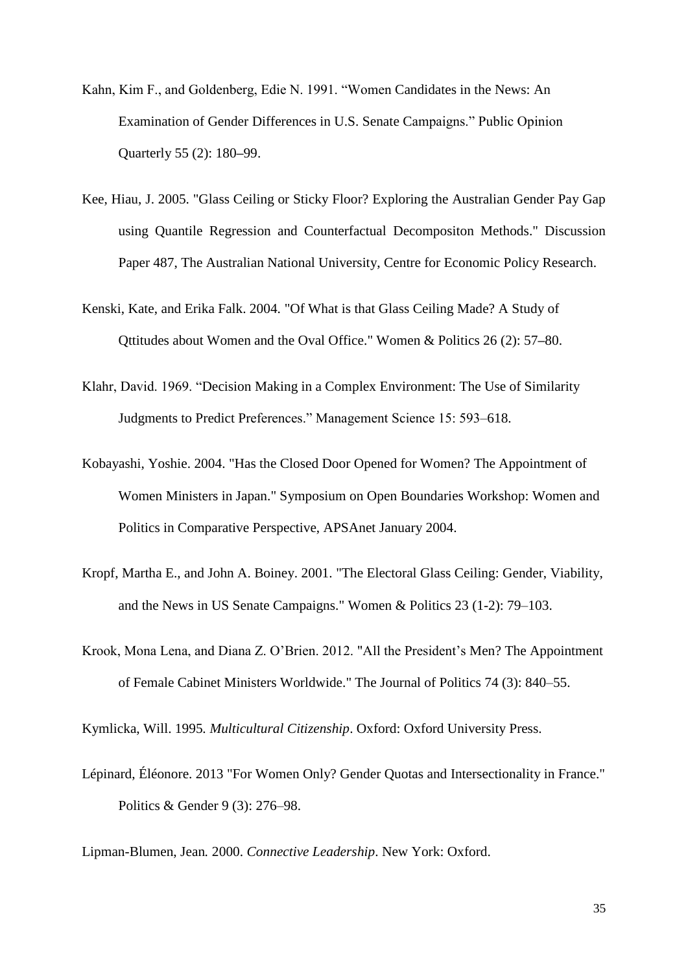- Kahn, Kim F., and Goldenberg, Edie N. 1991. "Women Candidates in the News: An Examination of Gender Differences in U.S. Senate Campaigns." Public Opinion Quarterly 55 (2): 180**–**99.
- Kee, Hiau, J. 2005. "Glass Ceiling or Sticky Floor? Exploring the Australian Gender Pay Gap using Quantile Regression and Counterfactual Decompositon Methods." Discussion Paper 487, The Australian National University, Centre for Economic Policy Research.
- Kenski, Kate, and Erika Falk. 2004. "Of What is that Glass Ceiling Made? A Study of Qttitudes about Women and the Oval Office." Women & Politics 26 (2): 57**–**80.
- Klahr, David. 1969. "Decision Making in a Complex Environment: The Use of Similarity Judgments to Predict Preferences." Management Science 15: 593–618.
- Kobayashi, Yoshie. 2004. "Has the Closed Door Opened for Women? The Appointment of Women Ministers in Japan." Symposium on Open Boundaries Workshop: Women and Politics in Comparative Perspective, APSAnet January 2004.
- Kropf, Martha E., and John A. Boiney. 2001. "The Electoral Glass Ceiling: Gender, Viability, and the News in US Senate Campaigns." Women & Politics 23 (1-2): 79–103.
- Krook, Mona Lena, and Diana Z. O'Brien. 2012. "All the President's Men? The Appointment of Female Cabinet Ministers Worldwide." The Journal of Politics 74 (3): 840–55.

Kymlicka, Will. 1995*. Multicultural Citizenship*. Oxford: Oxford University Press.

Lépinard, Éléonore. 2013 "For Women Only? Gender Quotas and Intersectionality in France." Politics & Gender 9 (3): 276–98.

Lipman-Blumen, Jean*.* 2000. *Connective Leadership*. New York: Oxford.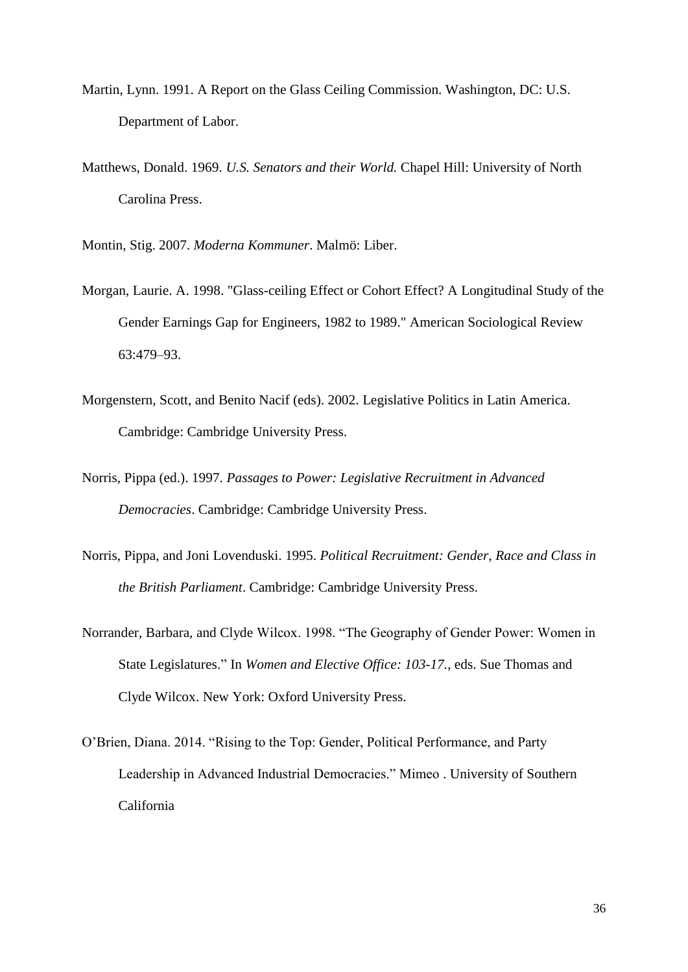- Martin, Lynn. 1991. A Report on the Glass Ceiling Commission. Washington, DC: U.S. Department of Labor.
- Matthews, Donald. 1969. *U.S. Senators and their World.* Chapel Hill: University of North Carolina Press.
- Montin, Stig. 2007. *Moderna Kommuner*. Malmö: Liber.
- Morgan, Laurie. A. 1998. "Glass-ceiling Effect or Cohort Effect? A Longitudinal Study of the Gender Earnings Gap for Engineers, 1982 to 1989." American Sociological Review 63:479–93.
- Morgenstern, Scott, and Benito Nacif (eds). 2002. Legislative Politics in Latin America. Cambridge: Cambridge University Press.
- Norris, Pippa (ed.). 1997. *Passages to Power: Legislative Recruitment in Advanced Democracies*. Cambridge: Cambridge University Press.
- Norris, Pippa, and Joni Lovenduski. 1995. *Political Recruitment: Gender, Race and Class in the British Parliament*. Cambridge: Cambridge University Press.
- Norrander, Barbara, and Clyde Wilcox. 1998. "The Geography of Gender Power: Women in State Legislatures." In *Women and Elective Office: 103-17.*, eds. Sue Thomas and Clyde Wilcox. New York: Oxford University Press.
- O'Brien, Diana. 2014. "Rising to the Top: Gender, Political Performance, and Party Leadership in Advanced Industrial Democracies." Mimeo . University of Southern California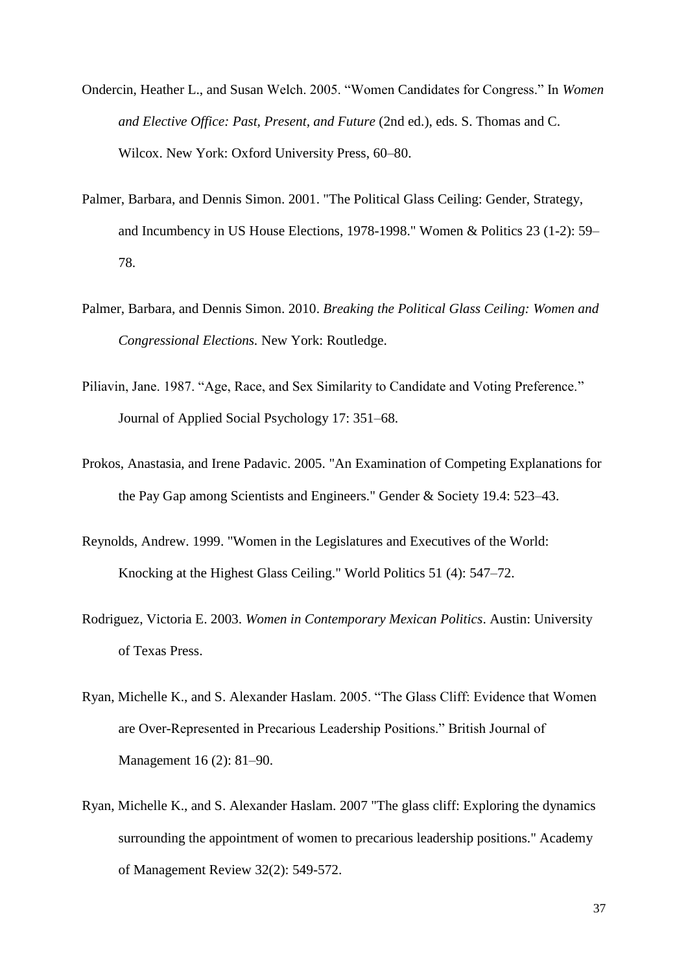- Ondercin, Heather L., and Susan Welch. 2005. "Women Candidates for Congress." In *Women and Elective Office: Past, Present, and Future* (2nd ed.), eds. S. Thomas and C. Wilcox. New York: Oxford University Press, 60–80.
- Palmer, Barbara, and Dennis Simon. 2001. "The Political Glass Ceiling: Gender, Strategy, and Incumbency in US House Elections, 1978-1998." Women & Politics 23 (1-2): 59– 78.
- Palmer, Barbara, and Dennis Simon. 2010. *Breaking the Political Glass Ceiling: Women and Congressional Elections.* New York: Routledge.
- Piliavin, Jane. 1987. "Age, Race, and Sex Similarity to Candidate and Voting Preference." Journal of Applied Social Psychology 17: 351–68.
- Prokos, Anastasia, and Irene Padavic. 2005. "An Examination of Competing Explanations for the Pay Gap among Scientists and Engineers." Gender & Society 19.4: 523–43.
- Reynolds, Andrew. 1999. "Women in the Legislatures and Executives of the World: Knocking at the Highest Glass Ceiling." World Politics 51 (4): 547–72.
- Rodriguez, Victoria E. 2003. *Women in Contemporary Mexican Politics*. Austin: University of Texas Press.
- Ryan, Michelle K., and S. Alexander Haslam. 2005. "The Glass Cliff: Evidence that Women are Over-Represented in Precarious Leadership Positions." British Journal of Management 16 (2): 81–90.
- Ryan, Michelle K., and S. Alexander Haslam. 2007 "The glass cliff: Exploring the dynamics surrounding the appointment of women to precarious leadership positions." Academy of Management Review 32(2): 549-572.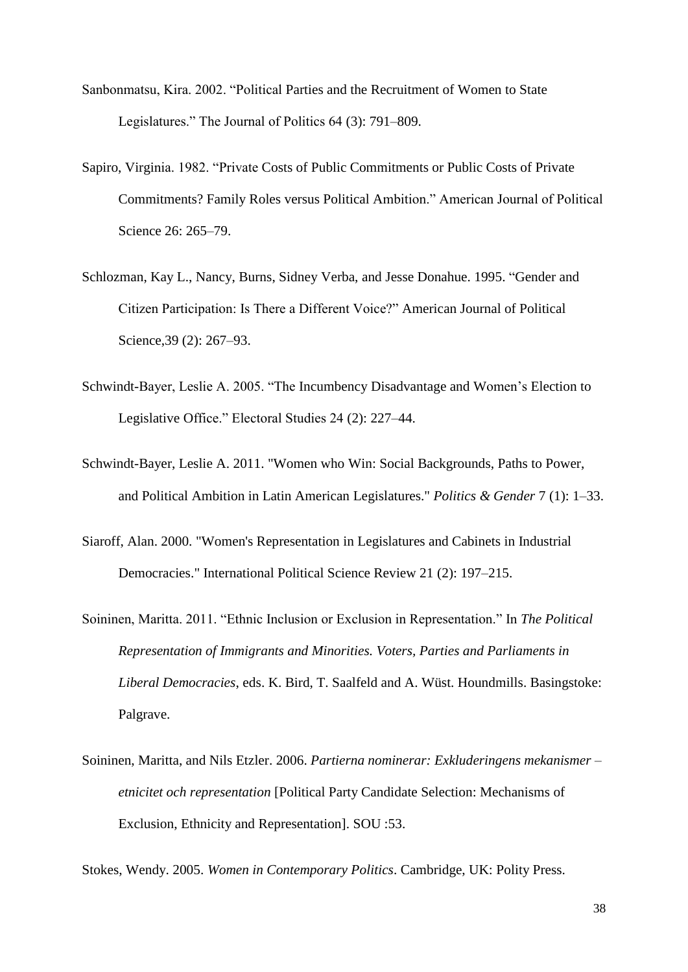- Sanbonmatsu, Kira. 2002. "Political Parties and the Recruitment of Women to State Legislatures." The Journal of Politics 64 (3): 791–809.
- Sapiro, Virginia. 1982. "Private Costs of Public Commitments or Public Costs of Private Commitments? Family Roles versus Political Ambition." American Journal of Political Science 26: 265–79.
- Schlozman, Kay L., Nancy, Burns, Sidney Verba, and Jesse Donahue. 1995. "Gender and Citizen Participation: Is There a Different Voice?" American Journal of Political Science, 39 (2): 267–93.
- Schwindt-Bayer, Leslie A. 2005. "The Incumbency Disadvantage and Women's Election to Legislative Office." Electoral Studies 24 (2): 227–44.
- Schwindt-Bayer, Leslie A. 2011. "Women who Win: Social Backgrounds, Paths to Power, and Political Ambition in Latin American Legislatures." *Politics & Gender* 7 (1): 1–33.
- Siaroff, Alan. 2000. "Women's Representation in Legislatures and Cabinets in Industrial Democracies." International Political Science Review 21 (2): 197–215.
- Soininen, Maritta. 2011. "Ethnic Inclusion or Exclusion in Representation." In *The Political Representation of Immigrants and Minorities. Voters, Parties and Parliaments in Liberal Democracies*, eds. K. Bird, T. Saalfeld and A. Wüst. Houndmills. Basingstoke: Palgrave.
- Soininen, Maritta, and Nils Etzler. 2006. *Partierna nominerar: Exkluderingens mekanismer – etnicitet och representation* [Political Party Candidate Selection: Mechanisms of Exclusion, Ethnicity and Representation]. SOU :53.

Stokes, Wendy. 2005. *Women in Contemporary Politics*. Cambridge, UK: Polity Press.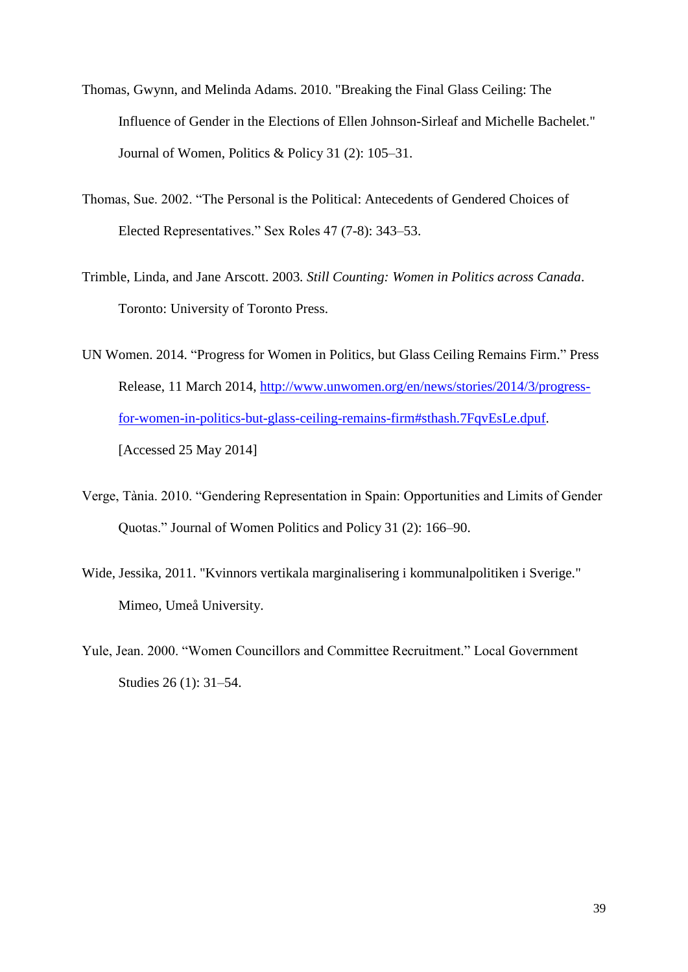- Thomas, Gwynn, and Melinda Adams. 2010. "Breaking the Final Glass Ceiling: The Influence of Gender in the Elections of Ellen Johnson-Sirleaf and Michelle Bachelet." Journal of Women, Politics & Policy 31 (2): 105–31.
- Thomas, Sue. 2002. "The Personal is the Political: Antecedents of Gendered Choices of Elected Representatives." Sex Roles 47 (7-8): 343–53.
- Trimble, Linda, and Jane Arscott. 2003*. Still Counting: Women in Politics across Canada*. Toronto: University of Toronto Press.
- UN Women. 2014. "Progress for Women in Politics, but Glass Ceiling Remains Firm." Press Release, 11 March 2014, [http://www.unwomen.org/en/news/stories/2014/3/progress](http://www.unwomen.org/en/news/stories/2014/3/progress-for-women-in-politics-but-glass-ceiling-remains-firm#sthash.7FqvEsLe.dpuf)[for-women-in-politics-but-glass-ceiling-remains-firm#sthash.7FqvEsLe.dpuf.](http://www.unwomen.org/en/news/stories/2014/3/progress-for-women-in-politics-but-glass-ceiling-remains-firm#sthash.7FqvEsLe.dpuf) [Accessed 25 May 2014]
- Verge, Tània. 2010. "Gendering Representation in Spain: Opportunities and Limits of Gender Quotas." Journal of Women Politics and Policy 31 (2): 166–90.
- Wide, Jessika, 2011. "Kvinnors vertikala marginalisering i kommunalpolitiken i Sverige." Mimeo, Umeå University.
- Yule, Jean. 2000. "Women Councillors and Committee Recruitment." Local Government Studies 26 (1): 31–54.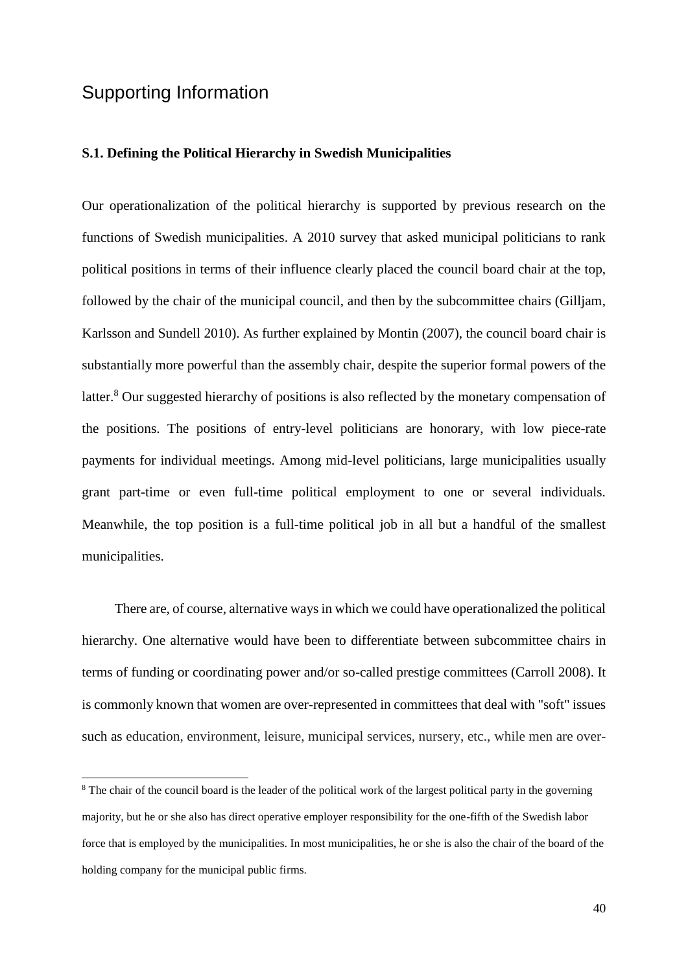## Supporting Information

 $\overline{\phantom{a}}$ 

#### **S.1. Defining the Political Hierarchy in Swedish Municipalities**

Our operationalization of the political hierarchy is supported by previous research on the functions of Swedish municipalities. A 2010 survey that asked municipal politicians to rank political positions in terms of their influence clearly placed the council board chair at the top, followed by the chair of the municipal council, and then by the subcommittee chairs (Gilljam, Karlsson and Sundell 2010). As further explained by Montin (2007), the council board chair is substantially more powerful than the assembly chair, despite the superior formal powers of the latter.<sup>8</sup> Our suggested hierarchy of positions is also reflected by the monetary compensation of the positions. The positions of entry-level politicians are honorary, with low piece-rate payments for individual meetings. Among mid-level politicians, large municipalities usually grant part-time or even full-time political employment to one or several individuals. Meanwhile, the top position is a full-time political job in all but a handful of the smallest municipalities.

There are, of course, alternative ways in which we could have operationalized the political hierarchy. One alternative would have been to differentiate between subcommittee chairs in terms of funding or coordinating power and/or so-called prestige committees (Carroll 2008). It is commonly known that women are over-represented in committees that deal with "soft" issues such as education, environment, leisure, municipal services, nursery, etc., while men are over-

<sup>&</sup>lt;sup>8</sup> The chair of the council board is the leader of the political work of the largest political party in the governing majority, but he or she also has direct operative employer responsibility for the one-fifth of the Swedish labor force that is employed by the municipalities. In most municipalities, he or she is also the chair of the board of the holding company for the municipal public firms.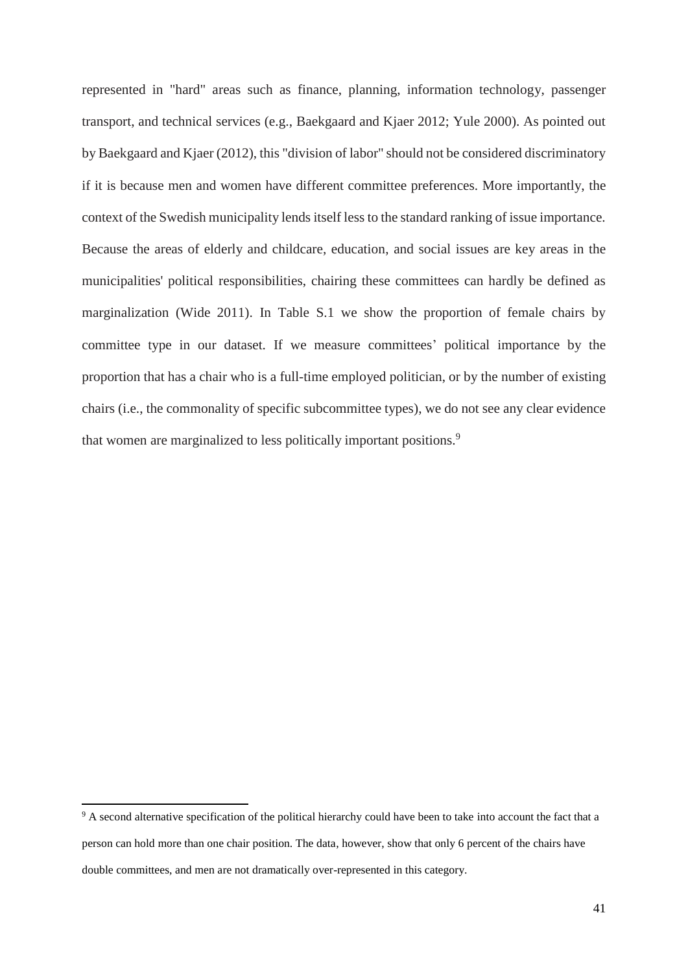represented in "hard" areas such as finance, planning, information technology, passenger transport, and technical services (e.g., Baekgaard and Kjaer 2012; Yule 2000). As pointed out by Baekgaard and Kjaer (2012), this "division of labor" should not be considered discriminatory if it is because men and women have different committee preferences. More importantly, the context of the Swedish municipality lends itself less to the standard ranking of issue importance. Because the areas of elderly and childcare, education, and social issues are key areas in the municipalities' political responsibilities, chairing these committees can hardly be defined as marginalization (Wide 2011). In Table S.1 we show the proportion of female chairs by committee type in our dataset. If we measure committees' political importance by the proportion that has a chair who is a full-time employed politician, or by the number of existing chairs (i.e., the commonality of specific subcommittee types), we do not see any clear evidence that women are marginalized to less politically important positions.<sup>9</sup>

 $\overline{a}$ 

<sup>9</sup> A second alternative specification of the political hierarchy could have been to take into account the fact that a person can hold more than one chair position. The data, however, show that only 6 percent of the chairs have double committees, and men are not dramatically over-represented in this category.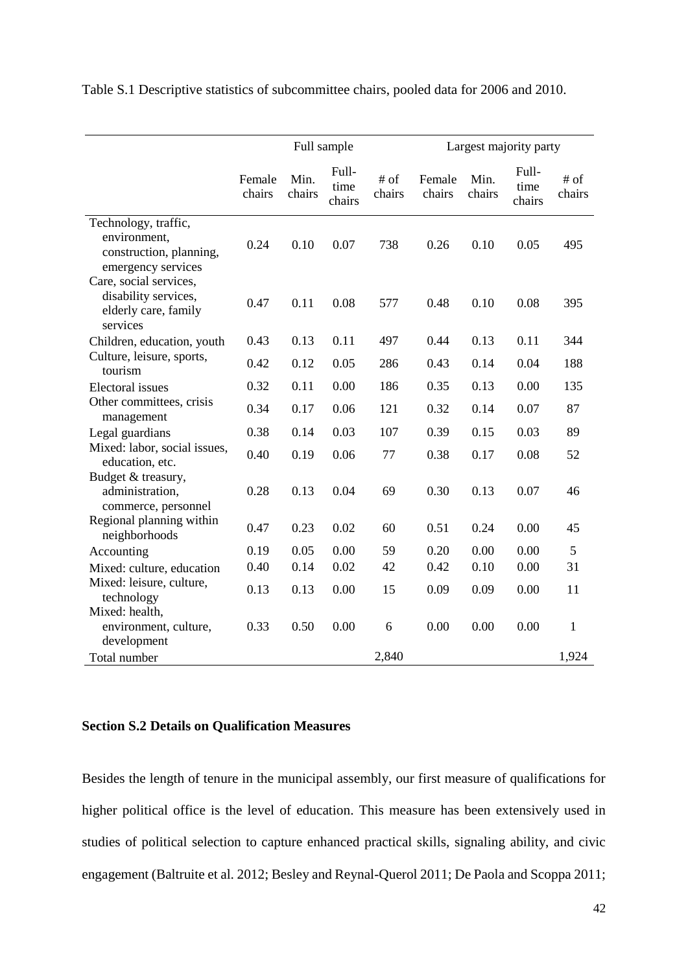|                                                                                       | Full sample      |                |                         |                   | Largest majority party |                |                         |                  |
|---------------------------------------------------------------------------------------|------------------|----------------|-------------------------|-------------------|------------------------|----------------|-------------------------|------------------|
|                                                                                       | Female<br>chairs | Min.<br>chairs | Full-<br>time<br>chairs | $\#$ of<br>chairs | Female<br>chairs       | Min.<br>chairs | Full-<br>time<br>chairs | $#$ of<br>chairs |
| Technology, traffic,<br>environment,<br>construction, planning,<br>emergency services | 0.24             | 0.10           | 0.07                    | 738               | 0.26                   | 0.10           | 0.05                    | 495              |
| Care, social services,<br>disability services,<br>elderly care, family<br>services    | 0.47             | 0.11           | 0.08                    | 577               | 0.48                   | 0.10           | 0.08                    | 395              |
| Children, education, youth                                                            | 0.43             | 0.13           | 0.11                    | 497               | 0.44                   | 0.13           | 0.11                    | 344              |
| Culture, leisure, sports,<br>tourism                                                  | 0.42             | 0.12           | 0.05                    | 286               | 0.43                   | 0.14           | 0.04                    | 188              |
| <b>Electoral</b> issues                                                               | 0.32             | 0.11           | 0.00                    | 186               | 0.35                   | 0.13           | 0.00                    | 135              |
| Other committees, crisis<br>management                                                | 0.34             | 0.17           | 0.06                    | 121               | 0.32                   | 0.14           | 0.07                    | 87               |
| Legal guardians                                                                       | 0.38             | 0.14           | 0.03                    | 107               | 0.39                   | 0.15           | 0.03                    | 89               |
| Mixed: labor, social issues,<br>education, etc.                                       | 0.40             | 0.19           | 0.06                    | 77                | 0.38                   | 0.17           | 0.08                    | 52               |
| Budget & treasury,<br>administration,<br>commerce, personnel                          | 0.28             | 0.13           | 0.04                    | 69                | 0.30                   | 0.13           | 0.07                    | 46               |
| Regional planning within<br>neighborhoods                                             | 0.47             | 0.23           | 0.02                    | 60                | 0.51                   | 0.24           | 0.00                    | 45               |
| Accounting                                                                            | 0.19             | 0.05           | 0.00                    | 59                | 0.20                   | 0.00           | 0.00                    | 5                |
| Mixed: culture, education                                                             | 0.40             | 0.14           | 0.02                    | 42                | 0.42                   | 0.10           | 0.00                    | 31               |
| Mixed: leisure, culture,<br>technology                                                | 0.13             | 0.13           | 0.00                    | 15                | 0.09                   | 0.09           | 0.00                    | 11               |
| Mixed: health,                                                                        |                  |                |                         |                   |                        |                |                         |                  |
| environment, culture,<br>development                                                  | 0.33             | 0.50           | 0.00                    | 6                 | 0.00                   | 0.00           | 0.00                    | $\mathbf{1}$     |
| Total number                                                                          |                  |                |                         | 2,840             |                        |                |                         | 1,924            |

Table S.1 Descriptive statistics of subcommittee chairs, pooled data for 2006 and 2010.

#### **Section S.2 Details on Qualification Measures**

Besides the length of tenure in the municipal assembly, our first measure of qualifications for higher political office is the level of education. This measure has been extensively used in studies of political selection to capture enhanced practical skills, signaling ability, and civic engagement (Baltruite et al. 2012; Besley and Reynal-Querol 2011; De Paola and Scoppa 2011;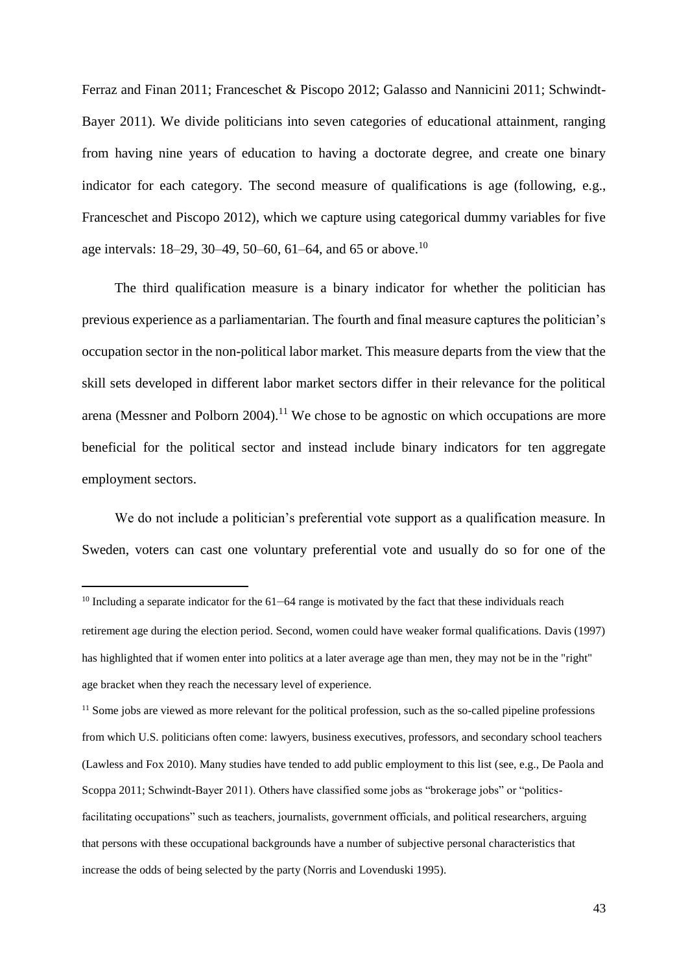Ferraz and Finan 2011; Franceschet & Piscopo 2012; Galasso and Nannicini 2011; Schwindt-Bayer 2011). We divide politicians into seven categories of educational attainment, ranging from having nine years of education to having a doctorate degree, and create one binary indicator for each category. The second measure of qualifications is age (following, e.g., Franceschet and Piscopo 2012), which we capture using categorical dummy variables for five age intervals: 18–29, 30–49, 50–60, 61–64, and 65 or above.<sup>10</sup>

The third qualification measure is a binary indicator for whether the politician has previous experience as a parliamentarian. The fourth and final measure captures the politician's occupation sector in the non-political labor market. This measure departs from the view that the skill sets developed in different labor market sectors differ in their relevance for the political arena (Messner and Polborn 2004).<sup>11</sup> We chose to be agnostic on which occupations are more beneficial for the political sector and instead include binary indicators for ten aggregate employment sectors.

We do not include a politician's preferential vote support as a qualification measure. In Sweden, voters can cast one voluntary preferential vote and usually do so for one of the

 $\overline{a}$ 

<sup>11</sup> Some jobs are viewed as more relevant for the political profession, such as the so-called pipeline professions from which U.S. politicians often come: lawyers, business executives, professors, and secondary school teachers (Lawless and Fox 2010). Many studies have tended to add public employment to this list (see, e.g., De Paola and Scoppa 2011; Schwindt-Bayer 2011). Others have classified some jobs as "brokerage jobs" or "politicsfacilitating occupations" such as teachers, journalists, government officials, and political researchers, arguing that persons with these occupational backgrounds have a number of subjective personal characteristics that increase the odds of being selected by the party (Norris and Lovenduski 1995).

<sup>&</sup>lt;sup>10</sup> Including a separate indicator for the  $61-64$  range is motivated by the fact that these individuals reach

retirement age during the election period. Second, women could have weaker formal qualifications. Davis (1997) has highlighted that if women enter into politics at a later average age than men, they may not be in the "right" age bracket when they reach the necessary level of experience.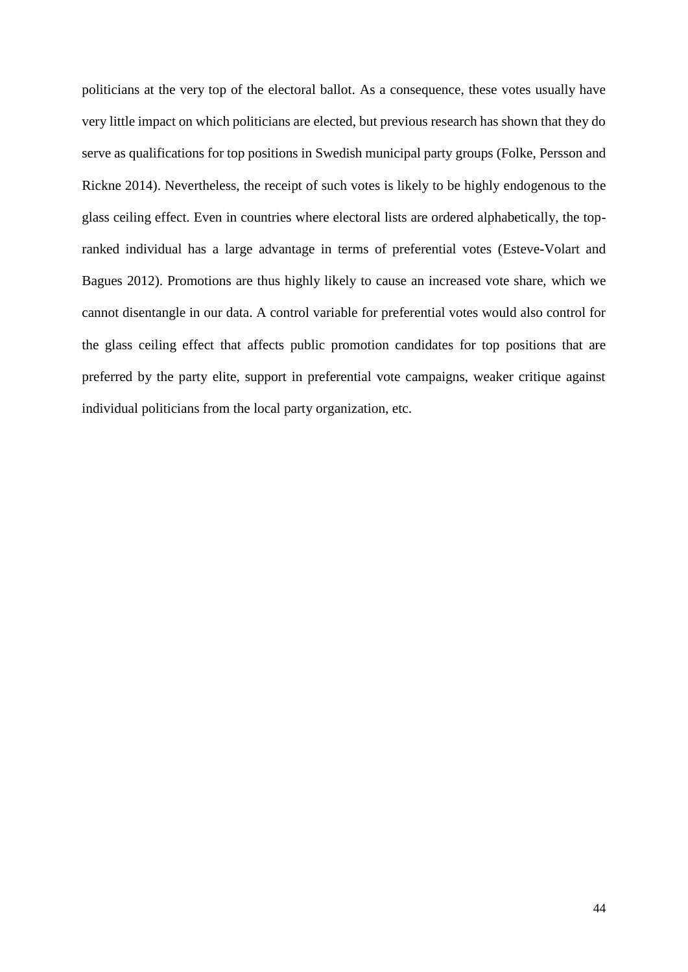politicians at the very top of the electoral ballot. As a consequence, these votes usually have very little impact on which politicians are elected, but previous research has shown that they do serve as qualifications for top positions in Swedish municipal party groups (Folke, Persson and Rickne 2014). Nevertheless, the receipt of such votes is likely to be highly endogenous to the glass ceiling effect. Even in countries where electoral lists are ordered alphabetically, the topranked individual has a large advantage in terms of preferential votes (Esteve-Volart and Bagues 2012). Promotions are thus highly likely to cause an increased vote share, which we cannot disentangle in our data. A control variable for preferential votes would also control for the glass ceiling effect that affects public promotion candidates for top positions that are preferred by the party elite, support in preferential vote campaigns, weaker critique against individual politicians from the local party organization, etc.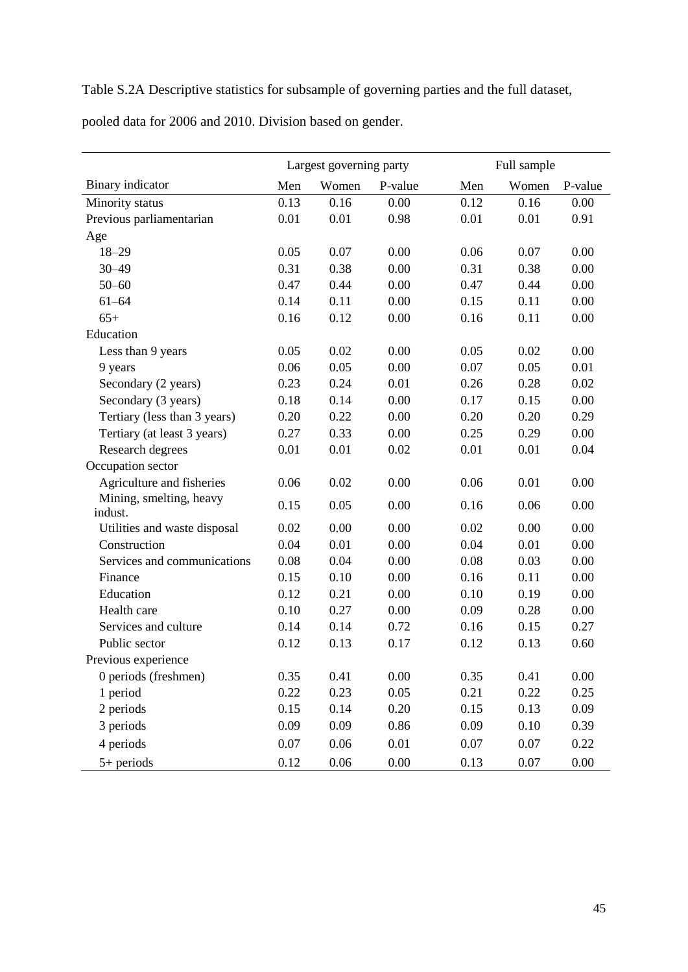Table S.2A Descriptive statistics for subsample of governing parties and the full dataset,

pooled data for 2006 and 2010. Division based on gender.

|                              |      | Largest governing party |          | Full sample |       |         |
|------------------------------|------|-------------------------|----------|-------------|-------|---------|
| Binary indicator             | Men  | Women                   | P-value  | Men         | Women | P-value |
| Minority status              | 0.13 | 0.16                    | 0.00     | 0.12        | 0.16  | 0.00    |
| Previous parliamentarian     | 0.01 | 0.01                    | 0.98     | 0.01        | 0.01  | 0.91    |
| Age                          |      |                         |          |             |       |         |
| $18 - 29$                    | 0.05 | 0.07                    | 0.00     | 0.06        | 0.07  | 0.00    |
| $30 - 49$                    | 0.31 | 0.38                    | 0.00     | 0.31        | 0.38  | 0.00    |
| $50 - 60$                    | 0.47 | 0.44                    | 0.00     | 0.47        | 0.44  | 0.00    |
| $61 - 64$                    | 0.14 | 0.11                    | 0.00     | 0.15        | 0.11  | 0.00    |
| $65+$                        | 0.16 | 0.12                    | 0.00     | 0.16        | 0.11  | 0.00    |
| Education                    |      |                         |          |             |       |         |
| Less than 9 years            | 0.05 | 0.02                    | 0.00     | 0.05        | 0.02  | 0.00    |
| 9 years                      | 0.06 | 0.05                    | 0.00     | 0.07        | 0.05  | 0.01    |
| Secondary (2 years)          | 0.23 | 0.24                    | 0.01     | 0.26        | 0.28  | 0.02    |
| Secondary (3 years)          | 0.18 | 0.14                    | 0.00     | 0.17        | 0.15  | 0.00    |
| Tertiary (less than 3 years) | 0.20 | 0.22                    | 0.00     | 0.20        | 0.20  | 0.29    |
| Tertiary (at least 3 years)  | 0.27 | 0.33                    | 0.00     | 0.25        | 0.29  | 0.00    |
| Research degrees             | 0.01 | 0.01                    | 0.02     | 0.01        | 0.01  | 0.04    |
| Occupation sector            |      |                         |          |             |       |         |
| Agriculture and fisheries    | 0.06 | 0.02                    | 0.00     | 0.06        | 0.01  | 0.00    |
| Mining, smelting, heavy      | 0.15 | 0.05                    | 0.00     | 0.16        | 0.06  | 0.00    |
| indust.                      |      |                         |          |             |       |         |
| Utilities and waste disposal | 0.02 | 0.00                    | 0.00     | 0.02        | 0.00  | 0.00    |
| Construction                 | 0.04 | 0.01                    | 0.00     | 0.04        | 0.01  | 0.00    |
| Services and communications  | 0.08 | 0.04                    | 0.00     | 0.08        | 0.03  | 0.00    |
| Finance                      | 0.15 | 0.10                    | 0.00     | 0.16        | 0.11  | 0.00    |
| Education                    | 0.12 | 0.21                    | $0.00\,$ | 0.10        | 0.19  | 0.00    |
| Health care                  | 0.10 | 0.27                    | 0.00     | 0.09        | 0.28  | 0.00    |
| Services and culture         | 0.14 | 0.14                    | 0.72     | 0.16        | 0.15  | 0.27    |
| Public sector                | 0.12 | 0.13                    | 0.17     | 0.12        | 0.13  | 0.60    |
| Previous experience          |      |                         |          |             |       |         |
| 0 periods (freshmen)         | 0.35 | 0.41                    | 0.00     | 0.35        | 0.41  | 0.00    |
| 1 period                     | 0.22 | 0.23                    | 0.05     | 0.21        | 0.22  | 0.25    |
| 2 periods                    | 0.15 | 0.14                    | 0.20     | 0.15        | 0.13  | 0.09    |
| 3 periods                    | 0.09 | 0.09                    | 0.86     | 0.09        | 0.10  | 0.39    |
| 4 periods                    | 0.07 | 0.06                    | 0.01     | 0.07        | 0.07  | 0.22    |
| $5+$ periods                 | 0.12 | 0.06                    | 0.00     | 0.13        | 0.07  | 0.00    |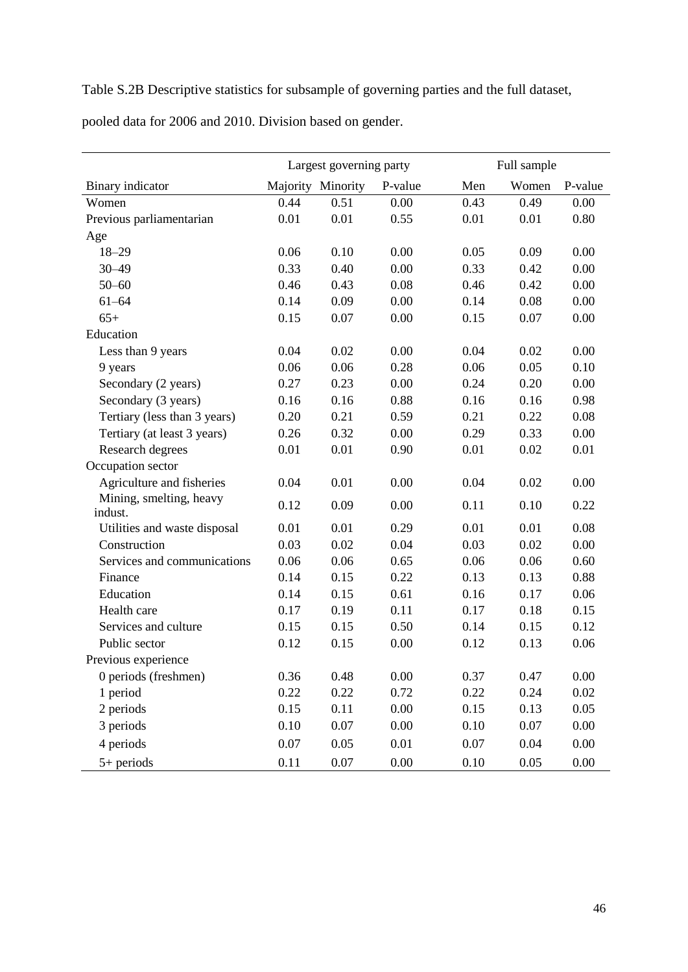Table S.2B Descriptive statistics for subsample of governing parties and the full dataset,

pooled data for 2006 and 2010. Division based on gender.

|                              | Largest governing party |                   |         | Full sample |       |         |  |
|------------------------------|-------------------------|-------------------|---------|-------------|-------|---------|--|
| <b>Binary</b> indicator      |                         | Majority Minority | P-value | Men         | Women | P-value |  |
| Women                        | 0.44                    | 0.51              | 0.00    | 0.43        | 0.49  | 0.00    |  |
| Previous parliamentarian     | 0.01                    | 0.01              | 0.55    | 0.01        | 0.01  | 0.80    |  |
| Age                          |                         |                   |         |             |       |         |  |
| $18 - 29$                    | 0.06                    | 0.10              | 0.00    | 0.05        | 0.09  | 0.00    |  |
| $30 - 49$                    | 0.33                    | 0.40              | 0.00    | 0.33        | 0.42  | 0.00    |  |
| $50 - 60$                    | 0.46                    | 0.43              | 0.08    | 0.46        | 0.42  | 0.00    |  |
| $61 - 64$                    | 0.14                    | 0.09              | 0.00    | 0.14        | 0.08  | 0.00    |  |
| $65+$                        | 0.15                    | 0.07              | 0.00    | 0.15        | 0.07  | 0.00    |  |
| Education                    |                         |                   |         |             |       |         |  |
| Less than 9 years            | 0.04                    | 0.02              | 0.00    | 0.04        | 0.02  | 0.00    |  |
| 9 years                      | 0.06                    | 0.06              | 0.28    | 0.06        | 0.05  | 0.10    |  |
| Secondary (2 years)          | 0.27                    | 0.23              | 0.00    | 0.24        | 0.20  | 0.00    |  |
| Secondary (3 years)          | 0.16                    | 0.16              | 0.88    | 0.16        | 0.16  | 0.98    |  |
| Tertiary (less than 3 years) | 0.20                    | 0.21              | 0.59    | 0.21        | 0.22  | 0.08    |  |
| Tertiary (at least 3 years)  | 0.26                    | 0.32              | 0.00    | 0.29        | 0.33  | 0.00    |  |
| Research degrees             | 0.01                    | 0.01              | 0.90    | 0.01        | 0.02  | 0.01    |  |
| Occupation sector            |                         |                   |         |             |       |         |  |
| Agriculture and fisheries    | 0.04                    | 0.01              | 0.00    | 0.04        | 0.02  | 0.00    |  |
| Mining, smelting, heavy      | 0.12                    | 0.09              | 0.00    | 0.11        | 0.10  | 0.22    |  |
| indust.                      |                         |                   |         |             |       |         |  |
| Utilities and waste disposal | 0.01                    | 0.01              | 0.29    | 0.01        | 0.01  | 0.08    |  |
| Construction                 | 0.03                    | 0.02              | 0.04    | 0.03        | 0.02  | 0.00    |  |
| Services and communications  | 0.06                    | 0.06              | 0.65    | 0.06        | 0.06  | 0.60    |  |
| Finance                      | 0.14                    | 0.15              | 0.22    | 0.13        | 0.13  | 0.88    |  |
| Education                    | 0.14                    | 0.15              | 0.61    | 0.16        | 0.17  | 0.06    |  |
| Health care                  | 0.17                    | 0.19              | 0.11    | 0.17        | 0.18  | 0.15    |  |
| Services and culture         | 0.15                    | 0.15              | 0.50    | 0.14        | 0.15  | 0.12    |  |
| Public sector                | 0.12                    | 0.15              | 0.00    | 0.12        | 0.13  | 0.06    |  |
| Previous experience          |                         |                   |         |             |       |         |  |
| 0 periods (freshmen)         | 0.36                    | 0.48              | 0.00    | 0.37        | 0.47  | 0.00    |  |
| 1 period                     | 0.22                    | 0.22              | 0.72    | 0.22        | 0.24  | 0.02    |  |
| 2 periods                    | 0.15                    | 0.11              | 0.00    | 0.15        | 0.13  | 0.05    |  |
| 3 periods                    | 0.10                    | 0.07              | 0.00    | 0.10        | 0.07  | 0.00    |  |
| 4 periods                    | 0.07                    | 0.05              | 0.01    | 0.07        | 0.04  | 0.00    |  |
| $5+$ periods                 | 0.11                    | 0.07              | 0.00    | 0.10        | 0.05  | 0.00    |  |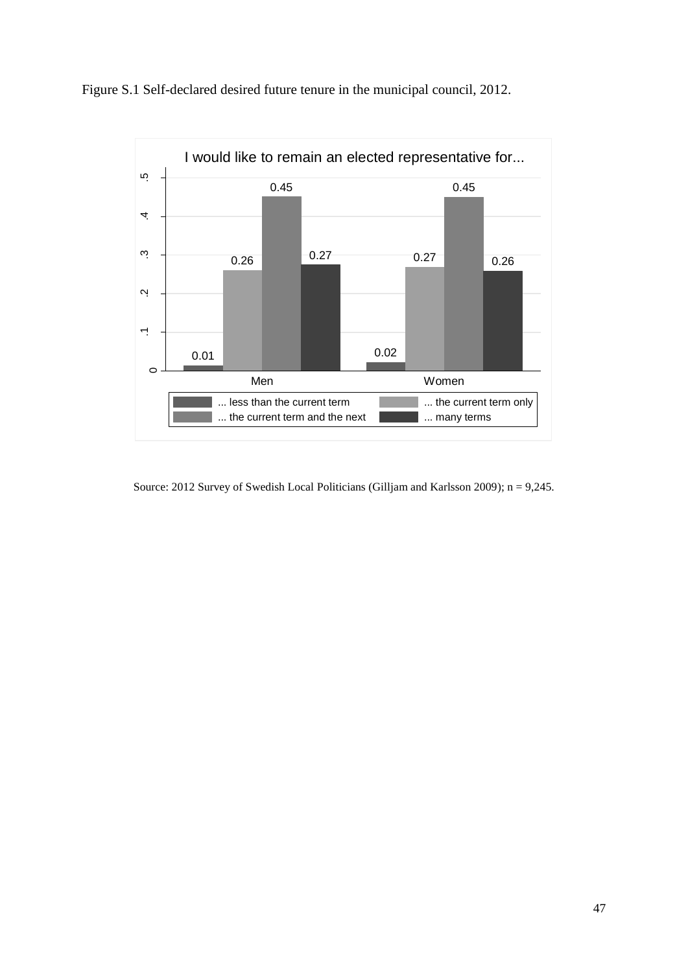



Source: 2012 Survey of Swedish Local Politicians (Gilljam and Karlsson 2009); n = 9,245.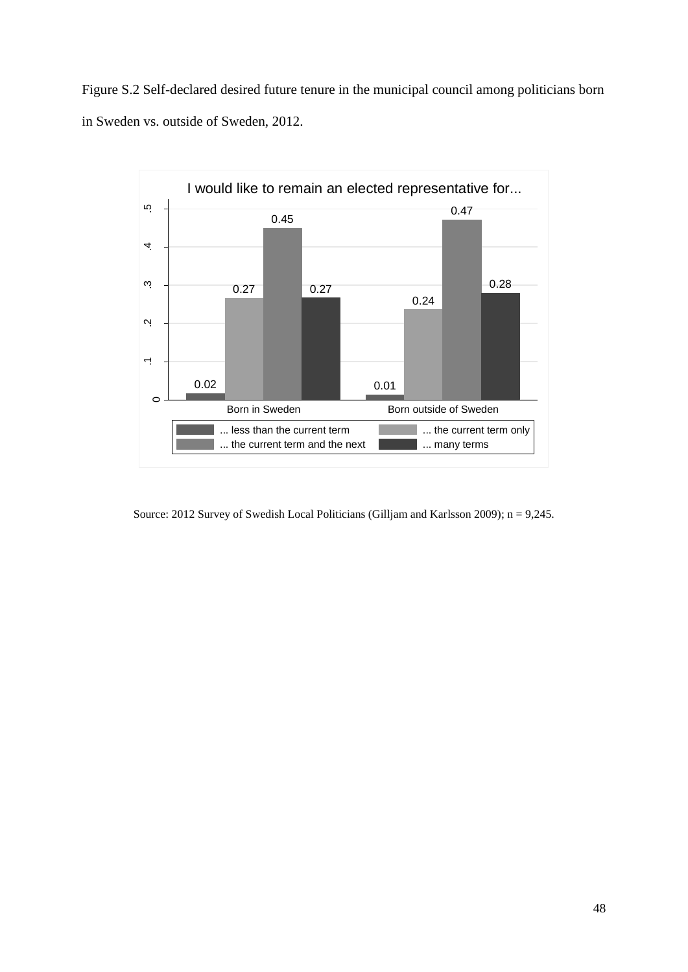Figure S.2 Self-declared desired future tenure in the municipal council among politicians born in Sweden vs. outside of Sweden, 2012.



Source: 2012 Survey of Swedish Local Politicians (Gilljam and Karlsson 2009); n = 9,245.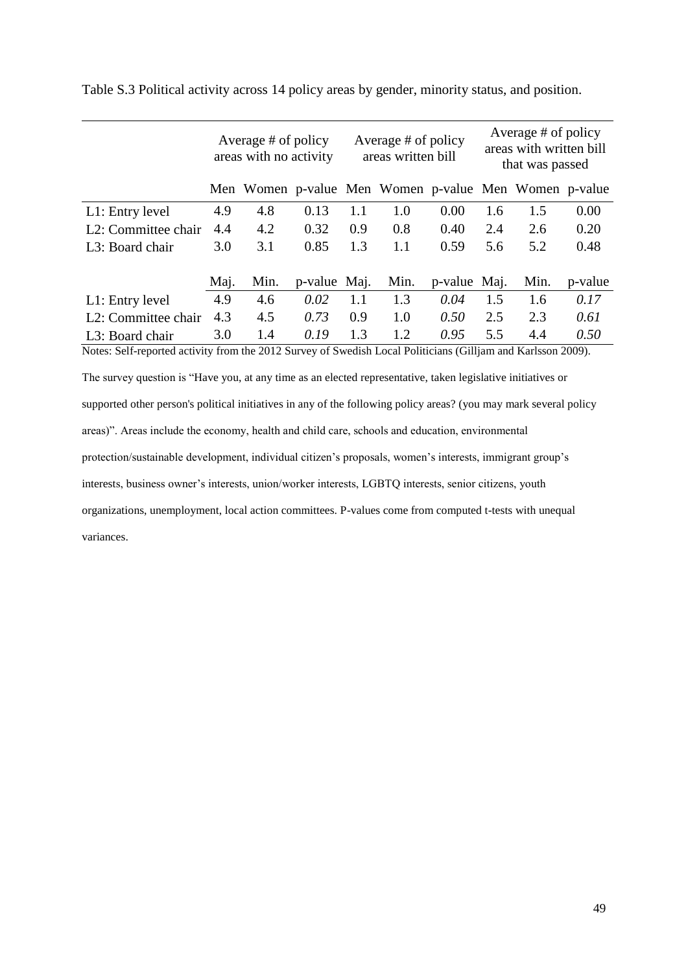|                                  | Average # of policy<br>areas with no activity |                                                       |              | Average # of policy<br>areas written bill |      |         | Average # of policy<br>areas with written bill<br>that was passed |      |         |
|----------------------------------|-----------------------------------------------|-------------------------------------------------------|--------------|-------------------------------------------|------|---------|-------------------------------------------------------------------|------|---------|
|                                  |                                               | Men Women p-value Men Women p-value Men Women p-value |              |                                           |      |         |                                                                   |      |         |
| L1: Entry level                  | 4.9                                           | 4.8                                                   | 0.13         | 1.1                                       | 1.0  | 0.00    | 1.6                                                               | 1.5  | 0.00    |
| L <sub>2</sub> : Committee chair | 4.4                                           | 4.2                                                   | 0.32         | 0.9                                       | 0.8  | 0.40    | 2.4                                                               | 2.6  | 0.20    |
| L3: Board chair                  | 3.0                                           | 3.1                                                   | 0.85         | 1.3                                       | 1.1  | 0.59    | 5.6                                                               | 5.2  | 0.48    |
|                                  | Maj.                                          | Min.                                                  | p-value Maj. |                                           | Min. | p-value | Maj.                                                              | Min. | p-value |
| L1: Entry level                  | 4.9                                           | 4.6                                                   | 0.02         | 1.1                                       | 1.3  | 0.04    | 1.5                                                               | 1.6  | 0.17    |
| L <sub>2</sub> : Committee chair | 4.3                                           | 4.5                                                   | 0.73         | 0.9                                       | 1.0  | 0.50    | 2.5                                                               | 2.3  | 0.61    |
| L <sub>3</sub> : Board chair     | 3.0                                           | 1.4                                                   | 0.19         | 1.3                                       | 1.2  | 0.95    | 5.5                                                               | 4.4  | 0.50    |

Table S.3 Political activity across 14 policy areas by gender, minority status, and position.

The survey question is "Have you, at any time as an elected representative, taken legislative initiatives or supported other person's political initiatives in any of the following policy areas? (you may mark several policy areas)". Areas include the economy, health and child care, schools and education, environmental protection/sustainable development, individual citizen's proposals, women's interests, immigrant group's interests, business owner's interests, union/worker interests, LGBTQ interests, senior citizens, youth organizations, unemployment, local action committees. P-values come from computed t-tests with unequal variances.

Notes: Self-reported activity from the 2012 Survey of Swedish Local Politicians (Gilljam and Karlsson 2009).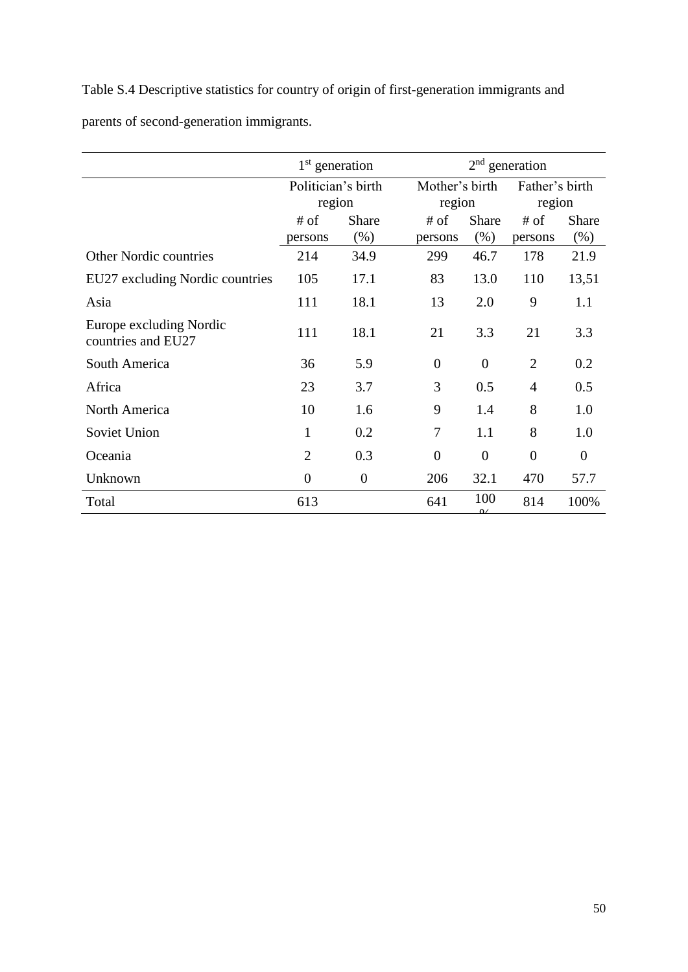Table S.4 Descriptive statistics for country of origin of first-generation immigrants and parents of second-generation immigrants.

|                                               | $1st$ generation     |                |                  | $2nd$ generation |                |                |  |
|-----------------------------------------------|----------------------|----------------|------------------|------------------|----------------|----------------|--|
|                                               | Politician's birth   |                | Mother's birth   |                  | Father's birth |                |  |
|                                               | region               |                | region           |                  | region         |                |  |
|                                               | # of<br><b>Share</b> |                | # of             | <b>Share</b>     | # of           | <b>Share</b>   |  |
|                                               | persons              | $(\% )$        | persons          | $(\% )$          | persons        | (% )           |  |
| <b>Other Nordic countries</b>                 | 214                  | 34.9           | 299              | 46.7             | 178            | 21.9           |  |
| EU27 excluding Nordic countries               | 105                  | 17.1           | 83               | 13.0             | 110            | 13,51          |  |
| Asia                                          | 111                  | 18.1           | 13               | 2.0              | 9              | 1.1            |  |
| Europe excluding Nordic<br>countries and EU27 | 111                  | 18.1           | 21               | 3.3              | 21             | 3.3            |  |
| South America                                 | 36                   | 5.9            | $\overline{0}$   | $\theta$         | $\overline{2}$ | 0.2            |  |
| Africa                                        | 23                   | 3.7            | 3                | 0.5              | $\overline{4}$ | 0.5            |  |
| North America                                 | 10                   | 1.6            | 9                | 1.4              | 8              | 1.0            |  |
| Soviet Union                                  | $\mathbf{1}$         | 0.2            | $\overline{7}$   | 1.1              | 8              | 1.0            |  |
| Oceania                                       | $\overline{2}$       | 0.3            | $\boldsymbol{0}$ | $\overline{0}$   | $\overline{0}$ | $\overline{0}$ |  |
| Unknown                                       | $\theta$             | $\overline{0}$ | 206              | 32.1             | 470            | 57.7           |  |
| Total                                         | 613                  |                | 641              | 100              | 814            | 100%           |  |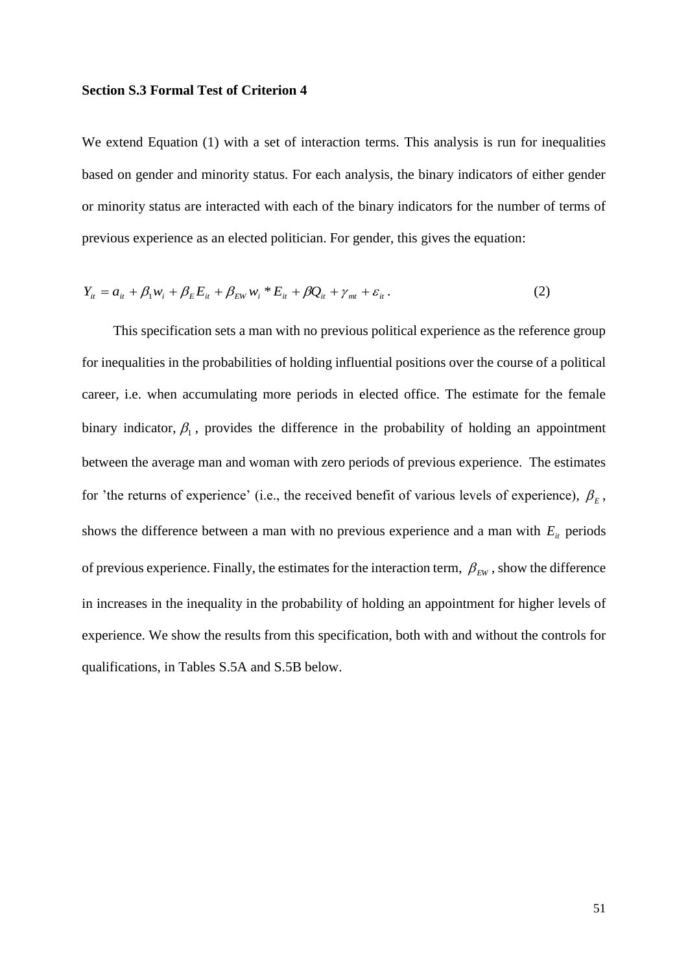#### **Section S.3 Formal Test of Criterion 4**

We extend Equation (1) with a set of interaction terms. This analysis is run for inequalities based on gender and minority status. For each analysis, the binary indicators of either gender or minority status are interacted with each of the binary indicators for the number of terms of previous experience as an elected politician. For gender, this gives the equation:

$$
Y_{it} = a_{it} + \beta_1 w_i + \beta_E E_{it} + \beta_{EW} w_i * E_{it} + \beta Q_{it} + \gamma_{mt} + \varepsilon_{it}.
$$
 (2)

This specification sets a man with no previous political experience as the reference group for inequalities in the probabilities of holding influential positions over the course of a political career, i.e. when accumulating more periods in elected office. The estimate for the female binary indicator,  $\beta_1$ , provides the difference in the probability of holding an appointment between the average man and woman with zero periods of previous experience. The estimates for 'the returns of experience' (i.e., the received benefit of various levels of experience),  $\beta_E$ , shows the difference between a man with no previous experience and a man with  $E_i$  periods of previous experience. Finally, the estimates for the interaction term,  $\beta_{\text{EW}}$ , show the difference in increases in the inequality in the probability of holding an appointment for higher levels of experience. We show the results from this specification, both with and without the controls for qualifications, in Tables S.5A and S.5B below.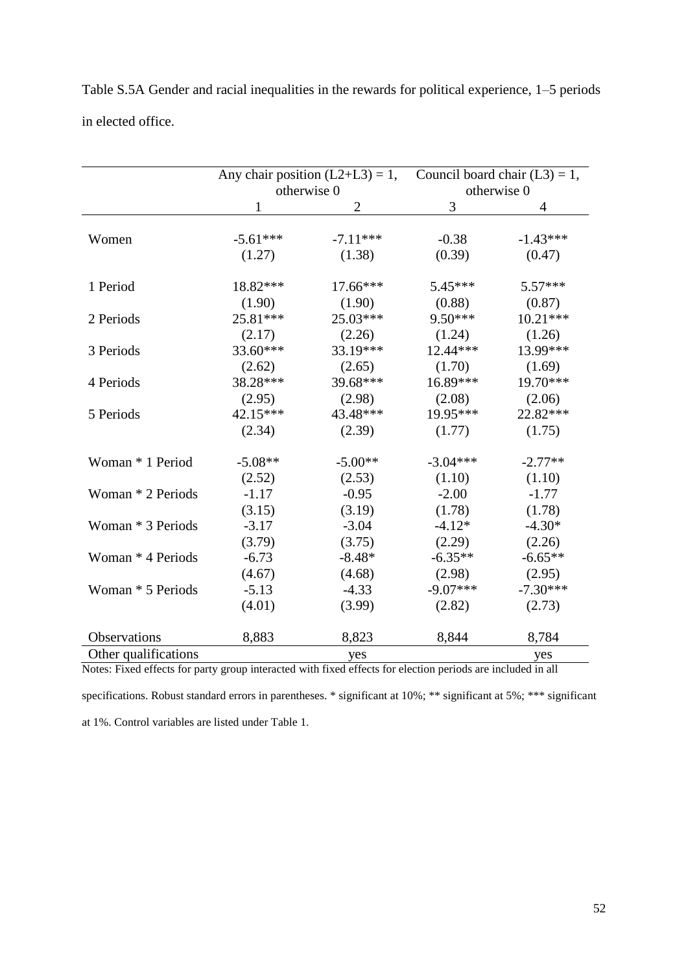Table S.5A Gender and racial inequalities in the rewards for political experience, 1–5 periods in elected office.

|                      |              | Any chair position $(L2+L3) = 1$ , |            | Council board chair $(L3) = 1$ , |
|----------------------|--------------|------------------------------------|------------|----------------------------------|
|                      |              | otherwise 0                        |            | otherwise 0                      |
|                      | $\mathbf{1}$ | $\overline{2}$                     | 3          | $\overline{4}$                   |
|                      |              |                                    |            |                                  |
| Women                | $-5.61***$   | $-7.11***$                         | $-0.38$    | $-1.43***$                       |
|                      | (1.27)       | (1.38)                             | (0.39)     | (0.47)                           |
| 1 Period             | 18.82***     | 17.66***                           | $5.45***$  | $5.57***$                        |
|                      | (1.90)       | (1.90)                             | (0.88)     | (0.87)                           |
| 2 Periods            | 25.81***     | $25.03***$                         | $9.50***$  | $10.21***$                       |
|                      | (2.17)       | (2.26)                             | (1.24)     | (1.26)                           |
| 3 Periods            | 33.60***     | 33.19***                           | $12.44***$ | 13.99***                         |
|                      | (2.62)       | (2.65)                             | (1.70)     | (1.69)                           |
| 4 Periods            | 38.28***     | 39.68***                           | 16.89***   | 19.70***                         |
|                      | (2.95)       | (2.98)                             | (2.08)     | (2.06)                           |
| 5 Periods            | 42.15***     | 43.48***                           | 19.95***   | 22.82***                         |
|                      | (2.34)       | (2.39)                             | (1.77)     | (1.75)                           |
| Woman * 1 Period     | $-5.08**$    | $-5.00**$                          | $-3.04***$ | $-2.77**$                        |
|                      | (2.52)       | (2.53)                             | (1.10)     | (1.10)                           |
| Woman * 2 Periods    | $-1.17$      | $-0.95$                            | $-2.00$    | $-1.77$                          |
|                      | (3.15)       | (3.19)                             | (1.78)     | (1.78)                           |
| Woman * 3 Periods    | $-3.17$      | $-3.04$                            | $-4.12*$   | $-4.30*$                         |
|                      | (3.79)       | (3.75)                             | (2.29)     | (2.26)                           |
| Woman * 4 Periods    | $-6.73$      | $-8.48*$                           | $-6.35**$  | $-6.65**$                        |
|                      | (4.67)       | (4.68)                             | (2.98)     | (2.95)                           |
| Woman * 5 Periods    | $-5.13$      | $-4.33$                            | $-9.07***$ | $-7.30***$                       |
|                      | (4.01)       | (3.99)                             | (2.82)     | (2.73)                           |
| Observations         | 8,883        | 8,823                              | 8,844      | 8,784                            |
| Other qualifications |              | yes                                |            | yes                              |

Notes: Fixed effects for party group interacted with fixed effects for election periods are included in all

specifications. Robust standard errors in parentheses. \* significant at 10%; \*\* significant at 5%; \*\*\* significant

at 1%. Control variables are listed under Table 1.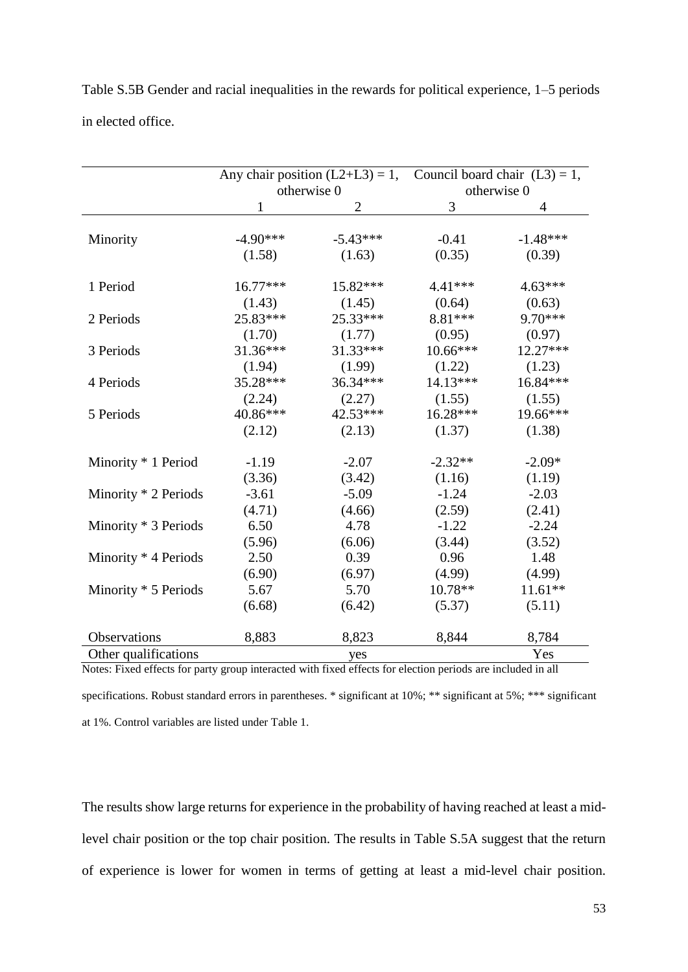Table S.5B Gender and racial inequalities in the rewards for political experience, 1–5 periods in elected office.

|                                      | otherwise 0  | Any chair position $(L2+L3) = 1$ , Council board chair $(L3) = 1$ , | otherwise 0 |                |
|--------------------------------------|--------------|---------------------------------------------------------------------|-------------|----------------|
|                                      | $\mathbf{1}$ | $\overline{2}$                                                      | 3           | $\overline{4}$ |
| Minority                             | $-4.90***$   | $-5.43***$                                                          | $-0.41$     | $-1.48***$     |
|                                      | (1.58)       | (1.63)                                                              | (0.35)      | (0.39)         |
| 1 Period                             | $16.77***$   | 15.82***                                                            | 4.41 ***    | $4.63***$      |
|                                      | (1.43)       | (1.45)                                                              | (0.64)      | (0.63)         |
| 2 Periods                            | 25.83***     | $25.33***$                                                          | 8.81 ***    | 9.70***        |
| 3 Periods                            | (1.70)       | (1.77)                                                              | (0.95)      | (0.97)         |
|                                      | $31.36***$   | $31.33***$                                                          | $10.66***$  | $12.27***$     |
| 4 Periods                            | (1.94)       | (1.99)                                                              | (1.22)      | (1.23)         |
|                                      | 35.28***     | 36.34***                                                            | 14.13***    | 16.84***       |
|                                      | (2.24)       | (2.27)                                                              | (1.55)      | (1.55)         |
| 5 Periods                            | 40.86***     | $42.53***$                                                          | 16.28***    | 19.66***       |
|                                      | (2.12)       | (2.13)                                                              | (1.37)      | (1.38)         |
| Minority * 1 Period                  | $-1.19$      | $-2.07$                                                             | $-2.32**$   | $-2.09*$       |
| Minority * 2 Periods                 | (3.36)       | (3.42)                                                              | (1.16)      | (1.19)         |
|                                      | $-3.61$      | $-5.09$                                                             | $-1.24$     | $-2.03$        |
|                                      | (4.71)       | (4.66)                                                              | (2.59)      | (2.41)         |
| Minority * 3 Periods                 | 6.50         | 4.78                                                                | $-1.22$     | $-2.24$        |
|                                      | (5.96)       | (6.06)                                                              | (3.44)      | (3.52)         |
| Minority * 4 Periods                 | 2.50         | 0.39                                                                | 0.96        | 1.48           |
|                                      | (6.90)       | (6.97)                                                              | (4.99)      | (4.99)         |
| Minority * 5 Periods                 | 5.67         | 5.70                                                                | 10.78**     | $11.61**$      |
|                                      | (6.68)       | (6.42)                                                              | (5.37)      | (5.11)         |
|                                      |              |                                                                     |             |                |
| Observations<br>Other qualifications | 8,883        | 8,823<br>yes                                                        | 8,844       | 8,784<br>Yes   |

Notes: Fixed effects for party group interacted with fixed effects for election periods are included in all

specifications. Robust standard errors in parentheses. \* significant at 10%; \*\* significant at 5%; \*\*\* significant at 1%. Control variables are listed under Table 1.

The results show large returns for experience in the probability of having reached at least a midlevel chair position or the top chair position. The results in Table S.5A suggest that the return of experience is lower for women in terms of getting at least a mid-level chair position.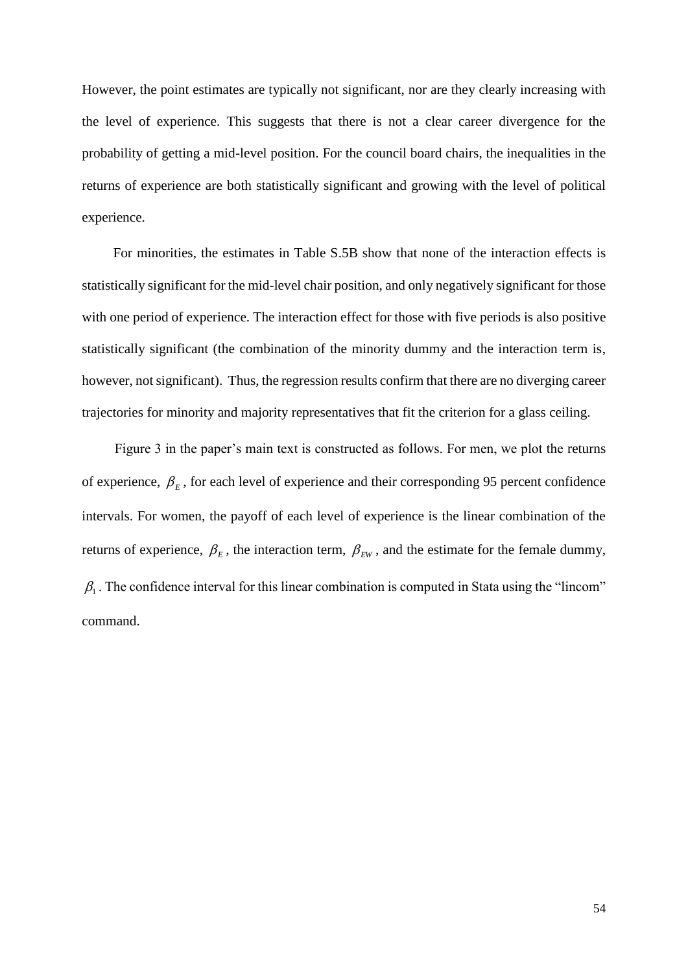However, the point estimates are typically not significant, nor are they clearly increasing with the level of experience. This suggests that there is not a clear career divergence for the probability of getting a mid-level position. For the council board chairs, the inequalities in the returns of experience are both statistically significant and growing with the level of political experience.

For minorities, the estimates in Table S.5B show that none of the interaction effects is statistically significant for the mid-level chair position, and only negatively significant for those with one period of experience. The interaction effect for those with five periods is also positive statistically significant (the combination of the minority dummy and the interaction term is, however, not significant). Thus, the regression results confirm that there are no diverging career trajectories for minority and majority representatives that fit the criterion for a glass ceiling.

Figure 3 in the paper's main text is constructed as follows. For men, we plot the returns of experience,  $\beta_E$ , for each level of experience and their corresponding 95 percent confidence intervals. For women, the payoff of each level of experience is the linear combination of the returns of experience,  $\beta_E$ , the interaction term,  $\beta_{EW}$ , and the estimate for the female dummy,  $\beta_1$ . The confidence interval for this linear combination is computed in Stata using the "lincom" command.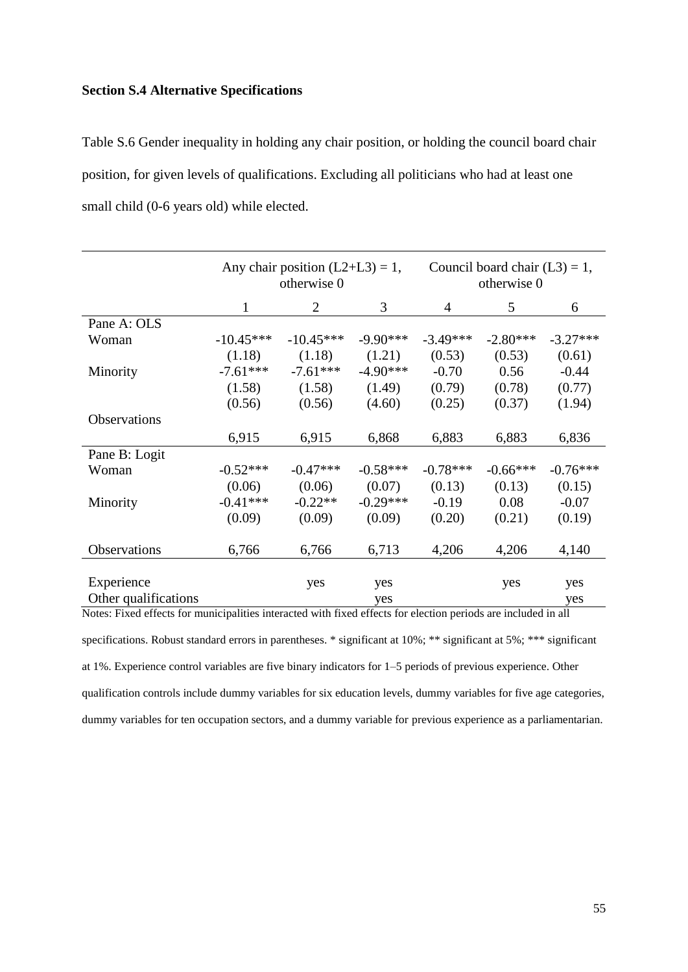#### **Section S.4 Alternative Specifications**

Table S.6 Gender inequality in holding any chair position, or holding the council board chair position, for given levels of qualifications. Excluding all politicians who had at least one small child (0-6 years old) while elected.

|                      |             | Any chair position $(L2+L3) = 1$ ,<br>otherwise 0 |            | Council board chair $(L3) = 1$ ,<br>otherwise 0 |            |            |  |
|----------------------|-------------|---------------------------------------------------|------------|-------------------------------------------------|------------|------------|--|
|                      | 1           | 2                                                 | 3          | 4                                               | 5          | 6          |  |
| Pane A: OLS          |             |                                                   |            |                                                 |            |            |  |
| Woman                | $-10.45***$ | $-10.45***$                                       | $-9.90***$ | $-3.49***$                                      | $-2.80***$ | $-3.27***$ |  |
|                      | (1.18)      | (1.18)                                            | (1.21)     | (0.53)                                          | (0.53)     | (0.61)     |  |
| Minority             | $-7.61***$  | $-7.61***$                                        | $-4.90***$ | $-0.70$                                         | 0.56       | $-0.44$    |  |
|                      | (1.58)      | (1.58)                                            | (1.49)     | (0.79)                                          | (0.78)     | (0.77)     |  |
|                      | (0.56)      | (0.56)                                            | (4.60)     | (0.25)                                          | (0.37)     | (1.94)     |  |
| Observations         |             |                                                   |            |                                                 |            |            |  |
|                      | 6,915       | 6,915                                             | 6,868      | 6,883                                           | 6,883      | 6,836      |  |
| Pane B: Logit        |             |                                                   |            |                                                 |            |            |  |
| Woman                | $-0.52***$  | $-0.47***$                                        | $-0.58***$ | $-0.78***$                                      | $-0.66***$ | $-0.76***$ |  |
|                      | (0.06)      | (0.06)                                            | (0.07)     | (0.13)                                          | (0.13)     | (0.15)     |  |
| Minority             | $-0.41***$  | $-0.22**$                                         | $-0.29***$ | $-0.19$                                         | 0.08       | $-0.07$    |  |
|                      | (0.09)      | (0.09)                                            | (0.09)     | (0.20)                                          | (0.21)     | (0.19)     |  |
| Observations         | 6,766       | 6,766                                             | 6,713      | 4,206                                           | 4,206      | 4,140      |  |
|                      |             |                                                   |            |                                                 |            |            |  |
| Experience           |             | yes                                               | yes        |                                                 | yes        | yes        |  |
| Other qualifications |             |                                                   | yes        |                                                 |            | yes        |  |

Notes: Fixed effects for municipalities interacted with fixed effects for election periods are included in all specifications. Robust standard errors in parentheses. \* significant at 10%; \*\* significant at 5%; \*\*\* significant at 1%. Experience control variables are five binary indicators for 1–5 periods of previous experience. Other qualification controls include dummy variables for six education levels, dummy variables for five age categories, dummy variables for ten occupation sectors, and a dummy variable for previous experience as a parliamentarian.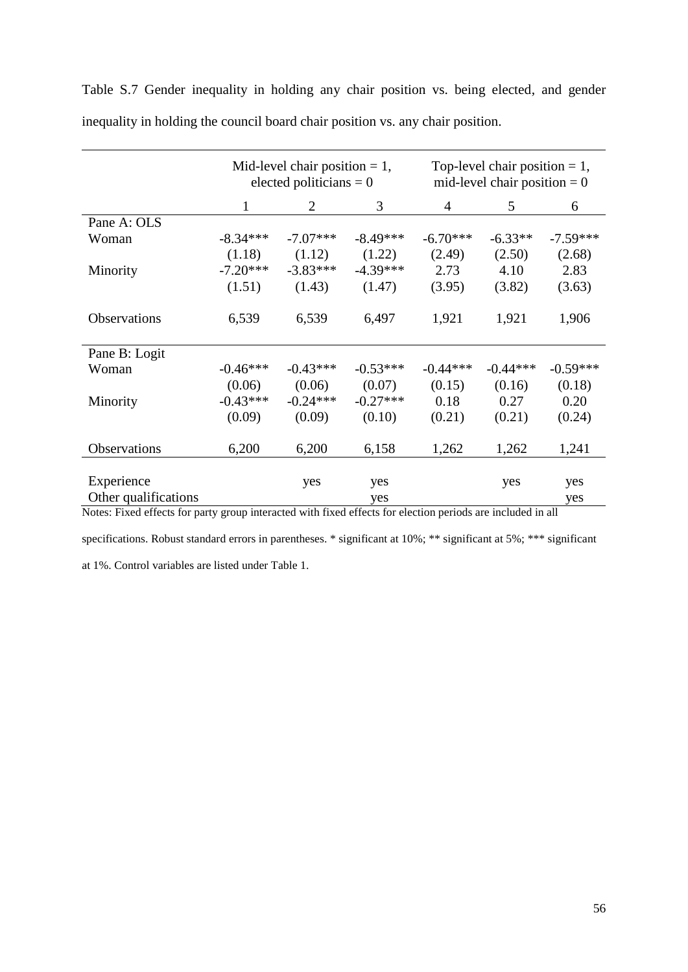|                      |            | Mid-level chair position $= 1$ ,<br>elected politicians = $0$ |            | Top-level chair position $= 1$ ,<br>mid-level chair position $= 0$ |            |            |  |
|----------------------|------------|---------------------------------------------------------------|------------|--------------------------------------------------------------------|------------|------------|--|
|                      | 1          | $\overline{2}$                                                | 3          | $\overline{4}$                                                     | 5          | 6          |  |
| Pane A: OLS          |            |                                                               |            |                                                                    |            |            |  |
| Woman                | $-8.34***$ | $-7.07***$                                                    | $-8.49***$ | $-6.70***$                                                         | $-6.33**$  | $-7.59***$ |  |
|                      | (1.18)     | (1.12)                                                        | (1.22)     | (2.49)                                                             | (2.50)     | (2.68)     |  |
| Minority             | $-7.20***$ | $-3.83***$                                                    | $-4.39***$ | 2.73                                                               | 4.10       | 2.83       |  |
|                      | (1.51)     | (1.43)                                                        | (1.47)     | (3.95)                                                             | (3.82)     | (3.63)     |  |
| <b>Observations</b>  | 6,539      | 6,539                                                         | 6,497      | 1,921                                                              | 1,921      | 1,906      |  |
| Pane B: Logit        |            |                                                               |            |                                                                    |            |            |  |
| Woman                | $-0.46***$ | $-0.43***$                                                    | $-0.53***$ | $-0.44***$                                                         | $-0.44***$ | $-0.59***$ |  |
|                      | (0.06)     | (0.06)                                                        | (0.07)     | (0.15)                                                             | (0.16)     | (0.18)     |  |
| Minority             | $-0.43***$ | $-0.24***$                                                    | $-0.27***$ | 0.18                                                               | 0.27       | 0.20       |  |
|                      | (0.09)     | (0.09)                                                        | (0.10)     | (0.21)                                                             | (0.21)     | (0.24)     |  |
| Observations         | 6,200      | 6,200                                                         | 6,158      | 1,262                                                              | 1,262      | 1,241      |  |
|                      |            |                                                               |            |                                                                    |            |            |  |
| Experience           |            | yes                                                           | yes        |                                                                    | yes        | yes        |  |
| Other qualifications |            |                                                               | yes        |                                                                    |            | yes        |  |

Table S.7 Gender inequality in holding any chair position vs. being elected, and gender inequality in holding the council board chair position vs. any chair position.

Notes: Fixed effects for party group interacted with fixed effects for election periods are included in all

specifications. Robust standard errors in parentheses. \* significant at 10%; \*\* significant at 5%; \*\*\* significant

at 1%. Control variables are listed under Table 1.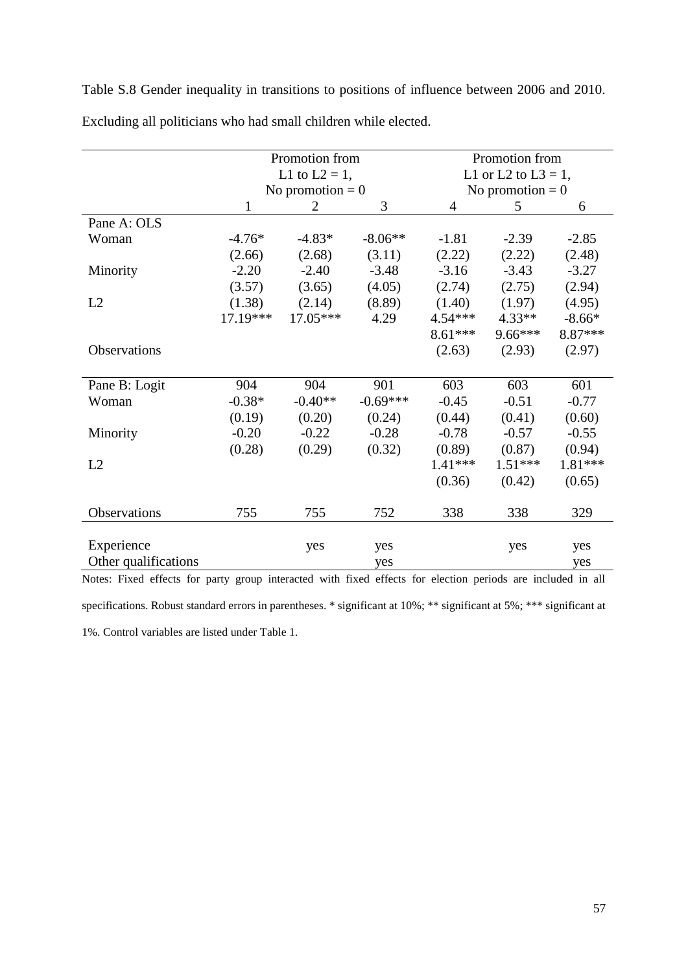|                      | Promotion from     |            |            | Promotion from         |           |          |
|----------------------|--------------------|------------|------------|------------------------|-----------|----------|
|                      | L1 to $L2 = 1$ ,   |            |            | L1 or L2 to $L3 = 1$ , |           |          |
|                      | No promotion $= 0$ |            |            | No promotion $= 0$     |           |          |
|                      | 1                  | 2          | 3          | 4                      | 5         | 6        |
| Pane A: OLS          |                    |            |            |                        |           |          |
| Woman                | $-4.76*$           | $-4.83*$   | $-8.06**$  | $-1.81$                | $-2.39$   | $-2.85$  |
|                      | (2.66)             | (2.68)     | (3.11)     | (2.22)                 | (2.22)    | (2.48)   |
| Minority             | $-2.20$            | $-2.40$    | $-3.48$    | $-3.16$                | $-3.43$   | $-3.27$  |
|                      | (3.57)             | (3.65)     | (4.05)     | (2.74)                 | (2.75)    | (2.94)   |
| L2                   | (1.38)             | (2.14)     | (8.89)     | (1.40)                 | (1.97)    | (4.95)   |
|                      | 17.19***           | $17.05***$ | 4.29       | $4.54***$              | $4.33**$  | $-8.66*$ |
|                      |                    |            |            | $8.61***$              | $9.66***$ | 8.87***  |
| Observations         |                    |            |            | (2.63)                 | (2.93)    | (2.97)   |
|                      |                    |            |            |                        |           |          |
| Pane B: Logit        | 904                | 904        | 901        | 603                    | 603       | 601      |
| Woman                | $-0.38*$           | $-0.40**$  | $-0.69***$ | $-0.45$                | $-0.51$   | $-0.77$  |
|                      | (0.19)             | (0.20)     | (0.24)     | (0.44)                 | (0.41)    | (0.60)   |
| Minority             | $-0.20$            | $-0.22$    | $-0.28$    | $-0.78$                | $-0.57$   | $-0.55$  |
|                      | (0.28)             | (0.29)     | (0.32)     | (0.89)                 | (0.87)    | (0.94)   |
| L2                   |                    |            |            | $1.41***$              | $1.51***$ | 1.81 *** |
|                      |                    |            |            | (0.36)                 | (0.42)    | (0.65)   |
|                      |                    |            |            |                        |           |          |
| Observations         | 755                | 755        | 752        | 338                    | 338       | 329      |
|                      |                    |            |            |                        |           |          |
| Experience           |                    | yes        | yes        |                        | yes       | yes      |
| Other qualifications |                    |            | yes        |                        |           | yes      |

Table S.8 Gender inequality in transitions to positions of influence between 2006 and 2010. Excluding all politicians who had small children while elected.

Notes: Fixed effects for party group interacted with fixed effects for election periods are included in all specifications. Robust standard errors in parentheses. \* significant at 10%; \*\* significant at 5%; \*\*\* significant at 1%. Control variables are listed under Table 1.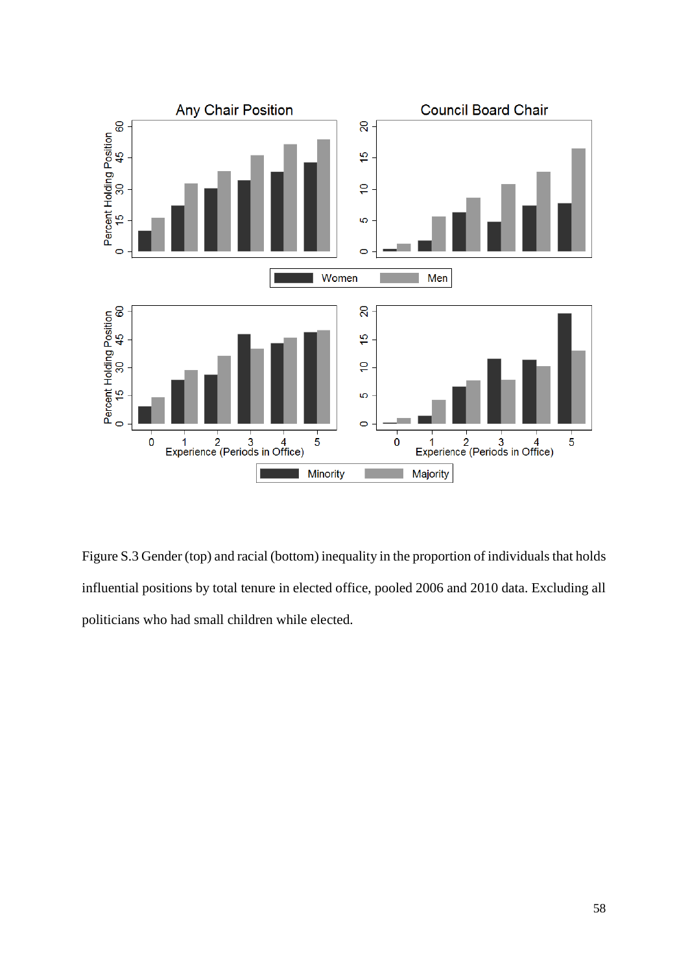

Figure S.3 Gender (top) and racial (bottom) inequality in the proportion of individuals that holds influential positions by total tenure in elected office, pooled 2006 and 2010 data. Excluding all politicians who had small children while elected.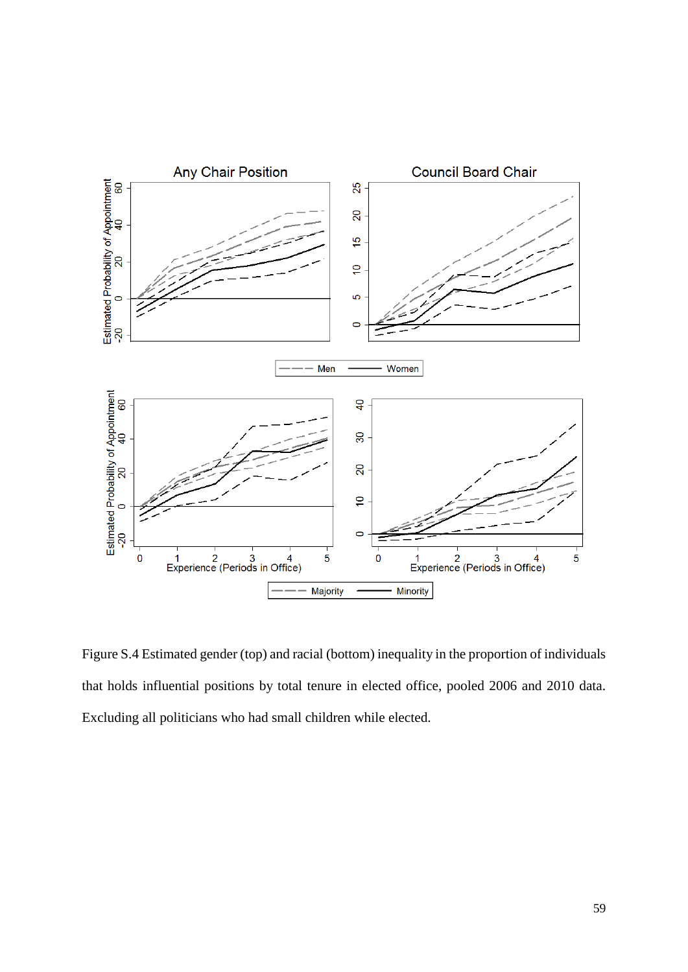

Figure S.4 Estimated gender (top) and racial (bottom) inequality in the proportion of individuals that holds influential positions by total tenure in elected office, pooled 2006 and 2010 data. Excluding all politicians who had small children while elected.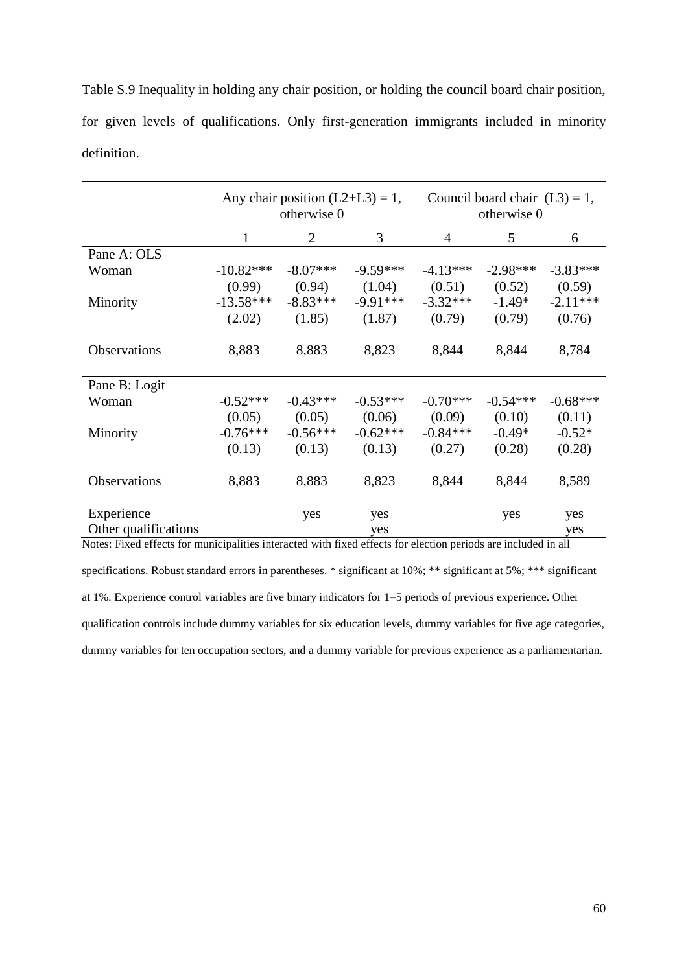Table S.9 Inequality in holding any chair position, or holding the council board chair position, for given levels of qualifications. Only first-generation immigrants included in minority definition.

|                      | Any chair position $(L2+L3) = 1$ ,<br>otherwise 0 |            |            | Council board chair $(L3) = 1$ ,<br>otherwise 0 |            |            |
|----------------------|---------------------------------------------------|------------|------------|-------------------------------------------------|------------|------------|
|                      | 1                                                 | 2          | 3          | 4                                               | 5          | 6          |
| Pane A: OLS          |                                                   |            |            |                                                 |            |            |
| Woman                | $-10.82***$                                       | $-8.07***$ | $-9.59***$ | $-4.13***$                                      | $-2.98***$ | $-3.83***$ |
|                      | (0.99)                                            | (0.94)     | (1.04)     | (0.51)                                          | (0.52)     | (0.59)     |
| Minority             | $-13.58***$                                       | $-8.83***$ | $-9.91***$ | $-3.32***$                                      | $-1.49*$   | $-2.11***$ |
|                      | (2.02)                                            | (1.85)     | (1.87)     | (0.79)                                          | (0.79)     | (0.76)     |
|                      |                                                   |            |            |                                                 |            |            |
| Observations         | 8,883                                             | 8,883      | 8,823      | 8,844                                           | 8,844      | 8,784      |
|                      |                                                   |            |            |                                                 |            |            |
| Pane B: Logit        |                                                   |            |            |                                                 |            |            |
| Woman                | $-0.52***$                                        | $-0.43***$ | $-0.53***$ | $-0.70***$                                      | $-0.54***$ | $-0.68***$ |
|                      | (0.05)                                            | (0.05)     | (0.06)     | (0.09)                                          | (0.10)     | (0.11)     |
| Minority             | $-0.76***$                                        | $-0.56***$ | $-0.62***$ | $-0.84***$                                      | $-0.49*$   | $-0.52*$   |
|                      | (0.13)                                            | (0.13)     | (0.13)     | (0.27)                                          | (0.28)     | (0.28)     |
|                      |                                                   |            |            |                                                 |            |            |
| <b>Observations</b>  | 8,883                                             | 8,883      | 8,823      | 8,844                                           | 8,844      | 8,589      |
|                      |                                                   |            |            |                                                 |            |            |
| Experience           |                                                   | yes        | yes        |                                                 | yes        | yes        |
| Other qualifications |                                                   |            | yes        |                                                 |            | yes        |

Notes: Fixed effects for municipalities interacted with fixed effects for election periods are included in all

specifications. Robust standard errors in parentheses. \* significant at 10%; \*\* significant at 5%; \*\*\* significant at 1%. Experience control variables are five binary indicators for 1–5 periods of previous experience. Other qualification controls include dummy variables for six education levels, dummy variables for five age categories, dummy variables for ten occupation sectors, and a dummy variable for previous experience as a parliamentarian.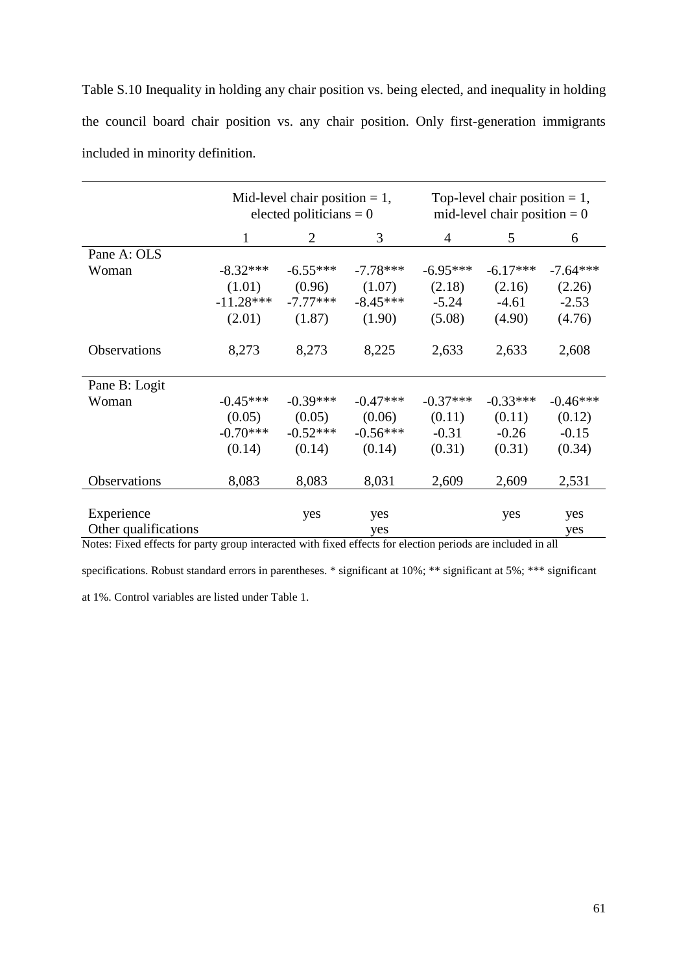Table S.10 Inequality in holding any chair position vs. being elected, and inequality in holding the council board chair position vs. any chair position. Only first-generation immigrants included in minority definition.

|                      | Mid-level chair position $= 1$ ,<br>elected politicians = $0$ |            |            | Top-level chair position $= 1$ ,<br>mid-level chair position $= 0$ |            |            |
|----------------------|---------------------------------------------------------------|------------|------------|--------------------------------------------------------------------|------------|------------|
|                      | 1                                                             | 2          | 3          | 4                                                                  | 5          | 6          |
| Pane A: OLS          |                                                               |            |            |                                                                    |            |            |
| Woman                | $-8.32***$                                                    | $-6.55***$ | $-7.78***$ | $-6.95***$                                                         | $-6.17***$ | $-7.64***$ |
|                      | (1.01)                                                        | (0.96)     | (1.07)     | (2.18)                                                             | (2.16)     | (2.26)     |
|                      | $-11.28***$                                                   | $-7.77***$ | $-8.45***$ | $-5.24$                                                            | $-4.61$    | $-2.53$    |
|                      | (2.01)                                                        | (1.87)     | (1.90)     | (5.08)                                                             | (4.90)     | (4.76)     |
|                      |                                                               |            |            |                                                                    |            |            |
| Observations         | 8,273                                                         | 8,273      | 8,225      | 2,633                                                              | 2,633      | 2,608      |
|                      |                                                               |            |            |                                                                    |            |            |
| Pane B: Logit        |                                                               |            |            |                                                                    |            |            |
| Woman                | $-0.45***$                                                    | $-0.39***$ | $-0.47***$ | $-0.37***$                                                         | $-0.33***$ | $-0.46***$ |
|                      | (0.05)                                                        | (0.05)     | (0.06)     | (0.11)                                                             | (0.11)     | (0.12)     |
|                      | $-0.70***$                                                    | $-0.52***$ | $-0.56***$ | $-0.31$                                                            | $-0.26$    | $-0.15$    |
|                      | (0.14)                                                        | (0.14)     | (0.14)     | (0.31)                                                             | (0.31)     | (0.34)     |
|                      |                                                               |            |            |                                                                    |            |            |
| Observations         | 8,083                                                         | 8,083      | 8,031      | 2,609                                                              | 2,609      | 2,531      |
|                      |                                                               |            |            |                                                                    |            |            |
| Experience           |                                                               | yes        | yes        |                                                                    | yes        | yes        |
| Other qualifications |                                                               |            | yes        |                                                                    |            | yes        |

Notes: Fixed effects for party group interacted with fixed effects for election periods are included in all

specifications. Robust standard errors in parentheses. \* significant at 10%; \*\* significant at 5%; \*\*\* significant

at 1%. Control variables are listed under Table 1.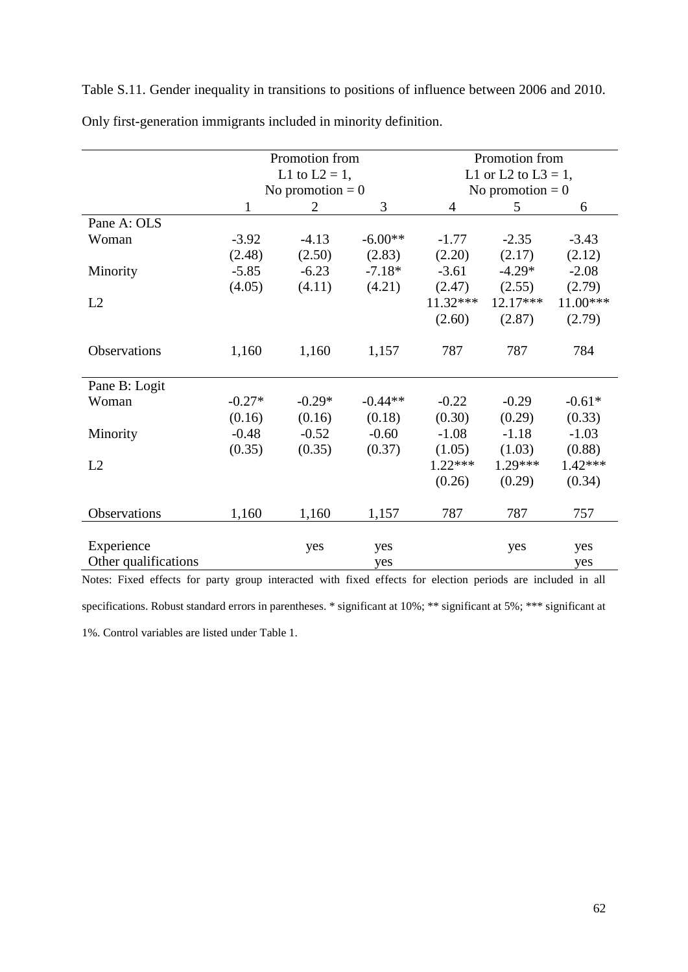|                      | Promotion from<br>L1 to $L2 = 1$ ,<br>No promotion $= 0$ |                |           | Promotion from<br>L1 or L2 to L3 = 1,<br>No promotion $= 0$ |           |          |  |
|----------------------|----------------------------------------------------------|----------------|-----------|-------------------------------------------------------------|-----------|----------|--|
|                      |                                                          |                |           |                                                             |           |          |  |
|                      |                                                          |                |           |                                                             |           |          |  |
|                      | 1                                                        | $\overline{2}$ | 3         | $\overline{4}$                                              | 5         | 6        |  |
| Pane A: OLS          |                                                          |                |           |                                                             |           |          |  |
| Woman                | $-3.92$                                                  | $-4.13$        | $-6.00**$ | $-1.77$                                                     | $-2.35$   | $-3.43$  |  |
|                      | (2.48)                                                   | (2.50)         | (2.83)    | (2.20)                                                      | (2.17)    | (2.12)   |  |
| Minority             | $-5.85$                                                  | $-6.23$        | $-7.18*$  | $-3.61$                                                     | $-4.29*$  | $-2.08$  |  |
|                      | (4.05)                                                   | (4.11)         | (4.21)    | (2.47)                                                      | (2.55)    | (2.79)   |  |
| L2                   |                                                          |                |           | 11.32***                                                    | 12.17***  | 11.00*** |  |
|                      |                                                          |                |           | (2.60)                                                      | (2.87)    | (2.79)   |  |
|                      |                                                          |                |           |                                                             |           |          |  |
| Observations         | 1,160                                                    | 1,160          | 1,157     | 787                                                         | 787       | 784      |  |
|                      |                                                          |                |           |                                                             |           |          |  |
| Pane B: Logit        |                                                          |                |           |                                                             |           |          |  |
| Woman                | $-0.27*$                                                 | $-0.29*$       | $-0.44**$ | $-0.22$                                                     | $-0.29$   | $-0.61*$ |  |
|                      | (0.16)                                                   | (0.16)         | (0.18)    | (0.30)                                                      | (0.29)    | (0.33)   |  |
| Minority             | $-0.48$                                                  | $-0.52$        | $-0.60$   | $-1.08$                                                     | $-1.18$   | $-1.03$  |  |
|                      | (0.35)                                                   | (0.35)         | (0.37)    | (1.05)                                                      | (1.03)    | (0.88)   |  |
| L2                   |                                                          |                |           | $1.22***$                                                   | $1.29***$ | 1.42***  |  |
|                      |                                                          |                |           | (0.26)                                                      | (0.29)    | (0.34)   |  |
|                      |                                                          |                |           |                                                             |           |          |  |
| Observations         | 1,160                                                    | 1,160          | 1,157     | 787                                                         | 787       | 757      |  |
|                      |                                                          |                |           |                                                             |           |          |  |
| Experience           |                                                          | yes            | yes       |                                                             | yes       | yes      |  |
| Other qualifications |                                                          |                | yes       |                                                             |           | yes      |  |

Table S.11. Gender inequality in transitions to positions of influence between 2006 and 2010. Only first-generation immigrants included in minority definition.

Notes: Fixed effects for party group interacted with fixed effects for election periods are included in all specifications. Robust standard errors in parentheses. \* significant at 10%; \*\* significant at 5%; \*\*\* significant at 1%. Control variables are listed under Table 1.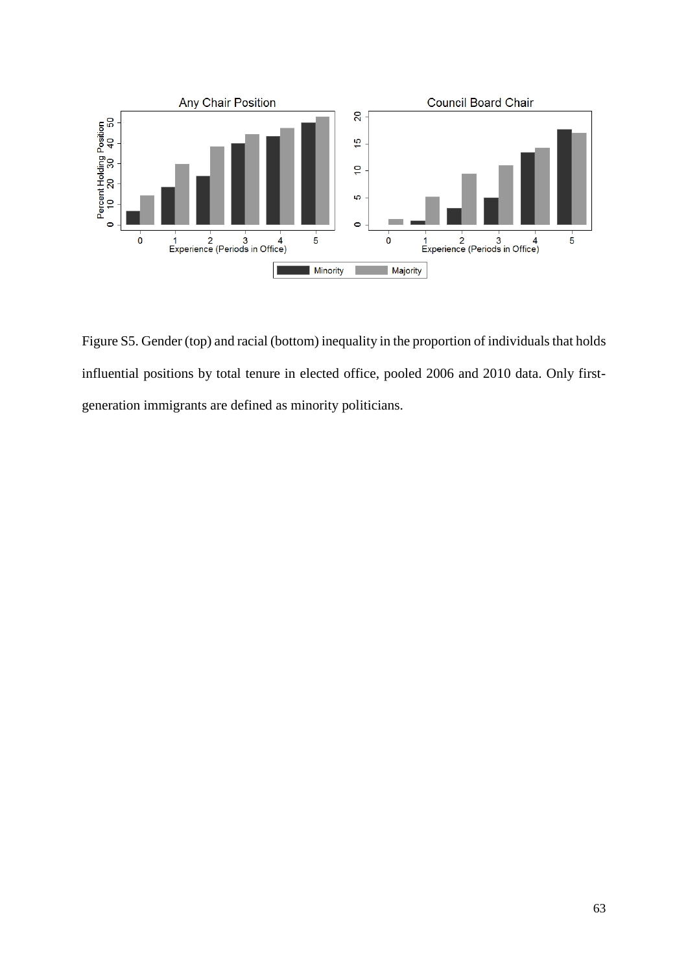

Figure S5. Gender (top) and racial (bottom) inequality in the proportion of individuals that holds influential positions by total tenure in elected office, pooled 2006 and 2010 data. Only firstgeneration immigrants are defined as minority politicians.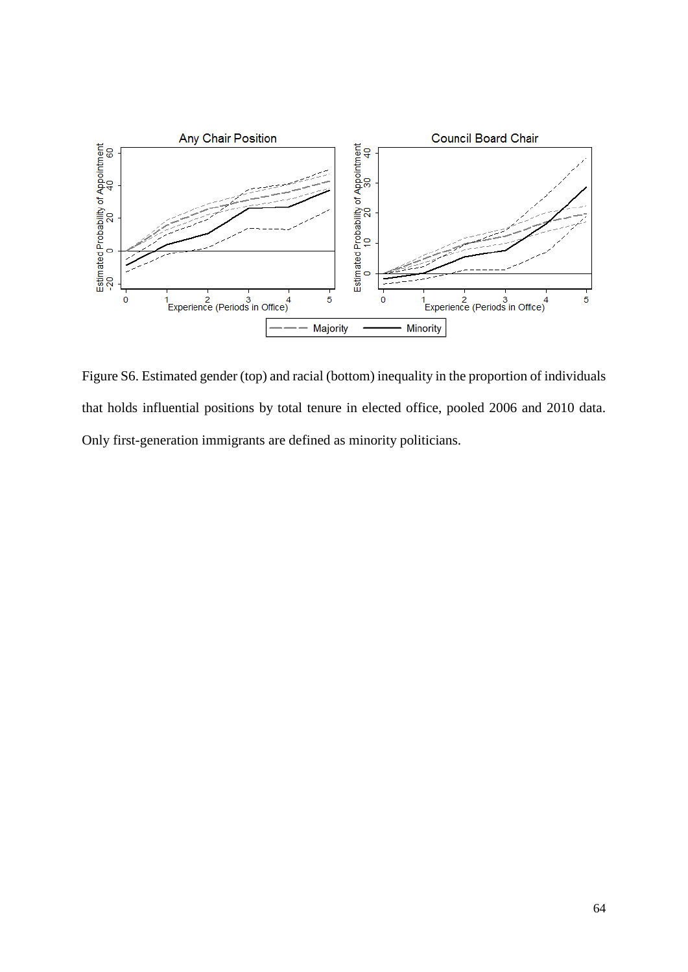

Figure S6. Estimated gender (top) and racial (bottom) inequality in the proportion of individuals that holds influential positions by total tenure in elected office, pooled 2006 and 2010 data. Only first-generation immigrants are defined as minority politicians.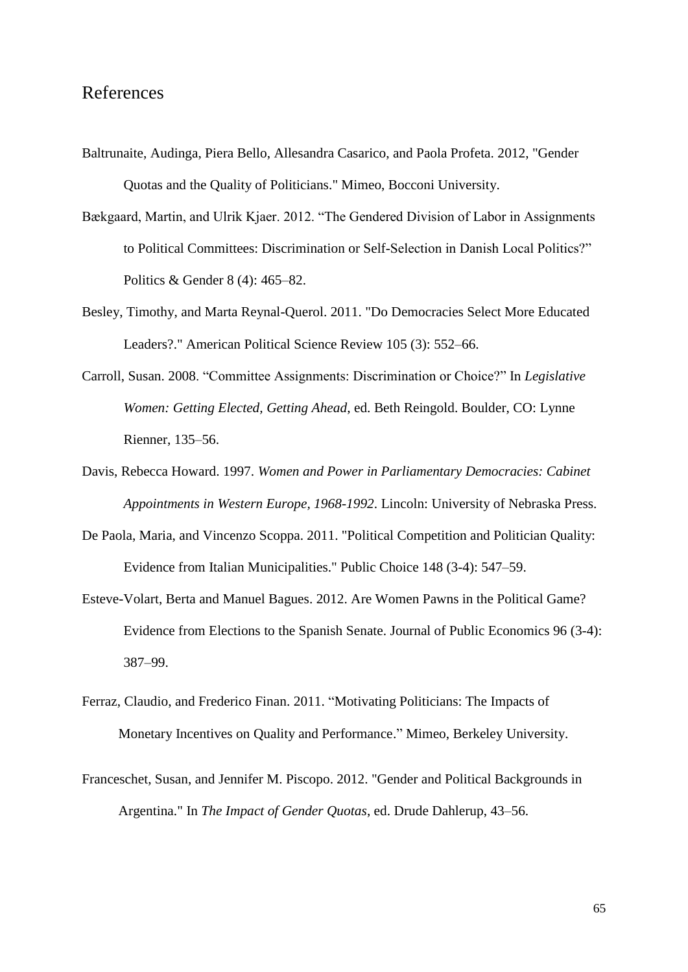#### References

- Baltrunaite, Audinga, Piera Bello, Allesandra Casarico, and Paola Profeta. 2012, "Gender Quotas and the Quality of Politicians." Mimeo, Bocconi University.
- Bækgaard, Martin, and Ulrik Kjaer. 2012. "The Gendered Division of Labor in Assignments to Political Committees: Discrimination or Self-Selection in Danish Local Politics?" Politics & Gender 8 (4): 465–82.
- Besley, Timothy, and Marta Reynal-Querol. 2011. "Do Democracies Select More Educated Leaders?." American Political Science Review 105 (3): 552–66.
- Carroll, Susan. 2008. "Committee Assignments: Discrimination or Choice?" In *Legislative Women: Getting Elected, Getting Ahead*, ed. Beth Reingold. Boulder, CO: Lynne Rienner, 135–56.
- Davis, Rebecca Howard. 1997. *Women and Power in Parliamentary Democracies: Cabinet Appointments in Western Europe, 1968-1992*. Lincoln: University of Nebraska Press.
- De Paola, Maria, and Vincenzo Scoppa. 2011. "Political Competition and Politician Quality: Evidence from Italian Municipalities." Public Choice 148 (3-4): 547–59.
- Esteve-Volart, Berta and Manuel Bagues. 2012. Are Women Pawns in the Political Game? Evidence from Elections to the Spanish Senate. Journal of Public Economics 96 (3-4): 387–99.
- Ferraz, Claudio, and Frederico Finan. 2011. "Motivating Politicians: The Impacts of Monetary Incentives on Quality and Performance." Mimeo, Berkeley University.
- Franceschet, Susan, and Jennifer M. Piscopo. 2012. "Gender and Political Backgrounds in Argentina." In *The Impact of Gender Quotas*, ed. Drude Dahlerup, 43–56.